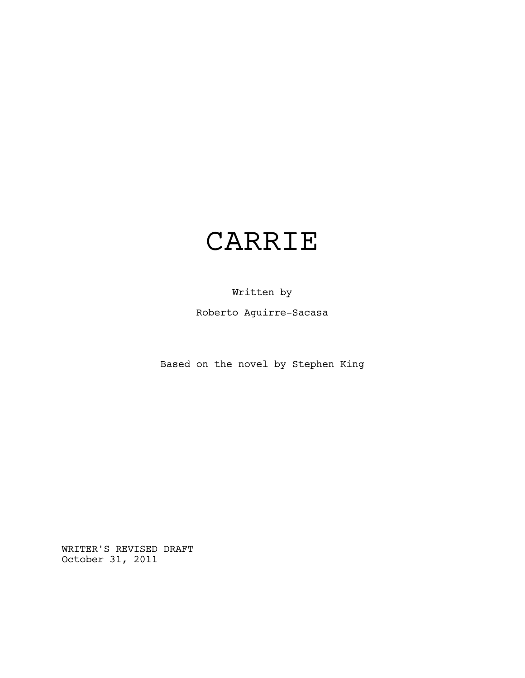# CARRIE

# Written by

Roberto Aguirre-Sacasa

Based on the novel by Stephen King

WRITER'S REVISED DRAFT October 31, 2011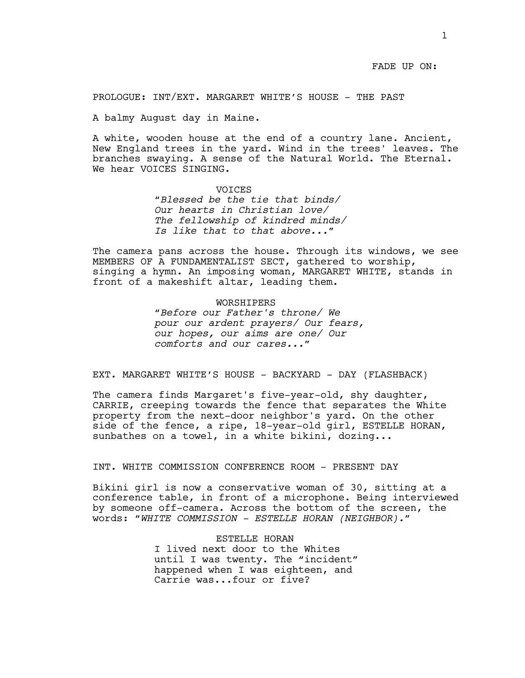FADE UP ON:

PROLOGUE: INT/EXT. MARGARET WHITE'S HOUSE - THE PAST

A balmy August day in Maine.

A white, wooden house at the end of a country lane. Ancient, New England trees in the yard. Wind in the trees' leaves. The branches swaying. A sense of the Natural World. The Eternal. We hear VOICES SINGING.

> **VOTCES** *"Blessed be the tie that binds/ Our hearts in Christian love/ The fellowship of kindred minds/ Is like that to that above..."*

The camera pans across the house. Through its windows, we see MEMBERS OF A FUNDAMENTALIST SECT, gathered to worship, singing a hymn. An imposing woman, MARGARET WHITE, stands in front of a makeshift altar, leading them.

#### WORSHIPERS

*"Before our Father's throne/ We pour our ardent prayers/ Our fears, our hopes, our aims are one/ Our comforts and our cares..."*

EXT. MARGARET WHITE'S HOUSE - BACKYARD - DAY (FLASHBACK)

The camera finds Margaret's five-year-old, shy daughter, CARRIE, creeping towards the fence that separates the White property from the next-door neighbor's yard. On the other side of the fence, a ripe, 18-year-old girl, ESTELLE HORAN, sunbathes on a towel, in a white bikini, dozing...

INT. WHITE COMMISSION CONFERENCE ROOM - PRESENT DAY

Bikini girl is now a conservative woman of 30, sitting at a conference table, in front of a microphone. Being interviewed by someone off-camera. Across the bottom of the screen, the words: *"WHITE COMMISSION - ESTELLE HORAN (NEIGHBOR)."*

> ESTELLE HORAN I lived next door to the Whites until I was twenty. The "incident" happened when I was eighteen, and Carrie was...four or five?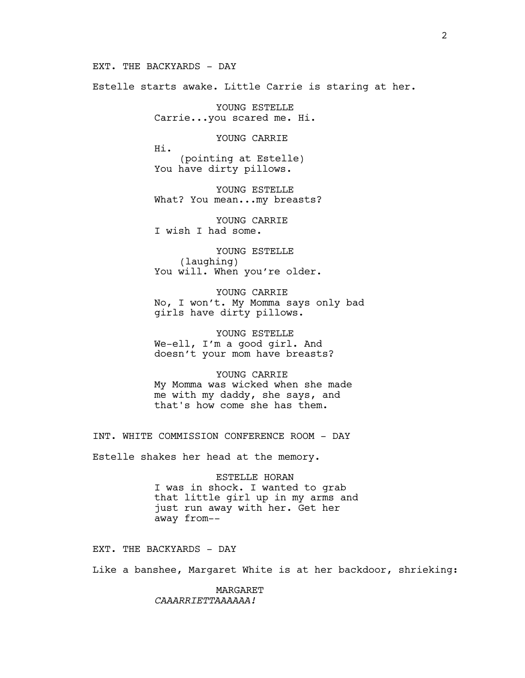EXT. THE BACKYARDS - DAY

Estelle starts awake. Little Carrie is staring at her.

YOUNG ESTELLE Carrie...you scared me. Hi.

YOUNG CARRIE

Hi. (pointing at Estelle) You have dirty pillows.

YOUNG ESTELLE What? You mean...my breasts?

YOUNG CARRIE I wish I had some.

YOUNG ESTELLE (laughing) You will. When you're older.

YOUNG CARRIE No, I won't. My Momma says only bad girls have dirty pillows.

YOUNG ESTELLE We-ell, I'm a good girl. And doesn't your mom have breasts?

YOUNG CARRIE My Momma was wicked when she made me with my daddy, she says, and that's how come she has them.

INT. WHITE COMMISSION CONFERENCE ROOM - DAY

Estelle shakes her head at the memory.

ESTELLE HORAN I was in shock. I wanted to grab that little girl up in my arms and just run away with her. Get her away from--

EXT. THE BACKYARDS - DAY

Like a banshee, Margaret White is at her backdoor, shrieking:

MARGARET *CAAARRIETTAAAAAA!*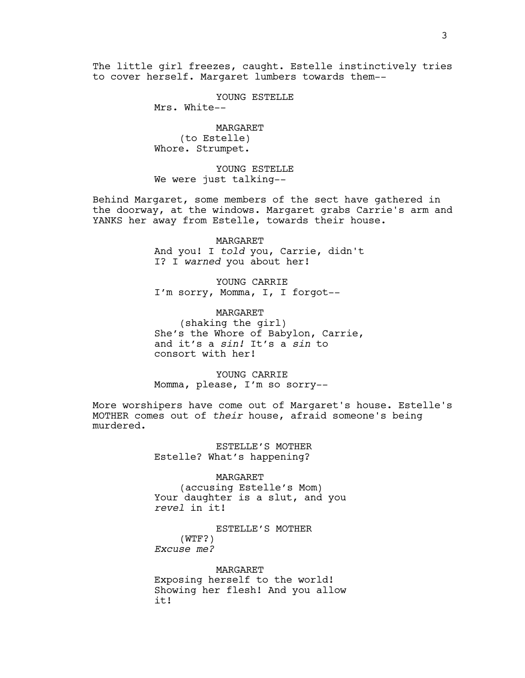The little girl freezes, caught. Estelle instinctively tries to cover herself. Margaret lumbers towards them--

YOUNG ESTELLE

Mrs. White--

MARGARET (to Estelle) Whore. Strumpet.

YOUNG ESTELLE We were just talking--

Behind Margaret, some members of the sect have gathered in the doorway, at the windows. Margaret grabs Carrie's arm and YANKS her away from Estelle, towards their house.

> MARGARET And you! I *told* you, Carrie, didn't I? I *warned* you about her!

YOUNG CARRIE I'm sorry, Momma, I, I forgot--

MARGARET (shaking the girl) She's the Whore of Babylon, Carrie, and it's a *sin!* It's a *sin* to consort with her!

YOUNG CARRIE Momma, please, I'm so sorry--

More worshipers have come out of Margaret's house. Estelle's MOTHER comes out of *their* house, afraid someone's being murdered.

> ESTELLE'S MOTHER Estelle? What's happening?

> > MARGARET

(accusing Estelle's Mom) Your daughter is a slut, and you *revel* in it!

ESTELLE'S MOTHER (WTF?) *Excuse me?*

MARGARET Exposing herself to the world! Showing her flesh! And you allow it!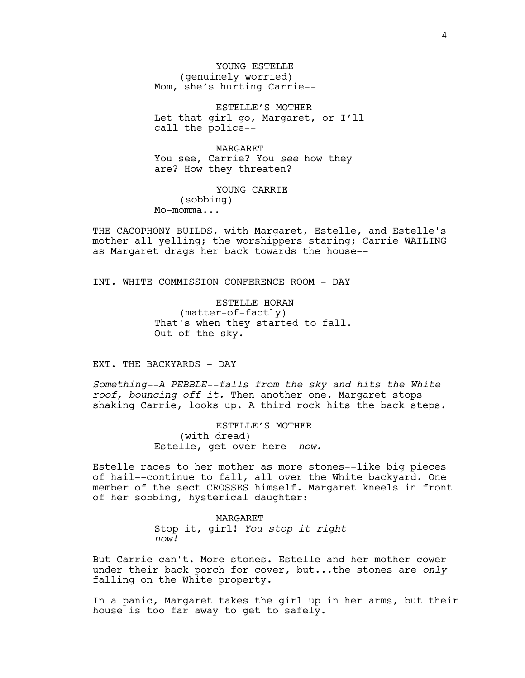YOUNG ESTELLE (genuinely worried) Mom, she's hurting Carrie--

ESTELLE'S MOTHER Let that girl go, Margaret, or I'll call the police--

MARGARET You see, Carrie? You *see* how they are? How they threaten?

YOUNG CARRIE (sobbing) Mo-momma...

THE CACOPHONY BUILDS, with Margaret, Estelle, and Estelle's mother all yelling; the worshippers staring; Carrie WAILING as Margaret drags her back towards the house--

INT. WHITE COMMISSION CONFERENCE ROOM - DAY

ESTELLE HORAN (matter-of-factly) That's when they started to fall. Out of the sky.

EXT. THE BACKYARDS - DAY

*Something--A PEBBLE--falls from the sky and hits the White roof, bouncing off it.* Then another one. Margaret stops shaking Carrie, looks up. A third rock hits the back steps.

> ESTELLE'S MOTHER (with dread) Estelle, get over here--*now.*

Estelle races to her mother as more stones--like big pieces of hail--continue to fall, all over the White backyard. One member of the sect CROSSES himself. Margaret kneels in front of her sobbing, hysterical daughter:

> MARGARET Stop it, girl! *You stop it right now!*

But Carrie can't. More stones. Estelle and her mother cower under their back porch for cover, but...the stones are *only* falling on the White property.

In a panic, Margaret takes the girl up in her arms, but their house is too far away to get to safely.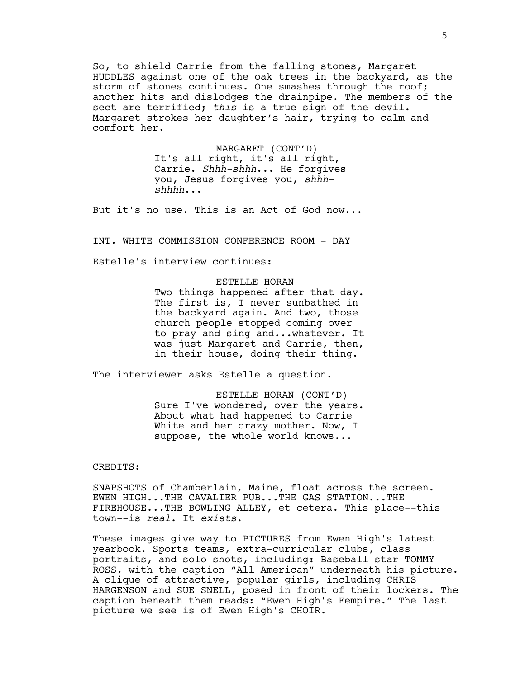So, to shield Carrie from the falling stones, Margaret HUDDLES against one of the oak trees in the backyard, as the storm of stones continues. One smashes through the roof; another hits and dislodges the drainpipe. The members of the sect are terrified; *this* is a true sign of the devil. Margaret strokes her daughter's hair, trying to calm and comfort her.

> MARGARET (CONT'D) It's all right, it's all right, Carrie. *Shhh-shhh*... He forgives you, Jesus forgives you, *shhhshhhh*...

But it's no use. This is an Act of God now...

INT. WHITE COMMISSION CONFERENCE ROOM - DAY

Estelle's interview continues:

# ESTELLE HORAN

Two things happened after that day. The first is, I never sunbathed in the backyard again. And two, those church people stopped coming over to pray and sing and...whatever. It was just Margaret and Carrie, then, in their house, doing their thing.

The interviewer asks Estelle a question.

ESTELLE HORAN (CONT'D) Sure I've wondered, over the years. About what had happened to Carrie White and her crazy mother. Now, I suppose, the whole world knows...

#### CREDITS:

SNAPSHOTS of Chamberlain, Maine, float across the screen. EWEN HIGH...THE CAVALIER PUB...THE GAS STATION...THE FIREHOUSE...THE BOWLING ALLEY, et cetera. This place--this town--is *real*. It *exists*.

These images give way to PICTURES from Ewen High's latest yearbook. Sports teams, extra-curricular clubs, class portraits, and solo shots, including: Baseball star TOMMY ROSS, with the caption "All American" underneath his picture. A clique of attractive, popular girls, including CHRIS HARGENSON and SUE SNELL, posed in front of their lockers. The caption beneath them reads: "Ewen High's Fempire." The last picture we see is of Ewen High's CHOIR.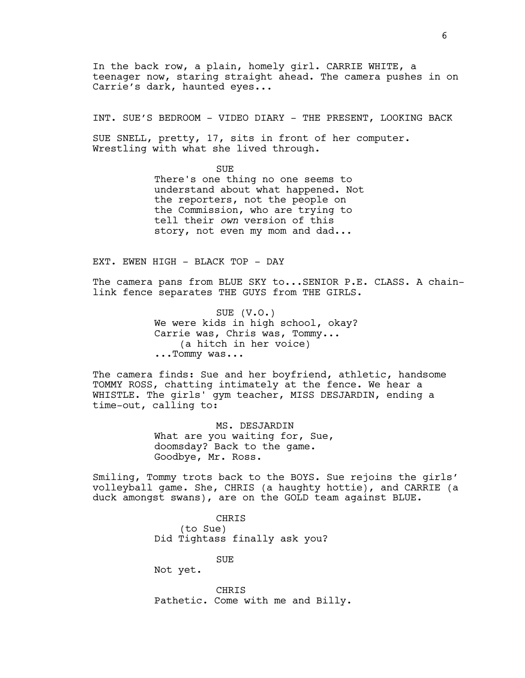In the back row, a plain, homely girl. CARRIE WHITE, a teenager now, staring straight ahead. The camera pushes in on Carrie's dark, haunted eyes...

INT. SUE'S BEDROOM - VIDEO DIARY - THE PRESENT, LOOKING BACK

SUE SNELL, pretty, 17, sits in front of her computer. Wrestling with what she lived through.

> SUE There's one thing no one seems to understand about what happened. Not the reporters, not the people on the Commission, who are trying to tell their *own* version of this story, not even my mom and dad...

EXT. EWEN HIGH - BLACK TOP - DAY

The camera pans from BLUE SKY to...SENIOR P.E. CLASS. A chainlink fence separates THE GUYS from THE GIRLS.

> SUE  $(V.O.)$ We were kids in high school, okay? Carrie was, Chris was, Tommy... (a hitch in her voice) ...Tommy was...

The camera finds: Sue and her boyfriend, athletic, handsome TOMMY ROSS, chatting intimately at the fence. We hear a WHISTLE. The girls' gym teacher, MISS DESJARDIN, ending a time-out, calling to:

> MS. DESJARDIN What are you waiting for, Sue, doomsday? Back to the game. Goodbye, Mr. Ross.

Smiling, Tommy trots back to the BOYS. Sue rejoins the girls' volleyball game. She, CHRIS (a haughty hottie), and CARRIE (a duck amongst swans), are on the GOLD team against BLUE.

> CHRIS (to Sue) Did Tightass finally ask you?

> > SUE

Not yet.

CHRIS Pathetic. Come with me and Billy.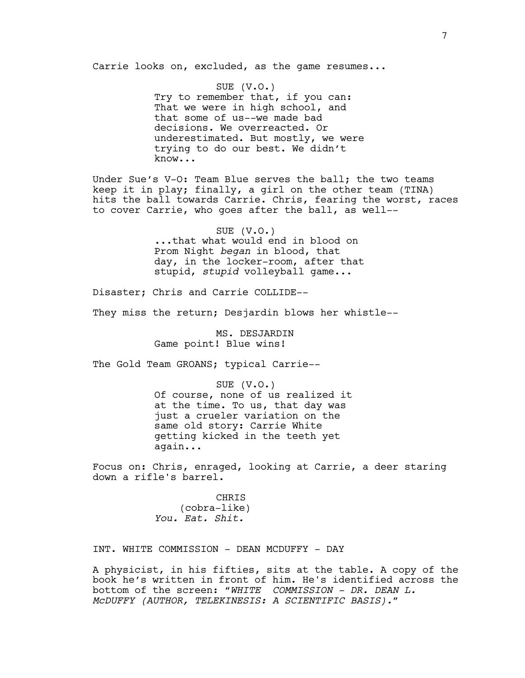Carrie looks on, excluded, as the game resumes...

SUE  $(V.0.)$ Try to remember that, if you can: That we were in high school, and that some of us--we made bad decisions. We overreacted. Or underestimated. But mostly, we were trying to do our best. We didn't know...

Under Sue's V-O: Team Blue serves the ball; the two teams keep it in play; finally, a girl on the other team (TINA) hits the ball towards Carrie. Chris, fearing the worst, races to cover Carrie, who goes after the ball, as well--

> SUE (V.O.) ...that what would end in blood on Prom Night *began* in blood, that day, in the locker-room, after that stupid, *stupid* volleyball game...

Disaster; Chris and Carrie COLLIDE--

They miss the return; Desjardin blows her whistle--

MS. DESJARDIN Game point! Blue wins!

The Gold Team GROANS; typical Carrie--

SUE  $(V.O.)$ Of course, none of us realized it at the time. To us, that day was just a crueler variation on the same old story: Carrie White getting kicked in the teeth yet again...

Focus on: Chris, enraged, looking at Carrie, a deer staring down a rifle's barrel.

> **CHRTS** (cobra-like) *You. Eat. Shit.*

INT. WHITE COMMISSION - DEAN MCDUFFY - DAY

A physicist, in his fifties, sits at the table. A copy of the book he's written in front of him. He's identified across the bottom of the screen: *"WHITE COMMISSION - DR. DEAN L. McDUFFY (AUTHOR, TELEKINESIS: A SCIENTIFIC BASIS)."*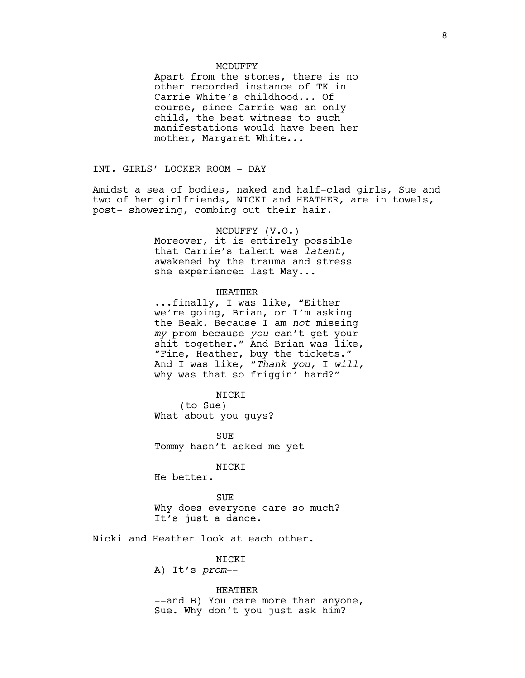#### MCDUFFY

Apart from the stones, there is no other recorded instance of TK in Carrie White's childhood... Of course, since Carrie was an only child, the best witness to such manifestations would have been her mother, Margaret White...

INT. GIRLS' LOCKER ROOM - DAY

Amidst a sea of bodies, naked and half-clad girls, Sue and two of her girlfriends, NICKI and HEATHER, are in towels, post- showering, combing out their hair.

# MCDUFFY (V.O.)

Moreover, it is entirely possible that Carrie's talent was *latent*, awakened by the trauma and stress she experienced last May...

# HEATHER

...finally, I was like, "Either we're going, Brian, or I'm asking the Beak. Because I am *not* missing *my* prom because *you* can't get your shit together." And Brian was like, "Fine, Heather, buy the tickets." And I was like, *"Thank you*, I *will*, why was that so friggin' hard?"

#### NICKI

(to Sue) What about you guys?

SUE Tommy hasn't asked me yet--

# NICKI

He better.

SUE Why does everyone care so much? It's just a dance.

Nicki and Heather look at each other.

#### NICKI

A) It's *prom*--

HEATHER

--and B) You care more than anyone, Sue. Why don't you just ask him?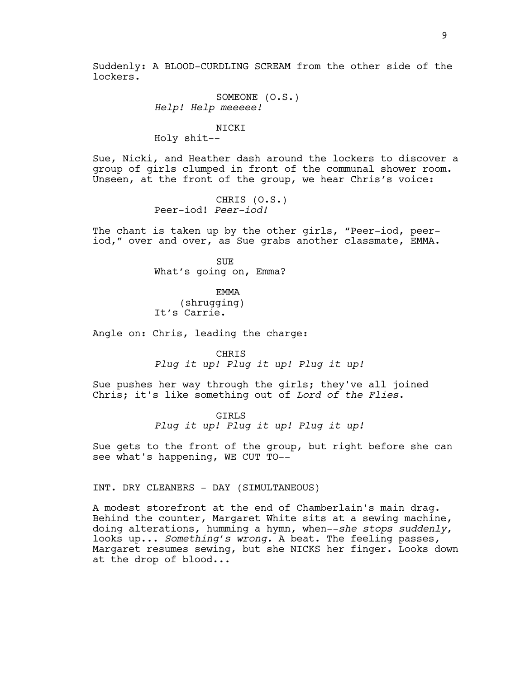Suddenly: A BLOOD-CURDLING SCREAM from the other side of the lockers.

> SOMEONE (O.S.) *Help! Help meeeee!*

# NICKI

Holy shit--

Sue, Nicki, and Heather dash around the lockers to discover a group of girls clumped in front of the communal shower room. Unseen, at the front of the group, we hear Chris's voice:

> CHRIS (O.S.) Peer-iod! *Peer-iod!*

The chant is taken up by the other girls, "Peer-iod, peeriod," over and over, as Sue grabs another classmate, EMMA.

> **SUE** What's going on, Emma?

EMMA (shrugging) It's Carrie.

Angle on: Chris, leading the charge:

CHRIS *Plug it up! Plug it up! Plug it up!*

Sue pushes her way through the girls; they've all joined Chris; it's like something out of *Lord of the Flies*.

> GIRLS *Plug it up! Plug it up! Plug it up!*

Sue gets to the front of the group, but right before she can see what's happening, WE CUT TO--

INT. DRY CLEANERS - DAY (SIMULTANEOUS)

A modest storefront at the end of Chamberlain's main drag. Behind the counter, Margaret White sits at a sewing machine, doing alterations, humming a hymn, when--*she stops suddenly*, looks up... *Something's wrong.* A beat. The feeling passes, Margaret resumes sewing, but she NICKS her finger. Looks down at the drop of blood...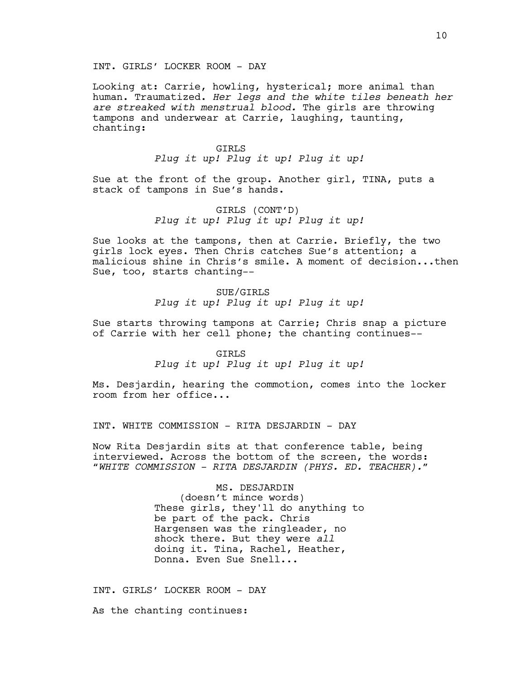# INT. GIRLS' LOCKER ROOM - DAY

Looking at: Carrie, howling, hysterical; more animal than human. Traumatized. *Her legs and the white tiles beneath her are streaked with menstrual blood.* The girls are throwing tampons and underwear at Carrie, laughing, taunting, chanting:

#### GIRLS

*Plug it up! Plug it up! Plug it up!*

Sue at the front of the group. Another girl, TINA, puts a stack of tampons in Sue's hands.

# GIRLS (CONT'D) *Plug it up! Plug it up! Plug it up!*

Sue looks at the tampons, then at Carrie. Briefly, the two girls lock eyes. Then Chris catches Sue's attention; a malicious shine in Chris's smile. A moment of decision...then Sue, too, starts chanting--

> SUE/GIRLS *Plug it up! Plug it up! Plug it up!*

Sue starts throwing tampons at Carrie; Chris snap a picture of Carrie with her cell phone; the chanting continues--

> GIRLS *Plug it up! Plug it up! Plug it up!*

Ms. Desjardin, hearing the commotion, comes into the locker room from her office...

INT. WHITE COMMISSION - RITA DESJARDIN - DAY

Now Rita Desjardin sits at that conference table, being interviewed. Across the bottom of the screen, the words: *"WHITE COMMISSION - RITA DESJARDIN (PHYS. ED. TEACHER)."*

> MS. DESJARDIN (doesn't mince words) These girls, they'll do anything to be part of the pack. Chris Hargensen was the ringleader, no shock there. But they were *all* doing it. Tina, Rachel, Heather, Donna. Even Sue Snell...

INT. GIRLS' LOCKER ROOM - DAY

As the chanting continues: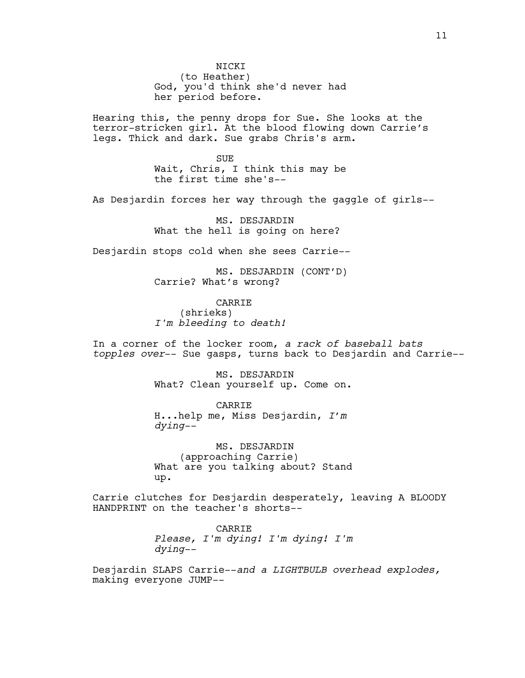NICKI (to Heather) God, you'd think she'd never had her period before.

Hearing this, the penny drops for Sue. She looks at the terror-stricken girl. At the blood flowing down Carrie's legs. Thick and dark. Sue grabs Chris's arm.

> SUE Wait, Chris, I think this may be the first time she's--

As Desjardin forces her way through the gaggle of girls--

MS. DESJARDIN What the hell is going on here?

Desjardin stops cold when she sees Carrie--

MS. DESJARDIN (CONT'D) Carrie? What's wrong?

CARRIE (shrieks) *I'm bleeding to death!*

In a corner of the locker room, *a rack of baseball bats topples over*-- Sue gasps, turns back to Desjardin and Carrie--

> MS. DESJARDIN What? Clean yourself up. Come on.

CARRIE H...help me, Miss Desjardin, *I'm dying--*

MS. DESJARDIN (approaching Carrie) What are you talking about? Stand up.

Carrie clutches for Desjardin desperately, leaving A BLOODY HANDPRINT on the teacher's shorts--

> CARRIE *Please, I'm dying! I'm dying! I'm dying--*

Desjardin SLAPS Carrie--*and a LIGHTBULB overhead explodes,* making everyone JUMP--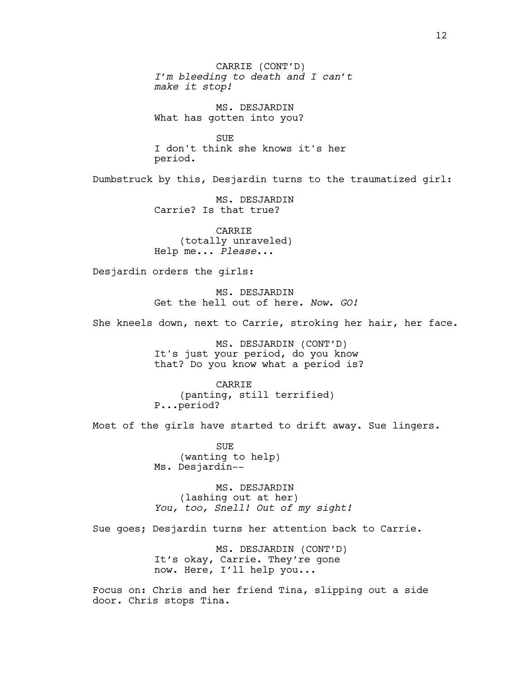CARRIE (CONT'D) *I'm bleeding to death and I can't make it stop!*

MS. DESJARDIN What has gotten into you?

SUE I don't think she knows it's her period.

Dumbstruck by this, Desjardin turns to the traumatized girl:

MS. DESJARDIN Carrie? Is that true?

CARRIE (totally unraveled) Help me... *Please*...

Desjardin orders the girls:

MS. DESJARDIN Get the hell out of here. *Now*. *GO!*

She kneels down, next to Carrie, stroking her hair, her face.

MS. DESJARDIN (CONT'D) It's just your period, do you know that? Do you know what a period is?

**CARRIE** (panting, still terrified) P...period?

Most of the girls have started to drift away. Sue lingers.

SUE (wanting to help) Ms. Desjardin--

MS. DESJARDIN (lashing out at her) *You, too, Snell! Out of my sight!*

Sue goes; Desjardin turns her attention back to Carrie.

MS. DESJARDIN (CONT'D) It's okay, Carrie. They're gone now. Here, I'll help you...

Focus on: Chris and her friend Tina, slipping out a side door. Chris stops Tina.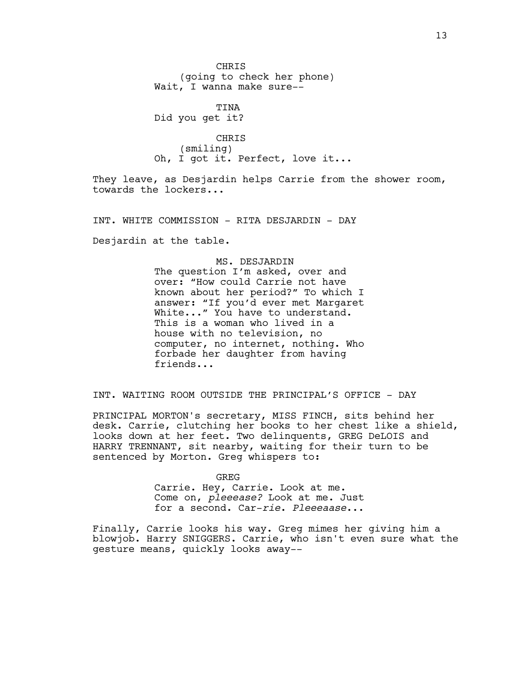CHRIS (going to check her phone) Wait, I wanna make sure--

TINA Did you get it?

CHRIS (smiling) Oh, I got it. Perfect, love it...

They leave, as Desjardin helps Carrie from the shower room, towards the lockers...

INT. WHITE COMMISSION - RITA DESJARDIN - DAY

Desjardin at the table.

#### MS. DESJARDIN

The question I'm asked, over and over: "How could Carrie not have known about her period?" To which I answer: "If you'd ever met Margaret White..." You have to understand. This is a woman who lived in a house with no television, no computer, no internet, nothing. Who forbade her daughter from having friends...

INT. WAITING ROOM OUTSIDE THE PRINCIPAL'S OFFICE - DAY

PRINCIPAL MORTON's secretary, MISS FINCH, sits behind her desk. Carrie, clutching her books to her chest like a shield, looks down at her feet. Two delinquents, GREG DeLOIS and HARRY TRENNANT, sit nearby, waiting for their turn to be sentenced by Morton. Greg whispers to:

> GREG Carrie. Hey, Carrie. Look at me. Come on, *pleeease?* Look at me. Just for a second. Car-*rie*. *Pleeeaase*...

Finally, Carrie looks his way. Greg mimes her giving him a blowjob. Harry SNIGGERS. Carrie, who isn't even sure what the gesture means, quickly looks away--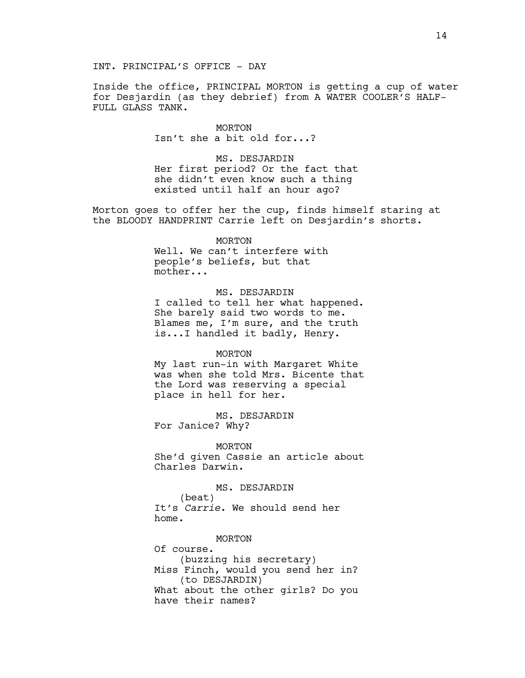INT. PRINCIPAL'S OFFICE - DAY

Inside the office, PRINCIPAL MORTON is getting a cup of water for Desjardin (as they debrief) from A WATER COOLER'S HALF-FULL GLASS TANK.

> MORTON Isn't she a bit old for...?

MS. DESJARDIN Her first period? Or the fact that she didn't even know such a thing existed until half an hour ago?

Morton goes to offer her the cup, finds himself staring at the BLOODY HANDPRINT Carrie left on Desjardin's shorts.

> MORTON Well. We can't interfere with people's beliefs, but that mother...

MS. DESJARDIN I called to tell her what happened. She barely said two words to me. Blames me, I'm sure, and the truth is...I handled it badly, Henry.

#### MORTON

My last run-in with Margaret White was when she told Mrs. Bicente that the Lord was reserving a special place in hell for her.

MS. DESJARDIN For Janice? Why?

MORTON She'd given Cassie an article about Charles Darwin.

MS. DESJARDIN (beat) It's *Carrie*. We should send her home.

# MORTON

Of course. (buzzing his secretary) Miss Finch, would you send her in? (to DESJARDIN) What about the other girls? Do you have their names?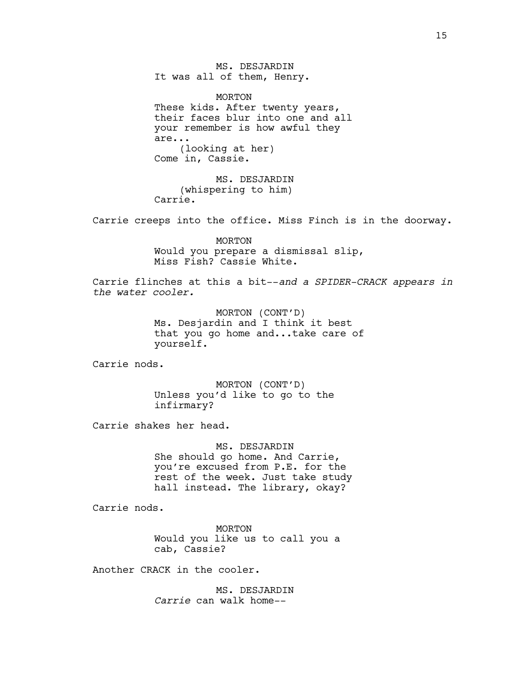MS. DESJARDIN It was all of them, Henry.

MORTON These kids. After twenty years, their faces blur into one and all your remember is how awful they are... (looking at her) Come in, Cassie.

MS. DESJARDIN (whispering to him) Carrie.

Carrie creeps into the office. Miss Finch is in the doorway.

MORTON Would you prepare a dismissal slip, Miss Fish? Cassie White.

Carrie flinches at this a bit--*and a SPIDER-CRACK appears in the water cooler.*

> MORTON (CONT'D) Ms. Desjardin and I think it best that you go home and...take care of yourself.

Carrie nods.

MORTON (CONT'D) Unless you'd like to go to the infirmary?

Carrie shakes her head.

MS. DESJARDIN She should go home. And Carrie, you're excused from P.E. for the rest of the week. Just take study hall instead. The library, okay?

Carrie nods.

MORTON Would you like us to call you a cab, Cassie?

Another CRACK in the cooler.

MS. DESJARDIN *Carrie* can walk home--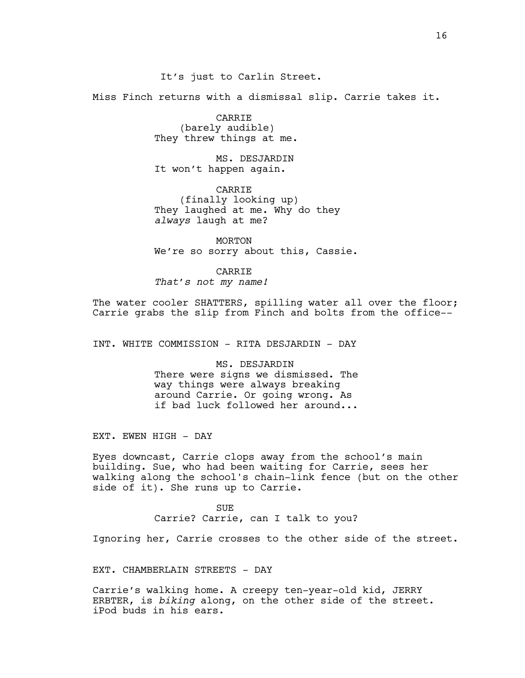Miss Finch returns with a dismissal slip. Carrie takes it.

CARRIE (barely audible) They threw things at me.

MS. DESJARDIN It won't happen again.

CARRIE (finally looking up) They laughed at me. Why do they *always* laugh at me?

MORTON We're so sorry about this, Cassie.

CARRIE *That's not my name!*

The water cooler SHATTERS, spilling water all over the floor; Carrie grabs the slip from Finch and bolts from the office--

INT. WHITE COMMISSION - RITA DESJARDIN - DAY

MS. DESJARDIN There were signs we dismissed. The way things were always breaking around Carrie. Or going wrong. As if bad luck followed her around...

EXT. EWEN HIGH - DAY

Eyes downcast, Carrie clops away from the school's main building. Sue, who had been waiting for Carrie, sees her walking along the school's chain-link fence (but on the other side of it). She runs up to Carrie.

> SUE Carrie? Carrie, can I talk to you?

Ignoring her, Carrie crosses to the other side of the street.

EXT. CHAMBERLAIN STREETS - DAY

Carrie's walking home. A creepy ten-year-old kid, JERRY ERBTER, is *biking* along, on the other side of the street. iPod buds in his ears.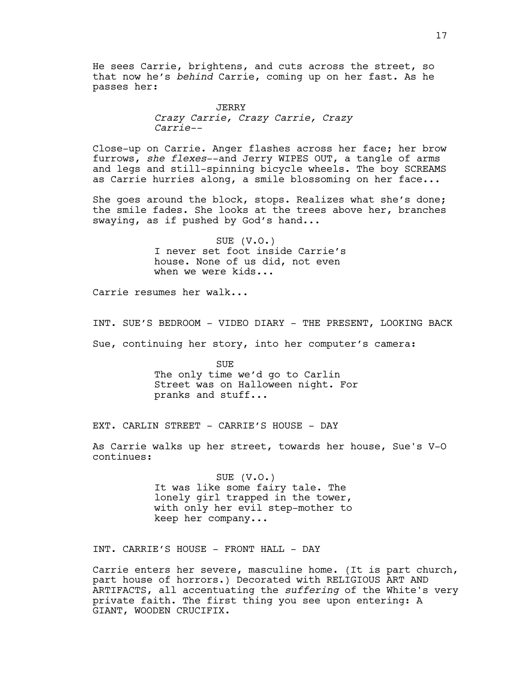He sees Carrie, brightens, and cuts across the street, so that now he's *behind* Carrie, coming up on her fast. As he passes her:

> JERRY *Crazy Carrie, Crazy Carrie, Crazy Carrie--*

Close-up on Carrie. Anger flashes across her face; her brow furrows, *she flexes*--and Jerry WIPES OUT, a tangle of arms and legs and still-spinning bicycle wheels. The boy SCREAMS as Carrie hurries along, a smile blossoming on her face...

She goes around the block, stops. Realizes what she's done; the smile fades. She looks at the trees above her, branches swaying, as if pushed by God's hand...

> $SUE (V.O.)$ I never set foot inside Carrie's house. None of us did, not even when we were kids...

Carrie resumes her walk...

INT. SUE'S BEDROOM - VIDEO DIARY - THE PRESENT, LOOKING BACK

Sue, continuing her story, into her computer's camera:

SUE The only time we'd go to Carlin Street was on Halloween night. For pranks and stuff...

EXT. CARLIN STREET - CARRIE'S HOUSE - DAY

As Carrie walks up her street, towards her house, Sue's V-O continues:

> SUE  $(V.O.)$ It was like some fairy tale. The lonely girl trapped in the tower, with only her evil step-mother to keep her company...

INT. CARRIE'S HOUSE - FRONT HALL - DAY

Carrie enters her severe, masculine home. (It is part church, part house of horrors.) Decorated with RELIGIOUS ART AND ARTIFACTS, all accentuating the *suffering* of the White's very private faith. The first thing you see upon entering: A GIANT, WOODEN CRUCIFIX.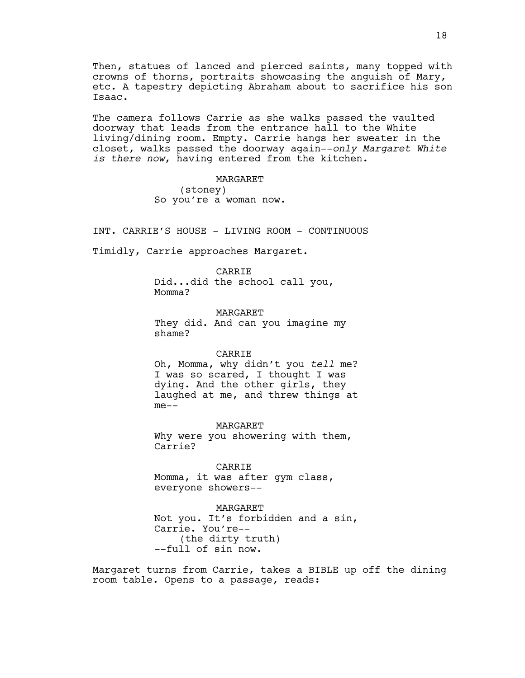Then, statues of lanced and pierced saints, many topped with crowns of thorns, portraits showcasing the anguish of Mary, etc. A tapestry depicting Abraham about to sacrifice his son Isaac.

The camera follows Carrie as she walks passed the vaulted doorway that leads from the entrance hall to the White living/dining room. Empty. Carrie hangs her sweater in the closet, walks passed the doorway again--*only Margaret White is there now*, having entered from the kitchen.

> MARGARET (stoney) So you're a woman now.

INT. CARRIE'S HOUSE - LIVING ROOM - CONTINUOUS

Timidly, Carrie approaches Margaret.

CARRIE Did...did the school call you, Momma?

**MARGARET** They did. And can you imagine my shame?

#### CARRIE

Oh, Momma, why didn't you *tell* me? I was so scared, I thought I was dying. And the other girls, they laughed at me, and threw things at  $me--$ 

MARGARET Why were you showering with them, Carrie?

CARRIE Momma, it was after gym class, everyone showers--

MARGARET Not you. It's forbidden and a sin, Carrie. You're-- (the dirty truth) --full of sin now.

Margaret turns from Carrie, takes a BIBLE up off the dining room table. Opens to a passage, reads: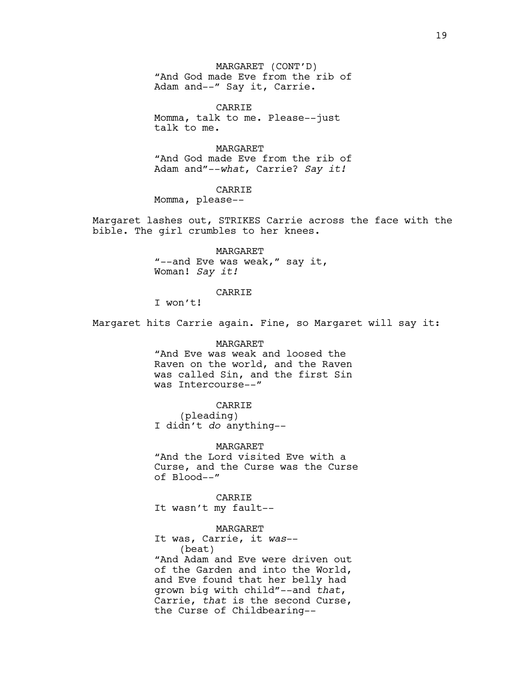MARGARET (CONT'D) "And God made Eve from the rib of Adam and--" Say it, Carrie.

CARRIE Momma, talk to me. Please--just talk to me.

MARGARET "And God made Eve from the rib of Adam and"--*what*, Carrie? *Say it!*

CARRIE

Momma, please--

Margaret lashes out, STRIKES Carrie across the face with the bible. The girl crumbles to her knees.

> MARGARET "--and Eve was weak," say it, Woman! *Say it!*

# **CARRIE**

I won't!

Margaret hits Carrie again. Fine, so Margaret will say it:

#### MARGARET

"And Eve was weak and loosed the Raven on the world, and the Raven was called Sin, and the first Sin was Intercourse--"

CARRIE

(pleading) I didn't *do* anything--

MARGARET "And the Lord visited Eve with a Curse, and the Curse was the Curse of Blood--"

CARRIE It wasn't my fault--

MARGARET It was, Carrie, it *was*-- (beat) "And Adam and Eve were driven out of the Garden and into the World, and Eve found that her belly had grown big with child"--and *that*, Carrie, *that* is the second Curse, the Curse of Childbearing--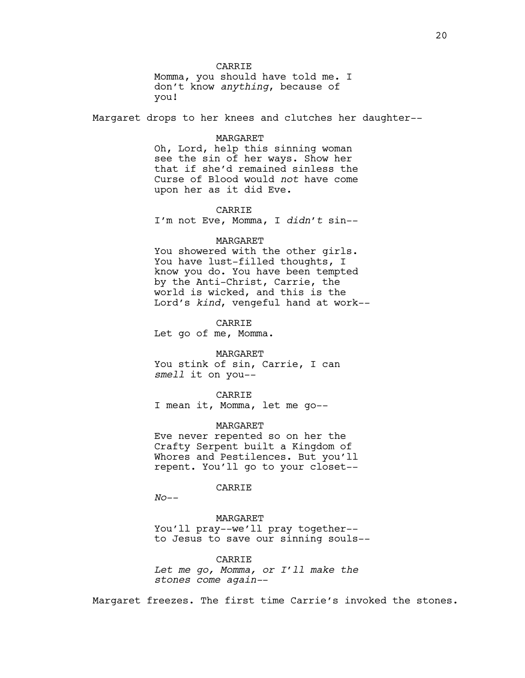CARRIE Momma, you should have told me. I don't know *anything*, because of you!

Margaret drops to her knees and clutches her daughter--

#### MARGARET

Oh, Lord, help this sinning woman see the sin of her ways. Show her that if she'd remained sinless the Curse of Blood would *not* have come upon her as it did Eve.

#### CARRIE

I'm not Eve, Momma, I *didn't* sin--

#### MARGARET

You showered with the other girls. You have lust-filled thoughts, I know you do. You have been tempted by the Anti-Christ, Carrie, the world is wicked, and this is the Lord's *kind*, vengeful hand at work--

CARRIE

Let go of me, Momma.

#### MARGARET

You stink of sin, Carrie, I can *smell* it on you--

#### CARRIE

I mean it, Momma, let me go--

#### MARGARET

Eve never repented so on her the Crafty Serpent built a Kingdom of Whores and Pestilences. But you'll repent. You'll go to your closet--

#### CARRIE

*No--*

#### MARGARET

You'll pray--we'll pray together- to Jesus to save our sinning souls--

# CARRIE

*Let me go, Momma, or I'll make the stones come again-*-

Margaret freezes. The first time Carrie's invoked the stones.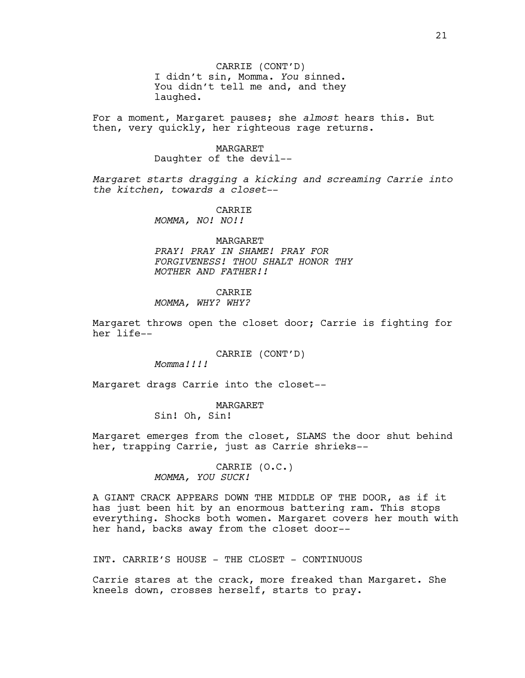CARRIE (CONT'D) I didn't sin, Momma. *You* sinned. You didn't tell me and, and they laughed.

For a moment, Margaret pauses; she *almost* hears this. But then, very quickly, her righteous rage returns.

#### MARGARET

Daughter of the devil--

*Margaret starts dragging a kicking and screaming Carrie into the kitchen, towards a closet*--

#### CARRIE

*MOMMA, NO! NO!!*

MARGARET *PRAY! PRAY IN SHAME! PRAY FOR FORGIVENESS! THOU SHALT HONOR THY MOTHER AND FATHER!!*

# **CARRIE**

*MOMMA, WHY? WHY?*

Margaret throws open the closet door; Carrie is fighting for her life--

# CARRIE (CONT'D)

*Momma!!!!*

Margaret drags Carrie into the closet--

# MARGARET

Sin! Oh, Sin!

Margaret emerges from the closet, SLAMS the door shut behind her, trapping Carrie, just as Carrie shrieks--

> CARRIE (O.C.) *MOMMA, YOU SUCK!*

A GIANT CRACK APPEARS DOWN THE MIDDLE OF THE DOOR, as if it has just been hit by an enormous battering ram. This stops everything. Shocks both women. Margaret covers her mouth with her hand, backs away from the closet door--

INT. CARRIE'S HOUSE - THE CLOSET - CONTINUOUS

Carrie stares at the crack, more freaked than Margaret. She kneels down, crosses herself, starts to pray.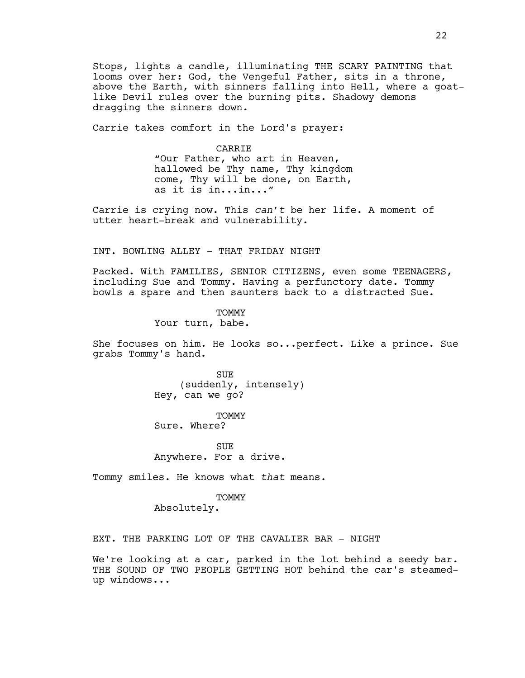Stops, lights a candle, illuminating THE SCARY PAINTING that looms over her: God, the Vengeful Father, sits in a throne, above the Earth, with sinners falling into Hell, where a goatlike Devil rules over the burning pits. Shadowy demons dragging the sinners down.

Carrie takes comfort in the Lord's prayer:

#### CARRIE

"Our Father, who art in Heaven, hallowed be Thy name, Thy kingdom come, Thy will be done, on Earth, as it is in...in..."

Carrie is crying now. This *can't* be her life. A moment of utter heart-break and vulnerability.

INT. BOWLING ALLEY - THAT FRIDAY NIGHT

Packed. With FAMILIES, SENIOR CITIZENS, even some TEENAGERS, including Sue and Tommy. Having a perfunctory date. Tommy bowls a spare and then saunters back to a distracted Sue.

> **TOMMY** Your turn, babe.

She focuses on him. He looks so...perfect. Like a prince. Sue grabs Tommy's hand.

> SUE (suddenly, intensely) Hey, can we go?

TOMMY Sure. Where?

**SUE** Anywhere. For a drive.

Tommy smiles. He knows what *that* means.

**TOMMY** 

Absolutely.

EXT. THE PARKING LOT OF THE CAVALIER BAR - NIGHT

We're looking at a car, parked in the lot behind a seedy bar. THE SOUND OF TWO PEOPLE GETTING HOT behind the car's steamedup windows...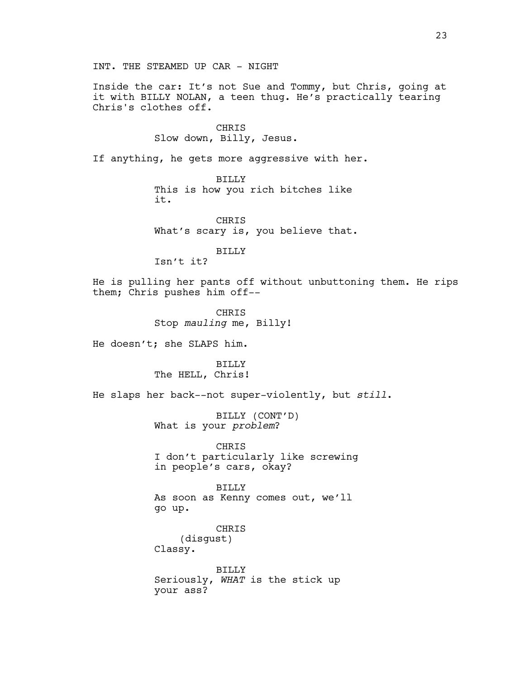Inside the car: It's not Sue and Tommy, but Chris, going at it with BILLY NOLAN, a teen thug. He's practically tearing Chris's clothes off.

# CHRIS Slow down, Billy, Jesus.

If anything, he gets more aggressive with her.

BILLY This is how you rich bitches like it.

CHRIS What's scary is, you believe that.

BILLY

Isn't it?

He is pulling her pants off without unbuttoning them. He rips them; Chris pushes him off--

> **CHRTS** Stop *mauling* me, Billy!

He doesn't; she SLAPS him.

BILLY The HELL, Chris!

He slaps her back--not super-violently, but *still*.

BILLY (CONT'D) What is your *problem*?

CHRIS I don't particularly like screwing in people's cars, okay?

#### BILLY

As soon as Kenny comes out, we'll go up.

CHRIS (disgust) Classy.

BILLY Seriously, *WHAT* is the stick up your ass?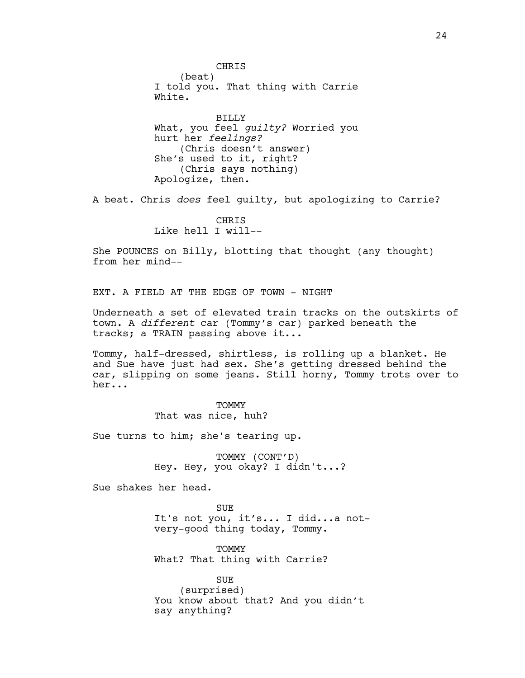**CHRTS** (beat) I told you. That thing with Carrie White. BILLY What, you feel *guilty?* Worried you hurt her *feelings?* (Chris doesn't answer) She's used to it, right? (Chris says nothing) Apologize, then.

A beat. Chris *does* feel guilty, but apologizing to Carrie?

**CHRTS** Like hell I will--

She POUNCES on Billy, blotting that thought (any thought) from her mind--

EXT. A FIELD AT THE EDGE OF TOWN - NIGHT

Underneath a set of elevated train tracks on the outskirts of town. A *different* car (Tommy's car) parked beneath the tracks; a TRAIN passing above it...

Tommy, half-dressed, shirtless, is rolling up a blanket. He and Sue have just had sex. She's getting dressed behind the car, slipping on some jeans. Still horny, Tommy trots over to her...

> **TOMMY** That was nice, huh?

Sue turns to him; she's tearing up.

TOMMY (CONT'D) Hey. Hey, you okay? I didn't...?

Sue shakes her head.

SUE It's not you, it's... I did...a notvery-good thing today, Tommy.

TOMMY What? That thing with Carrie?

SUE (surprised) You know about that? And you didn't say anything?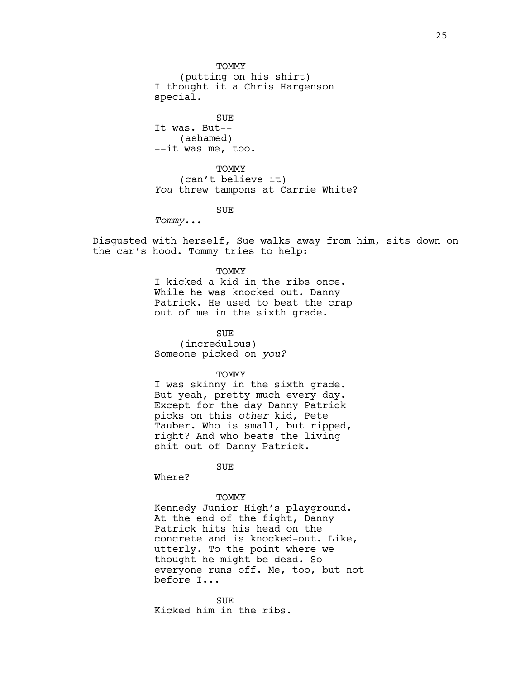TOMMY

(putting on his shirt) I thought it a Chris Hargenson special.

SUE It was. But-- (ashamed) --it was me, too.

TOMMY (can't believe it) *You* threw tampons at Carrie White?

SUE

*Tommy*...

Disgusted with herself, Sue walks away from him, sits down on the car's hood. Tommy tries to help:

#### **TOMMY**

I kicked a kid in the ribs once. While he was knocked out. Danny Patrick. He used to beat the crap out of me in the sixth grade.

SUE (incredulous) Someone picked on *you?*

# TOMMY

I was skinny in the sixth grade. But yeah, pretty much every day. Except for the day Danny Patrick picks on this *other* kid, Pete Tauber. Who is small, but ripped, right? And who beats the living shit out of Danny Patrick.

SUE

Where?

TOMMY

Kennedy Junior High's playground. At the end of the fight, Danny Patrick hits his head on the concrete and is knocked-out. Like, utterly. To the point where we thought he might be dead. So everyone runs off. Me, too, but not before I...

**SUE** Kicked him in the ribs.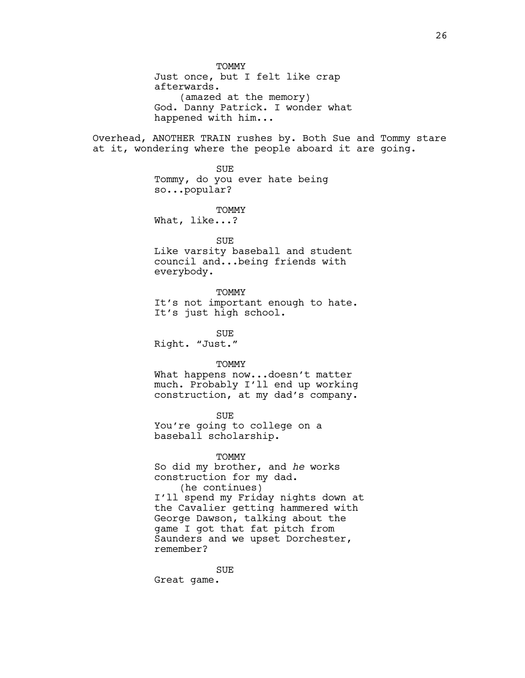TOMMY Just once, but I felt like crap afterwards. (amazed at the memory) God. Danny Patrick. I wonder what happened with him...

Overhead, ANOTHER TRAIN rushes by. Both Sue and Tommy stare at it, wondering where the people aboard it are going.

SUE

Tommy, do you ever hate being so...popular?

TOMMY

What, like...?

SUE Like varsity baseball and student council and...being friends with everybody.

**TOMMY** 

It's not important enough to hate. It's just high school.

SUE

Right. "Just."

#### TOMMY

What happens now...doesn't matter much. Probably I'll end up working construction, at my dad's company.

SUE You're going to college on a baseball scholarship.

TOMMY

So did my brother, and *he* works construction for my dad. (he continues) I'll spend my Friday nights down at the Cavalier getting hammered with George Dawson, talking about the game I got that fat pitch from Saunders and we upset Dorchester, remember?

SUE Great game.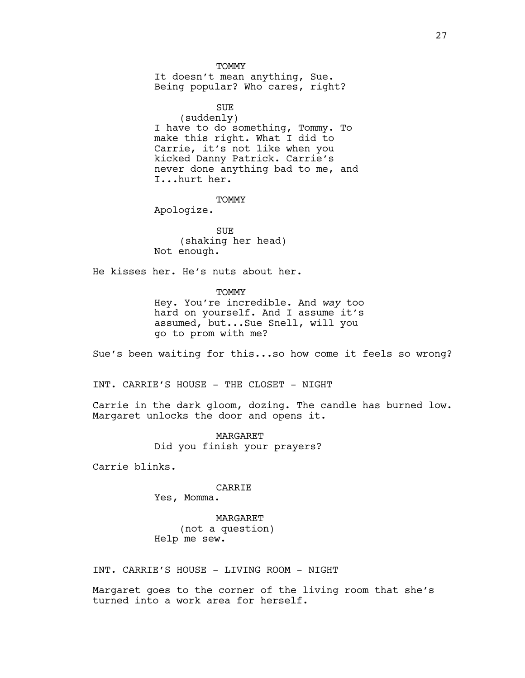**TOMMY** It doesn't mean anything, Sue. Being popular? Who cares, right?

SUE (suddenly) I have to do something, Tommy. To make this right. What I did to Carrie, it's not like when you kicked Danny Patrick. Carrie's never done anything bad to me, and I...hurt her.

#### **TOMMY**

Apologize.

SUE (shaking her head) Not enough.

He kisses her. He's nuts about her.

TOMMY Hey. You're incredible. And *way* too hard on yourself. And I assume it's assumed, but...Sue Snell, will you go to prom with me?

Sue's been waiting for this...so how come it feels so wrong?

INT. CARRIE'S HOUSE - THE CLOSET - NIGHT

Carrie in the dark gloom, dozing. The candle has burned low. Margaret unlocks the door and opens it.

> MARGARET Did you finish your prayers?

Carrie blinks.

CARRIE

Yes, Momma.

MARGARET (not a question) Help me sew.

INT. CARRIE'S HOUSE - LIVING ROOM - NIGHT

Margaret goes to the corner of the living room that she's turned into a work area for herself.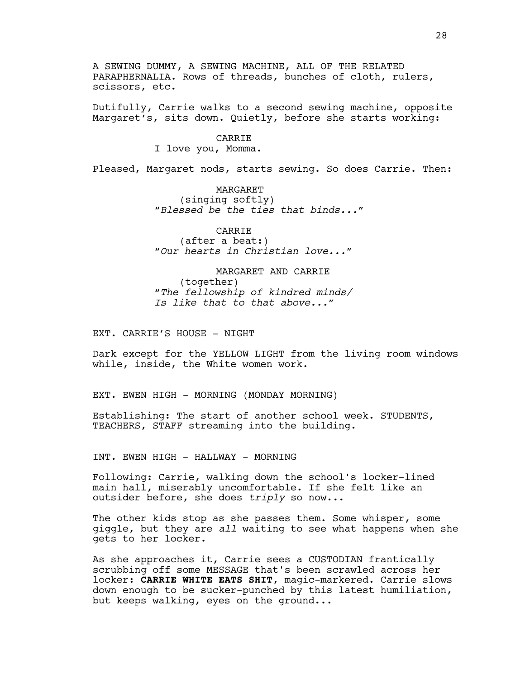A SEWING DUMMY, A SEWING MACHINE, ALL OF THE RELATED PARAPHERNALIA. Rows of threads, bunches of cloth, rulers, scissors, etc.

Dutifully, Carrie walks to a second sewing machine, opposite Margaret's, sits down. Quietly, before she starts working:

#### CARRIE

I love you, Momma.

Pleased, Margaret nods, starts sewing. So does Carrie. Then:

MARGARET (singing softly) *"Blessed be the ties that binds..."* 

CARRIE (after a beat:) "*Our hearts in Christian love..."*

MARGARET AND CARRIE (together) "*The fellowship of kindred minds/ Is like that to that above..."*

EXT. CARRIE'S HOUSE - NIGHT

Dark except for the YELLOW LIGHT from the living room windows while, inside, the White women work.

EXT. EWEN HIGH - MORNING (MONDAY MORNING)

Establishing: The start of another school week. STUDENTS, TEACHERS, STAFF streaming into the building.

INT. EWEN HIGH - HALLWAY - MORNING

Following: Carrie, walking down the school's locker-lined main hall, miserably uncomfortable. If she felt like an outsider before, she does *triply* so now...

The other kids stop as she passes them. Some whisper, some giggle, but they are *all* waiting to see what happens when she gets to her locker.

As she approaches it, Carrie sees a CUSTODIAN frantically scrubbing off some MESSAGE that's been scrawled across her locker: **CARRIE WHITE EATS SHIT**, magic-markered. Carrie slows down enough to be sucker-punched by this latest humiliation, but keeps walking, eyes on the ground...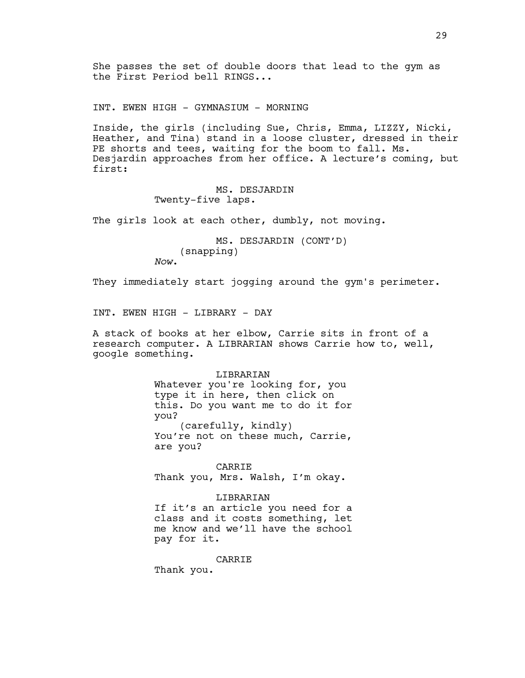She passes the set of double doors that lead to the gym as the First Period bell RINGS...

INT. EWEN HIGH - GYMNASIUM - MORNING

Inside, the girls (including Sue, Chris, Emma, LIZZY, Nicki, Heather, and Tina) stand in a loose cluster, dressed in their PE shorts and tees, waiting for the boom to fall. Ms. Desjardin approaches from her office. A lecture's coming, but first:

> MS. DESJARDIN Twenty-five laps.

The girls look at each other, dumbly, not moving.

MS. DESJARDIN (CONT'D) (snapping) *Now*.

They immediately start jogging around the gym's perimeter.

INT. EWEN HIGH - LIBRARY - DAY

A stack of books at her elbow, Carrie sits in front of a research computer. A LIBRARIAN shows Carrie how to, well, google something.

> LIBRARIAN Whatever you're looking for, you type it in here, then click on this. Do you want me to do it for you? (carefully, kindly) You're not on these much, Carrie, are you?

> > CARRIE

Thank you, Mrs. Walsh, I'm okay.

LIBRARIAN If it's an article you need for a class and it costs something, let me know and we'll have the school

CARRIE

Thank you.

pay for it.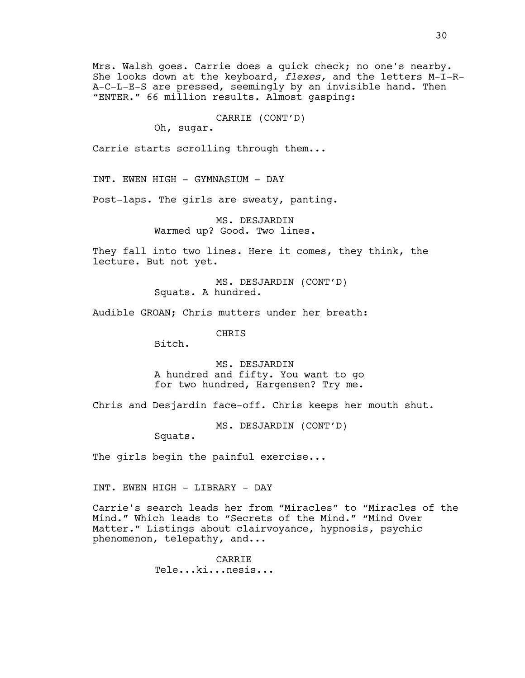Mrs. Walsh goes. Carrie does a quick check; no one's nearby. She looks down at the keyboard, *flexes,* and the letters M-I-R-A-C-L-E-S are pressed, seemingly by an invisible hand. Then "ENTER." 66 million results. Almost gasping:

CARRIE (CONT'D)

Oh, sugar.

Carrie starts scrolling through them...

INT. EWEN HIGH - GYMNASIUM - DAY

Post-laps. The girls are sweaty, panting.

MS. DESJARDIN Warmed up? Good. Two lines.

They fall into two lines. Here it comes, they think, the lecture. But not yet.

> MS. DESJARDIN (CONT'D) Squats. A hundred.

Audible GROAN; Chris mutters under her breath:

CHRIS

Bitch.

MS. DESJARDIN A hundred and fifty. You want to go for two hundred, Hargensen? Try me.

Chris and Desjardin face-off. Chris keeps her mouth shut.

MS. DESJARDIN (CONT'D)

Squats.

The girls begin the painful exercise...

INT. EWEN HIGH - LIBRARY - DAY

Carrie's search leads her from "Miracles" to "Miracles of the Mind." Which leads to "Secrets of the Mind." "Mind Over Matter." Listings about clairvoyance, hypnosis, psychic phenomenon, telepathy, and...

> CARRIE Tele...ki...nesis...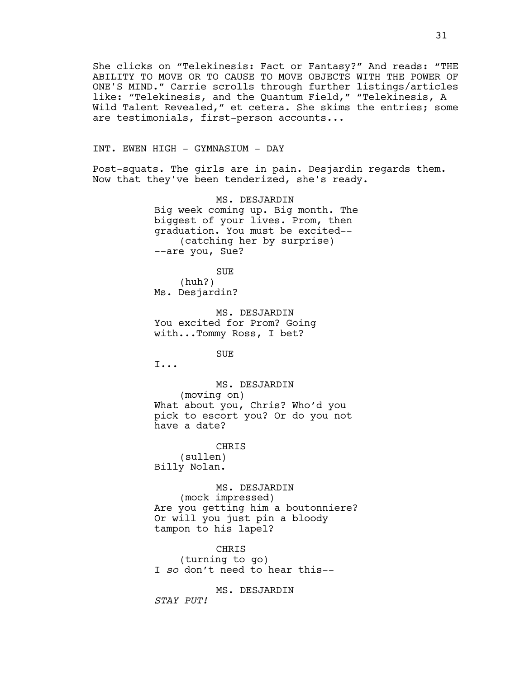She clicks on "Telekinesis: Fact or Fantasy?" And reads: "THE ABILITY TO MOVE OR TO CAUSE TO MOVE OBJECTS WITH THE POWER OF ONE'S MIND." Carrie scrolls through further listings/articles like: "Telekinesis, and the Quantum Field," "Telekinesis, A Wild Talent Revealed," et cetera. She skims the entries; some are testimonials, first-person accounts...

### INT. EWEN HIGH - GYMNASIUM - DAY

Post-squats. The girls are in pain. Desjardin regards them. Now that they've been tenderized, she's ready.

> MS. DESJARDIN Big week coming up. Big month. The biggest of your lives. Prom, then graduation. You must be excited-- (catching her by surprise) --are you, Sue?

SUE (huh?) Ms. Desjardin?

MS. DESJARDIN You excited for Prom? Going with...Tommy Ross, I bet?

SUE

I...

MS. DESJARDIN (moving on) What about you, Chris? Who'd you pick to escort you? Or do you not have a date?

CHRIS (sullen) Billy Nolan.

MS. DESJARDIN (mock impressed) Are you getting him a boutonniere? Or will you just pin a bloody tampon to his lapel?

CHRIS (turning to go) I *so* don't need to hear this--

MS. DESJARDIN

*STAY PUT!*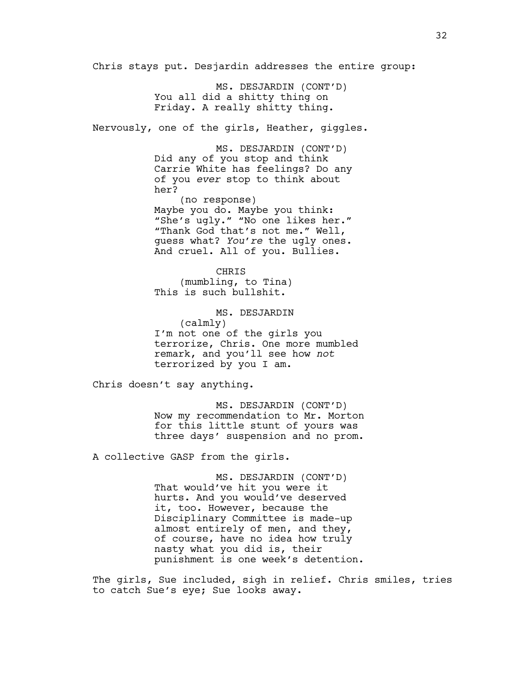Chris stays put. Desjardin addresses the entire group:

MS. DESJARDIN (CONT'D) You all did a shitty thing on Friday. A really shitty thing.

Nervously, one of the girls, Heather, giggles.

MS. DESJARDIN (CONT'D) Did any of you stop and think Carrie White has feelings? Do any of you *ever* stop to think about her?

(no response) Maybe you do. Maybe you think: "She's ugly." "No one likes her." "Thank God that's not me." Well, guess what? *You're* the ugly ones. And cruel. All of you. Bullies.

CHRIS (mumbling, to Tina) This is such bullshit.

MS. DESJARDIN (calmly) I'm not one of the girls you terrorize, Chris. One more mumbled remark, and you'll see how *not* terrorized by you I am.

Chris doesn't say anything.

MS. DESJARDIN (CONT'D) Now my recommendation to Mr. Morton for this little stunt of yours was three days' suspension and no prom.

A collective GASP from the girls.

MS. DESJARDIN (CONT'D) That would've hit you were it hurts. And you would've deserved it, too. However, because the Disciplinary Committee is made-up almost entirely of men, and they, of course, have no idea how truly nasty what you did is, their punishment is one week's detention.

The girls, Sue included, sigh in relief. Chris smiles, tries to catch Sue's eye; Sue looks away.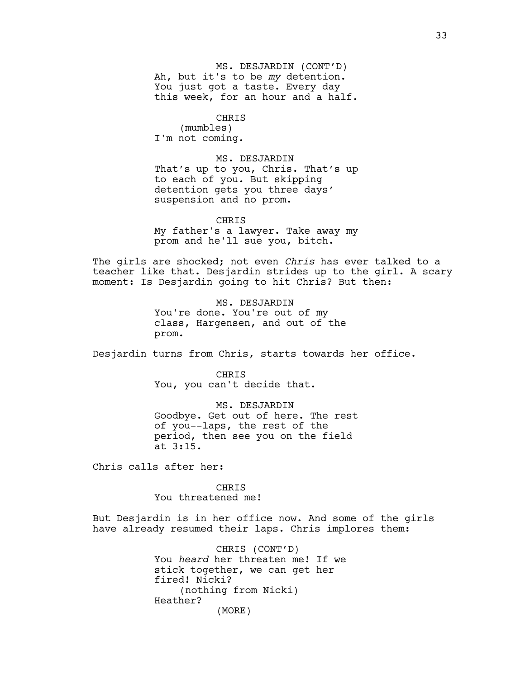MS. DESJARDIN (CONT'D) Ah, but it's to be *my* detention. You just got a taste. Every day this week, for an hour and a half.

CHRIS (mumbles) I'm not coming.

MS. DESJARDIN That's up to you, Chris. That's up to each of you. But skipping detention gets you three days' suspension and no prom.

CHRIS My father's a lawyer. Take away my prom and he'll sue you, bitch.

The girls are shocked; not even *Chris* has ever talked to a teacher like that. Desjardin strides up to the girl. A scary moment: Is Desjardin going to hit Chris? But then:

> MS. DESJARDIN You're done. You're out of my class, Hargensen, and out of the prom.

Desjardin turns from Chris, starts towards her office.

CHRIS You, you can't decide that.

MS. DESJARDIN Goodbye. Get out of here. The rest of you--laps, the rest of the period, then see you on the field at 3:15.

Chris calls after her:

# CHRIS

You threatened me!

But Desjardin is in her office now. And some of the girls have already resumed their laps. Chris implores them:

> CHRIS (CONT'D) You *heard* her threaten me! If we stick together, we can get her fired! Nicki? (nothing from Nicki) Heather? (MORE)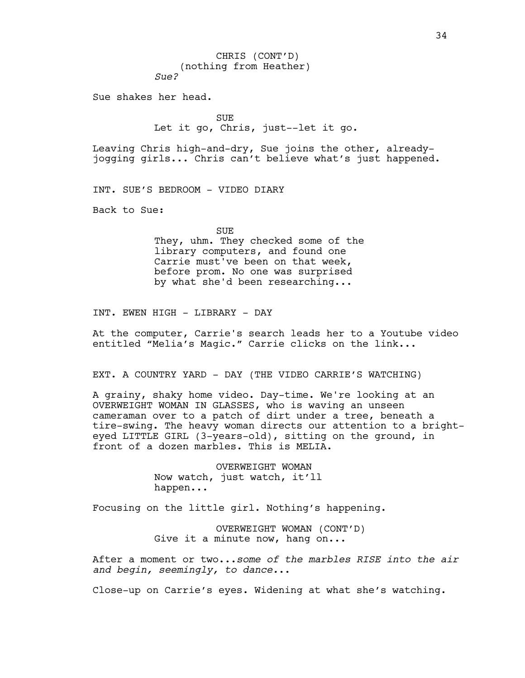# (nothing from Heather) *Sue?* CHRIS (CONT'D)

Sue shakes her head.

SUE

Let it go, Chris, just--let it go.

Leaving Chris high-and-dry, Sue joins the other, alreadyjogging girls... Chris can't believe what's just happened.

INT. SUE'S BEDROOM - VIDEO DIARY

Back to Sue:

SUE

They, uhm. They checked some of the library computers, and found one Carrie must've been on that week, before prom. No one was surprised by what she'd been researching...

INT. EWEN HIGH - LIBRARY - DAY

At the computer, Carrie's search leads her to a Youtube video entitled "Melia's Magic." Carrie clicks on the link...

EXT. A COUNTRY YARD - DAY (THE VIDEO CARRIE'S WATCHING)

A grainy, shaky home video. Day-time. We're looking at an OVERWEIGHT WOMAN IN GLASSES, who is waving an unseen cameraman over to a patch of dirt under a tree, beneath a tire-swing. The heavy woman directs our attention to a brighteyed LITTLE GIRL (3-years-old), sitting on the ground, in front of a dozen marbles. This is MELIA.

> OVERWEIGHT WOMAN Now watch, just watch, it'll happen...

Focusing on the little girl. Nothing's happening.

OVERWEIGHT WOMAN (CONT'D) Give it a minute now, hang on...

After a moment or two...*some of the marbles RISE into the air and begin, seemingly, to dance.*..

Close-up on Carrie's eyes. Widening at what she's watching.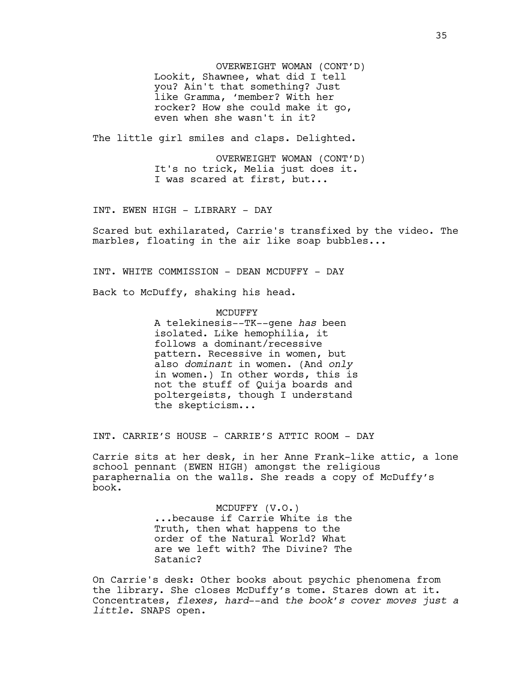OVERWEIGHT WOMAN (CONT'D) Lookit, Shawnee, what did I tell you? Ain't that something? Just like Gramma, 'member? With her rocker? How she could make it go, even when she wasn't in it?

The little girl smiles and claps. Delighted.

OVERWEIGHT WOMAN (CONT'D) It's no trick, Melia just does it. I was scared at first, but...

INT. EWEN HIGH - LIBRARY - DAY

Scared but exhilarated, Carrie's transfixed by the video. The marbles, floating in the air like soap bubbles...

INT. WHITE COMMISSION - DEAN MCDUFFY - DAY

Back to McDuffy, shaking his head.

MCDUFFY A telekinesis--TK--gene *has* been isolated. Like hemophilia, it follows a dominant/recessive pattern. Recessive in women, but also *dominant* in women. (And *only* in women.) In other words, this is not the stuff of Quija boards and poltergeists, though I understand the skepticism...

INT. CARRIE'S HOUSE - CARRIE'S ATTIC ROOM - DAY

Carrie sits at her desk, in her Anne Frank-like attic, a lone school pennant (EWEN HIGH) amongst the religious paraphernalia on the walls. She reads a copy of McDuffy's book.

> MCDUFFY (V.O.) ...because if Carrie White is the Truth, then what happens to the order of the Natural World? What are we left with? The Divine? The Satanic?

On Carrie's desk: Other books about psychic phenomena from the library. She closes McDuffy's tome. Stares down at it. Concentrates, *flexes, hard*--and *the book's cover moves just a little*. SNAPS open.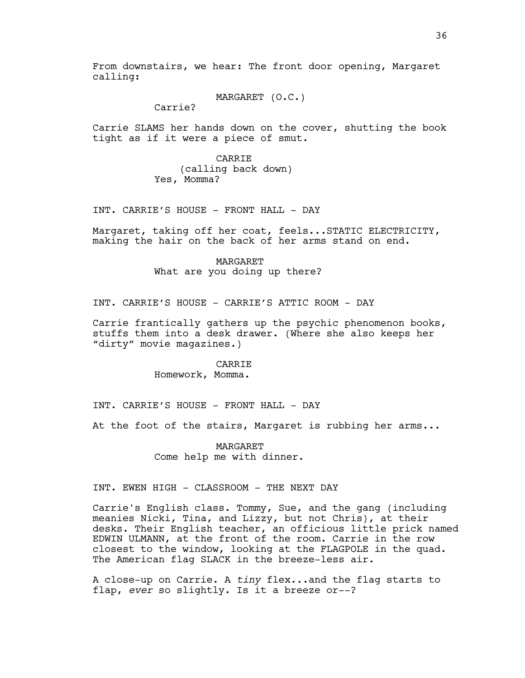From downstairs, we hear: The front door opening, Margaret calling:

MARGARET (O.C.)

Carrie?

Carrie SLAMS her hands down on the cover, shutting the book tight as if it were a piece of smut.

> CARRIE (calling back down) Yes, Momma?

INT. CARRIE'S HOUSE - FRONT HALL - DAY

Margaret, taking off her coat, feels...STATIC ELECTRICITY, making the hair on the back of her arms stand on end.

> MARGARET What are you doing up there?

INT. CARRIE'S HOUSE - CARRIE'S ATTIC ROOM - DAY

Carrie frantically gathers up the psychic phenomenon books, stuffs them into a desk drawer. (Where she also keeps her "dirty" movie magazines.)

> **CARRIE** Homework, Momma.

INT. CARRIE'S HOUSE - FRONT HALL - DAY

At the foot of the stairs, Margaret is rubbing her arms...

MARGARET Come help me with dinner.

INT. EWEN HIGH - CLASSROOM - THE NEXT DAY

Carrie's English class. Tommy, Sue, and the gang (including meanies Nicki, Tina, and Lizzy, but not Chris), at their desks. Their English teacher, an officious little prick named EDWIN ULMANN, at the front of the room. Carrie in the row closest to the window, looking at the FLAGPOLE in the quad. The American flag SLACK in the breeze-less air.

A close-up on Carrie. A *tiny* flex...and the flag starts to flap, *ever* so slightly. Is it a breeze or--?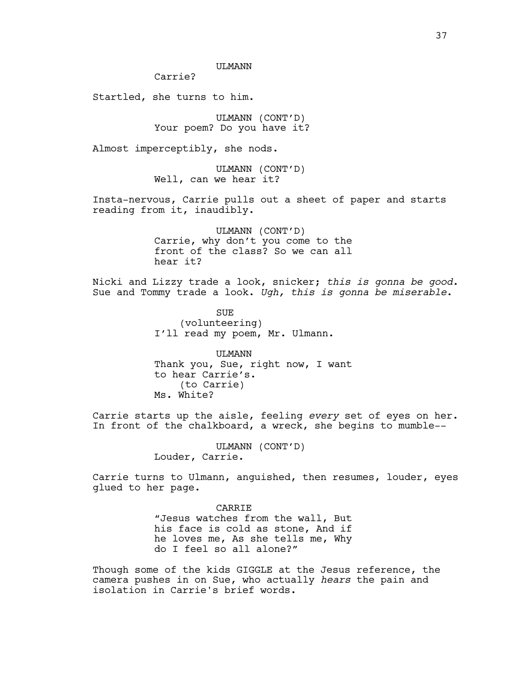Carrie?

Startled, she turns to him.

ULMANN (CONT'D) Your poem? Do you have it?

Almost imperceptibly, she nods.

ULMANN (CONT'D) Well, can we hear it?

Insta-nervous, Carrie pulls out a sheet of paper and starts reading from it, inaudibly.

> ULMANN (CONT'D) Carrie, why don't you come to the front of the class? So we can all hear it?

Nicki and Lizzy trade a look, snicker; *this is gonna be good*. Sue and Tommy trade a look. *Ugh, this is gonna be miserable*.

> **SUE** (volunteering) I'll read my poem, Mr. Ulmann.

ULMANN Thank you, Sue, right now, I want to hear Carrie's. (to Carrie) Ms. White?

Carrie starts up the aisle, feeling *every* set of eyes on her. In front of the chalkboard, a wreck, she begins to mumble--

> ULMANN (CONT'D) Louder, Carrie.

Carrie turns to Ulmann, anguished, then resumes, louder, eyes glued to her page.

> CARRIE "Jesus watches from the wall, But his face is cold as stone, And if he loves me, As she tells me, Why do I feel so all alone?"

Though some of the kids GIGGLE at the Jesus reference, the camera pushes in on Sue, who actually *hears* the pain and isolation in Carrie's brief words.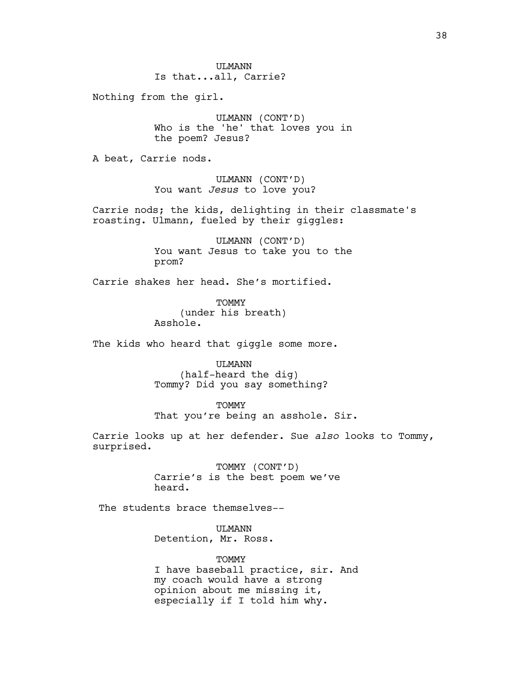Nothing from the girl.

ULMANN (CONT'D) Who is the 'he' that loves you in the poem? Jesus?

A beat, Carrie nods.

ULMANN (CONT'D) You want *Jesus* to love you?

Carrie nods; the kids, delighting in their classmate's roasting. Ulmann, fueled by their giggles:

> ULMANN (CONT'D) You want Jesus to take you to the prom?

Carrie shakes her head. She's mortified.

TOMMY (under his breath) Asshole.

The kids who heard that giggle some more.

ULMANN (half-heard the dig) Tommy? Did you say something?

TOMMY That you're being an asshole. Sir.

Carrie looks up at her defender. Sue *also* looks to Tommy, surprised.

> TOMMY (CONT'D) Carrie's is the best poem we've heard.

The students brace themselves--

ULMANN Detention, Mr. Ross.

TOMMY I have baseball practice, sir. And my coach would have a strong opinion about me missing it, especially if I told him why.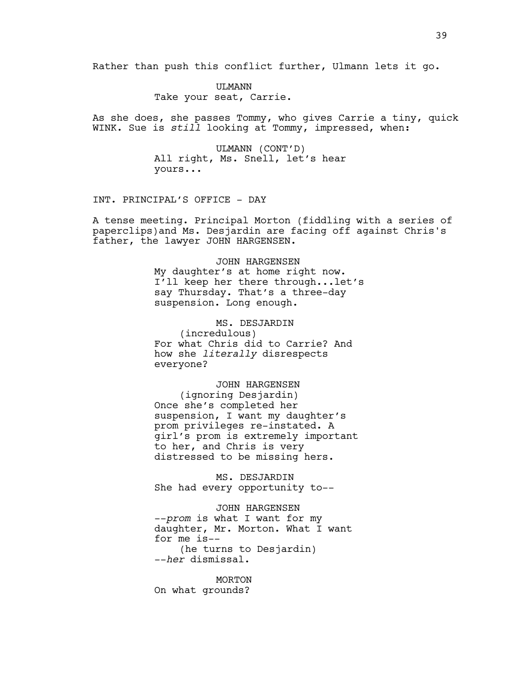Rather than push this conflict further, Ulmann lets it go.

ULMANN Take your seat, Carrie.

As she does, she passes Tommy, who gives Carrie a tiny, quick WINK. Sue is *still* looking at Tommy, impressed, when:

> ULMANN (CONT'D) All right, Ms. Snell, let's hear yours...

INT. PRINCIPAL'S OFFICE - DAY

A tense meeting. Principal Morton (fiddling with a series of paperclips)and Ms. Desjardin are facing off against Chris's father, the lawyer JOHN HARGENSEN.

> JOHN HARGENSEN My daughter's at home right now. I'll keep her there through...let's say Thursday. That's a three-day suspension. Long enough.

MS. DESJARDIN (incredulous) For what Chris did to Carrie? And how she *literally* disrespects everyone?

### JOHN HARGENSEN

(ignoring Desjardin) Once she's completed her suspension, I want my daughter's prom privileges re-instated. A girl's prom is extremely important to her, and Chris is very distressed to be missing hers.

MS. DESJARDIN She had every opportunity to--

JOHN HARGENSEN --*prom* is what I want for my daughter, Mr. Morton. What I want for me is-- (he turns to Desjardin) --*her* dismissal.

MORTON On what grounds?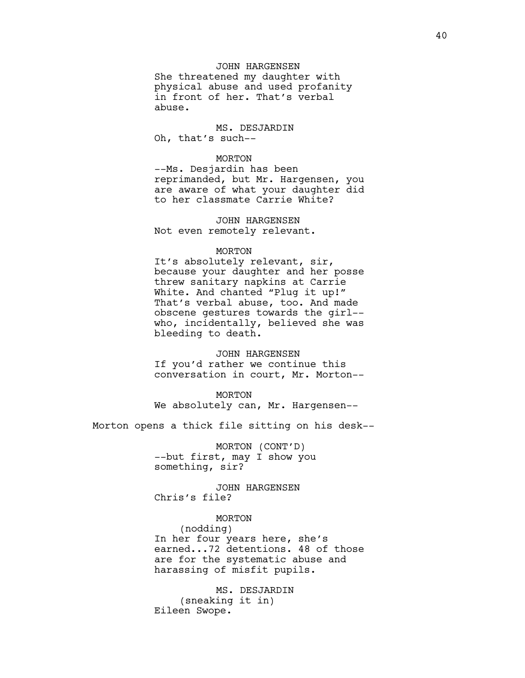# JOHN HARGENSEN

She threatened my daughter with physical abuse and used profanity in front of her. That's verbal abuse.

MS. DESJARDIN Oh, that's such--

### MORTON

--Ms. Desjardin has been reprimanded, but Mr. Hargensen, you are aware of what your daughter did to her classmate Carrie White?

JOHN HARGENSEN Not even remotely relevant.

#### MORTON

It's absolutely relevant, sir, because your daughter and her posse threw sanitary napkins at Carrie White. And chanted "Plug it up!" That's verbal abuse, too. And made obscene gestures towards the girl- who, incidentally, believed she was bleeding to death.

JOHN HARGENSEN If you'd rather we continue this conversation in court, Mr. Morton--

MORTON We absolutely can, Mr. Hargensen--

Morton opens a thick file sitting on his desk--

MORTON (CONT'D) --but first, may I show you something, sir?

JOHN HARGENSEN Chris's file?

MORTON (nodding) In her four years here, she's earned...72 detentions. 48 of those are for the systematic abuse and harassing of misfit pupils.

MS. DESJARDIN (sneaking it in) Eileen Swope.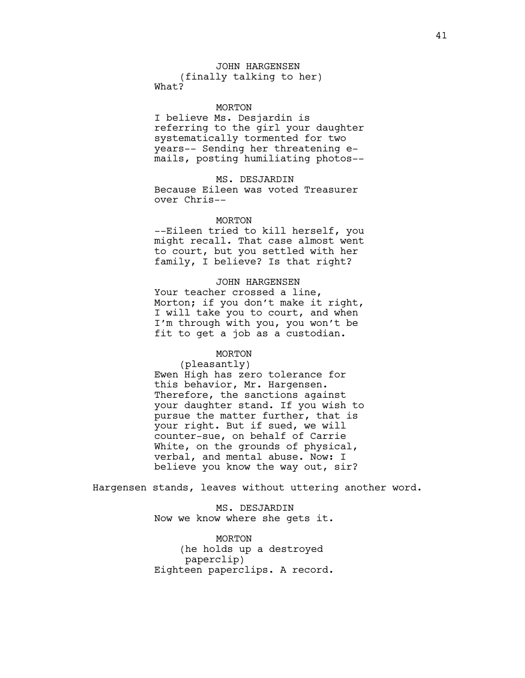# JOHN HARGENSEN

(finally talking to her) What?

## MORTON

I believe Ms. Desjardin is referring to the girl your daughter systematically tormented for two years-- Sending her threatening emails, posting humiliating photos--

# MS. DESJARDIN

Because Eileen was voted Treasurer over Chris--

## MORTON

--Eileen tried to kill herself, you might recall. That case almost went to court, but you settled with her family, I believe? Is that right?

## JOHN HARGENSEN

Your teacher crossed a line, Morton; if you don't make it right, I will take you to court, and when I'm through with you, you won't be fit to get a job as a custodian.

## MORTON

# (pleasantly)

Ewen High has zero tolerance for this behavior, Mr. Hargensen. Therefore, the sanctions against your daughter stand. If you wish to pursue the matter further, that is your right. But if sued, we will counter-sue, on behalf of Carrie White, on the grounds of physical, verbal, and mental abuse. Now: I believe you know the way out, sir?

Hargensen stands, leaves without uttering another word.

MS. DESJARDIN Now we know where she gets it.

MORTON (he holds up a destroyed paperclip) Eighteen paperclips. A record.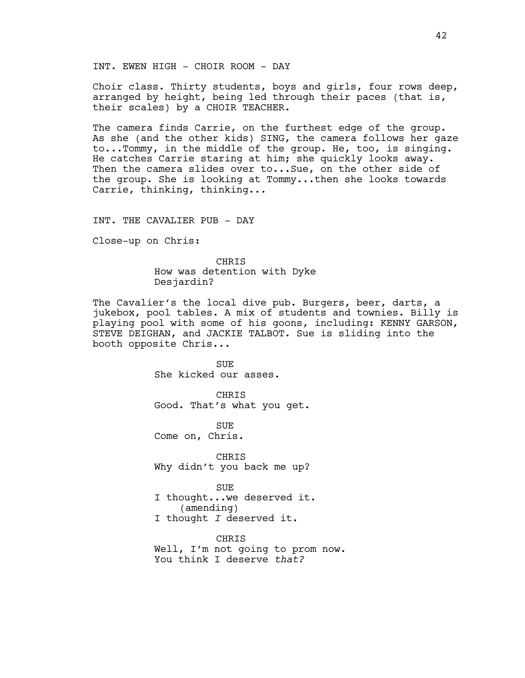INT. EWEN HIGH - CHOIR ROOM - DAY

Choir class. Thirty students, boys and girls, four rows deep, arranged by height, being led through their paces (that is, their scales) by a CHOIR TEACHER.

The camera finds Carrie, on the furthest edge of the group. As she (and the other kids) SING, the camera follows her gaze to...Tommy, in the middle of the group. He, too, is singing. He catches Carrie staring at him; she quickly looks away. Then the camera slides over to...Sue, on the other side of the group. She is looking at Tommy...then she looks towards Carrie, thinking, thinking...

INT. THE CAVALIER PUB - DAY

Close-up on Chris:

CHRIS How was detention with Dyke Desjardin?

The Cavalier's the local dive pub. Burgers, beer, darts, a jukebox, pool tables. A mix of students and townies. Billy is playing pool with some of his goons, including: KENNY GARSON, STEVE DEIGHAN, and JACKIE TALBOT. Sue is sliding into the booth opposite Chris...

> SUE She kicked our asses.

CHRIS Good. That's what you get.

SUE Come on, Chris.

CHRIS Why didn't you back me up?

SUE I thought...we deserved it. (amending) I thought *I* deserved it.

CHRIS Well, I'm not going to prom now. You think I deserve *that?*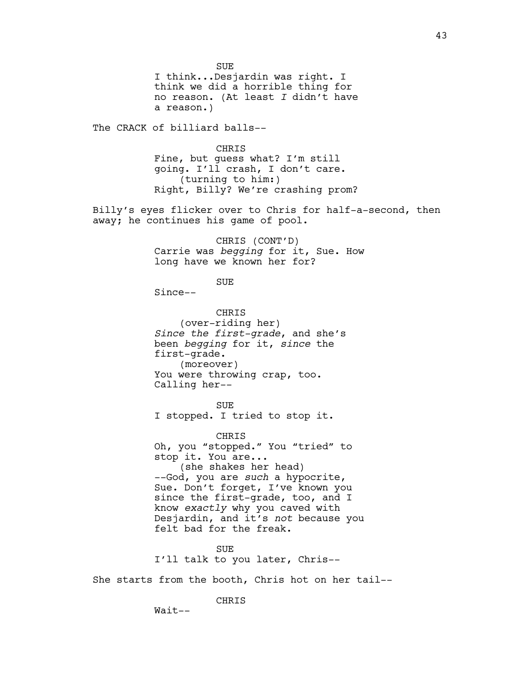**SUE** I think...Desjardin was right. I think we did a horrible thing for no reason. (At least *I* didn't have a reason.) The CRACK of billiard balls-- CHRIS Fine, but guess what? I'm still going. I'll crash, I don't care. (turning to him:) Right, Billy? We're crashing prom? Billy's eyes flicker over to Chris for half-a-second, then away; he continues his game of pool. CHRIS (CONT'D) Carrie was *begging* for it, Sue. How long have we known her for? SUE Since-- CHRIS (over-riding her) *Since the first-grade*, and she's been *begging* for it, *since* the first-grade. (moreover) You were throwing crap, too. Calling her-- SUE I stopped. I tried to stop it. CHRIS Oh, you "stopped." You "tried" to stop it. You are... (she shakes her head) --God, you are *such* a hypocrite, Sue. Don't forget, I've known you since the first-grade, too, and I know *exactly* why you caved with Desjardin, and it's *not* because you felt bad for the freak. **SUE** I'll talk to you later, Chris-- She starts from the booth, Chris hot on her tail-- CHRIS

Wait--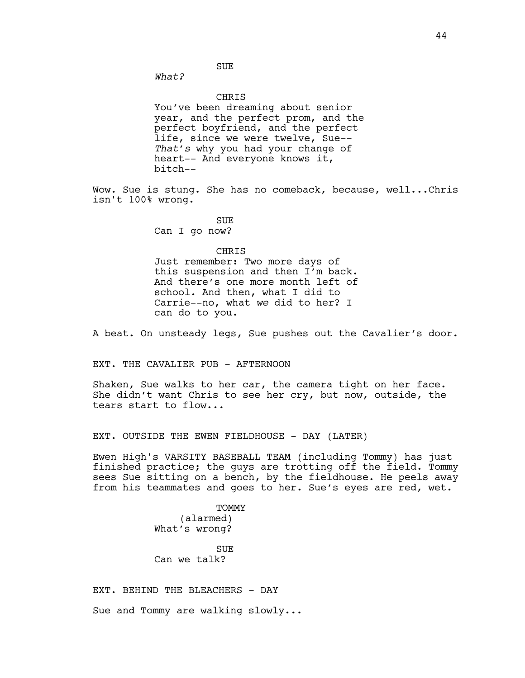SUE

*What?*

### CHRIS

You've been dreaming about senior year, and the perfect prom, and the perfect boyfriend, and the perfect life, since we were twelve, Sue-- *That's* why you had your change of heart-- And everyone knows it, bitch--

Wow. Sue is stung. She has no comeback, because, well...Chris isn't 100% wrong.

> **SUE** Can I go now?

#### CHRIS

Just remember: Two more days of this suspension and then I'm back. And there's one more month left of school. And then, what I did to Carrie--no, what *we* did to her? I can do to you.

A beat. On unsteady legs, Sue pushes out the Cavalier's door.

EXT. THE CAVALIER PUB - AFTERNOON

Shaken, Sue walks to her car, the camera tight on her face. She didn't want Chris to see her cry, but now, outside, the tears start to flow...

EXT. OUTSIDE THE EWEN FIELDHOUSE - DAY (LATER)

Ewen High's VARSITY BASEBALL TEAM (including Tommy) has just finished practice; the guys are trotting off the field. Tommy sees Sue sitting on a bench, by the fieldhouse. He peels away from his teammates and goes to her. Sue's eyes are red, wet.

> TOMMY (alarmed) What's wrong?

**SUE** Can we talk?

EXT. BEHIND THE BLEACHERS - DAY

Sue and Tommy are walking slowly...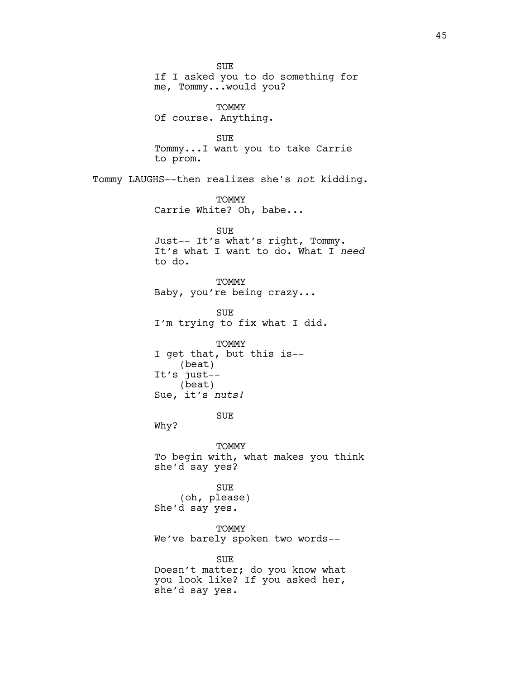SUE If I asked you to do something for me, Tommy...would you? TOMMY Of course. Anything. SUE Tommy...I want you to take Carrie to prom. Tommy LAUGHS--then realizes she's *not* kidding. TOMMY Carrie White? Oh, babe... SUE Just-- It's what's right, Tommy. It's what I want to do. What I *need* to do. TOMMY Baby, you're being crazy... SUE I'm trying to fix what I did. TOMMY I get that, but this is-- (beat) It's just-- (beat) Sue, it's *nuts!* SUE Why? TOMMY To begin with, what makes you think she'd say yes? SUE (oh, please) She'd say yes. TOMMY We've barely spoken two words-- SUE Doesn't matter; do you know what you look like? If you asked her, she'd say yes.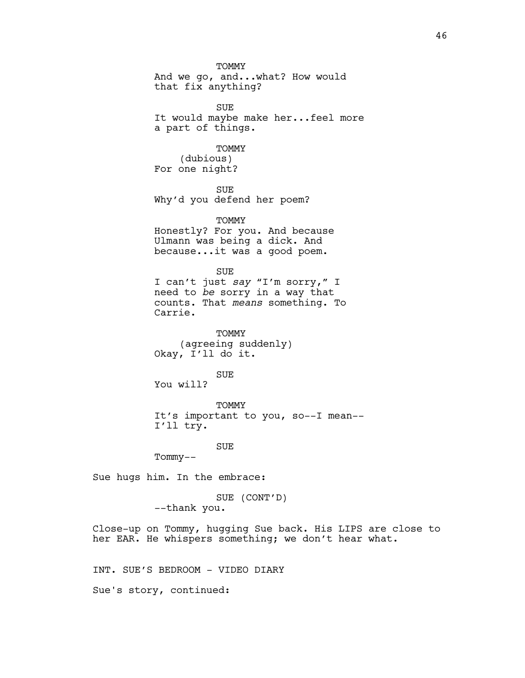TOMMY And we go, and...what? How would that fix anything? SUE It would maybe make her...feel more a part of things. TOMMY (dubious) For one night? SUE Why'd you defend her poem? TOMMY Honestly? For you. And because Ulmann was being a dick. And because...it was a good poem. SUE I can't just *say* "I'm sorry," I need to *be* sorry in a way that counts. That *means* something. To Carrie. TOMMY (agreeing suddenly) Okay, I'll do it. SUE You will? TOMMY It's important to you, so--I mean-- I'll try. SUE Tommy-- Sue hugs him. In the embrace: SUE (CONT'D) --thank you.

Close-up on Tommy, hugging Sue back. His LIPS are close to her EAR. He whispers something; we don't hear what.

INT. SUE'S BEDROOM - VIDEO DIARY

Sue's story, continued: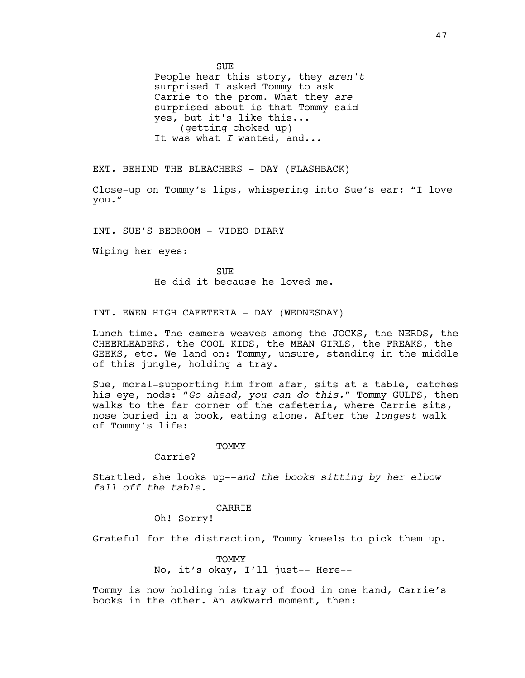**SUE** 

People hear this story, they *aren't* surprised I asked Tommy to ask Carrie to the prom. What they *are* surprised about is that Tommy said yes, but it's like this... (getting choked up) It was what *I* wanted, and...

EXT. BEHIND THE BLEACHERS - DAY (FLASHBACK)

Close-up on Tommy's lips, whispering into Sue's ear: "I love you."

INT. SUE'S BEDROOM - VIDEO DIARY

Wiping her eyes:

**SUE** He did it because he loved me.

INT. EWEN HIGH CAFETERIA - DAY (WEDNESDAY)

Lunch-time. The camera weaves among the JOCKS, the NERDS, the CHEERLEADERS, the COOL KIDS, the MEAN GIRLS, the FREAKS, the GEEKS, etc. We land on: Tommy, unsure, standing in the middle of this jungle, holding a tray.

Sue, moral-supporting him from afar, sits at a table, catches his eye, nods: *"Go ahead, you can do this."* Tommy GULPS, then walks to the far corner of the cafeteria, where Carrie sits, nose buried in a book, eating alone. After the *longest* walk of Tommy's life:

### TOMMY

Carrie?

Startled, she looks up--*and the books sitting by her elbow fall off the table.*

CARRIE

Oh! Sorry!

Grateful for the distraction, Tommy kneels to pick them up.

TOMMY No, it's okay, I'll just-- Here--

Tommy is now holding his tray of food in one hand, Carrie's books in the other. An awkward moment, then: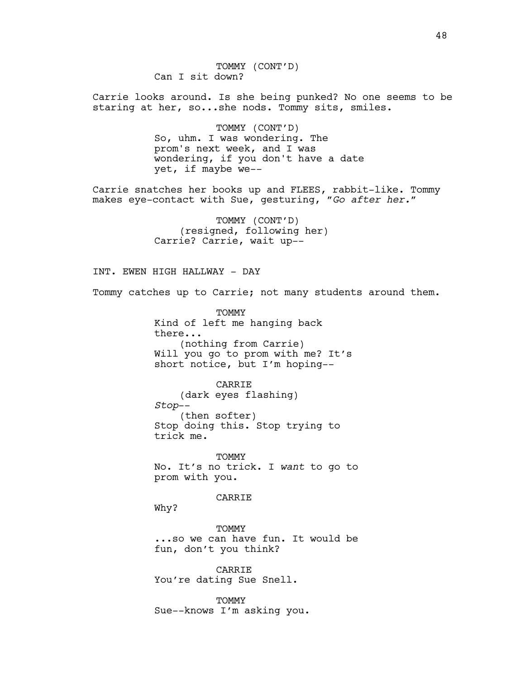TOMMY (CONT'D) Can I sit down?

Carrie looks around. Is she being punked? No one seems to be staring at her, so...she nods. Tommy sits, smiles.

> TOMMY (CONT'D) So, uhm. I was wondering. The prom's next week, and I was wondering, if you don't have a date yet, if maybe we--

Carrie snatches her books up and FLEES, rabbit-like. Tommy makes eye-contact with Sue, gesturing, *"Go after her."*

> TOMMY (CONT'D) (resigned, following her) Carrie? Carrie, wait up--

INT. EWEN HIGH HALLWAY - DAY

Tommy catches up to Carrie; not many students around them.

**TOMMY** Kind of left me hanging back there... (nothing from Carrie) Will you go to prom with me? It's short notice, but I'm hoping--

CARRIE (dark eyes flashing) *Stop*-- (then softer) Stop doing this. Stop trying to trick me.

TOMMY No. It's no trick. I *want* to go to prom with you.

CARRIE

Why?

TOMMY ...so we can have fun. It would be fun, don't you think?

CARRIE You're dating Sue Snell.

TOMMY Sue--knows I'm asking you.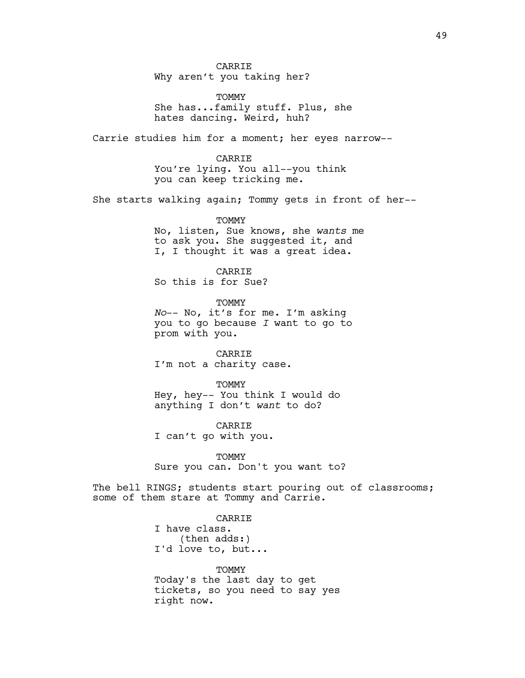**CARRIE** Why aren't you taking her?

TOMMY She has...family stuff. Plus, she hates dancing. Weird, huh?

Carrie studies him for a moment; her eyes narrow--

CARRIE You're lying. You all--you think you can keep tricking me.

She starts walking again; Tommy gets in front of her--

TOMMY No, listen, Sue knows, she *wants* me to ask you. She suggested it, and I, I thought it was a great idea.

CARRIE So this is for Sue?

TOMMY *No*-- No, it's for me. I'm asking you to go because *I* want to go to prom with you.

CARRIE I'm not a charity case.

TOMMY Hey, hey-- You think I would do anything I don't *want* to do?

CARRIE I can't go with you.

TOMMY Sure you can. Don't you want to?

The bell RINGS; students start pouring out of classrooms; some of them stare at Tommy and Carrie.

> CARRIE I have class. (then adds:) I'd love to, but...

TOMMY Today's the last day to get tickets, so you need to say yes right now.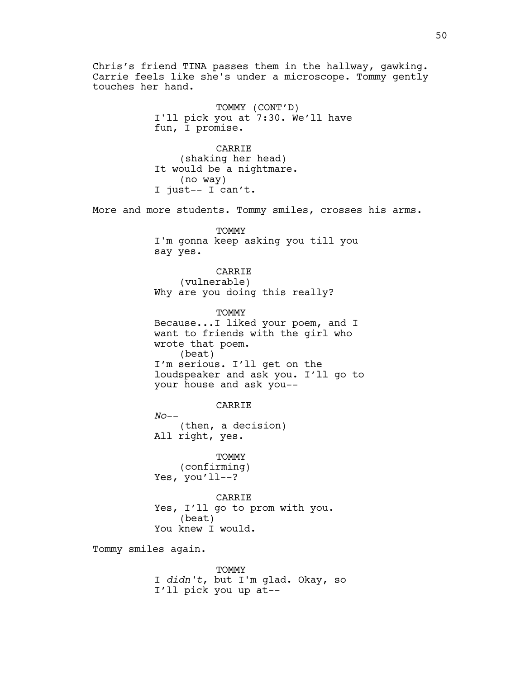Chris's friend TINA passes them in the hallway, gawking. Carrie feels like she's under a microscope. Tommy gently touches her hand. TOMMY (CONT'D) I'll pick you at 7:30. We'll have fun, I promise. CARRIE (shaking her head) It would be a nightmare. (no way) I just-- I can't. More and more students. Tommy smiles, crosses his arms. TOMMY I'm gonna keep asking you till you say yes. CARRIE (vulnerable) Why are you doing this really? TOMMY Because...I liked your poem, and I want to friends with the girl who wrote that poem. (beat) I'm serious. I'll get on the loudspeaker and ask you. I'll go to your house and ask you-- CARRIE *No--* (then, a decision) All right, yes. TOMMY (confirming) Yes, you'll--? CARRIE Yes, I'll go to prom with you. (beat) You knew I would. Tommy smiles again. TOMMY I *didn't*, but I'm glad. Okay, so I'll pick you up at--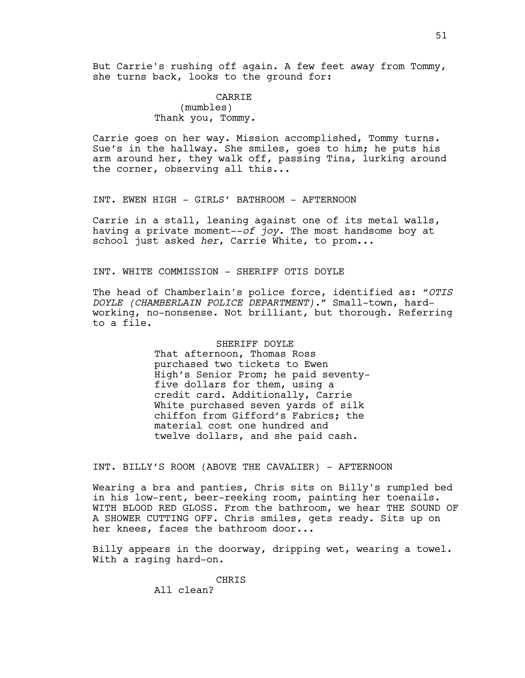But Carrie's rushing off again. A few feet away from Tommy, she turns back, looks to the ground for:

# CARRIE (mumbles) Thank you, Tommy.

Carrie goes on her way. Mission accomplished, Tommy turns. Sue's in the hallway. She smiles, goes to him; he puts his arm around her, they walk off, passing Tina, lurking around the corner, observing all this...

## INT. EWEN HIGH - GIRLS' BATHROOM - AFTERNOON

Carrie in a stall, leaning against one of its metal walls, having a private moment--*of joy*. The most handsome boy at school just asked *her*, Carrie White, to prom...

INT. WHITE COMMISSION - SHERIFF OTIS DOYLE

The head of Chamberlain's police force, identified as: *"OTIS DOYLE (CHAMBERLAIN POLICE DEPARTMENT)."* Small-town, hardworking, no-nonsense. Not brilliant, but thorough. Referring to a file.

# SHERIFF DOYLE

That afternoon, Thomas Ross purchased two tickets to Ewen High's Senior Prom; he paid seventyfive dollars for them, using a credit card. Additionally, Carrie White purchased seven yards of silk chiffon from Gifford's Fabrics; the material cost one hundred and twelve dollars, and she paid cash.

INT. BILLY'S ROOM (ABOVE THE CAVALIER) - AFTERNOON

Wearing a bra and panties, Chris sits on Billy's rumpled bed in his low-rent, beer-reeking room, painting her toenails. WITH BLOOD RED GLOSS. From the bathroom, we hear THE SOUND OF A SHOWER CUTTING OFF. Chris smiles, gets ready. Sits up on her knees, faces the bathroom door...

Billy appears in the doorway, dripping wet, wearing a towel. With a raging hard-on.

> CHRIS All clean?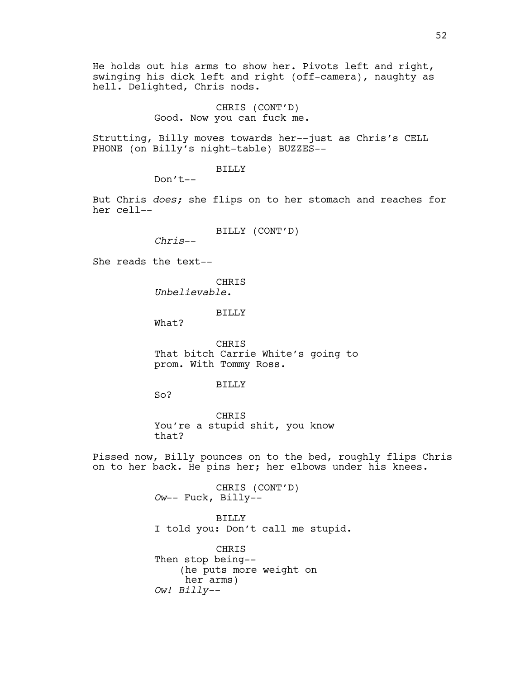He holds out his arms to show her. Pivots left and right, swinging his dick left and right (off-camera), naughty as hell. Delighted, Chris nods.

> CHRIS (CONT'D) Good. Now you can fuck me.

Strutting, Billy moves towards her--just as Chris's CELL PHONE (on Billy's night-table) BUZZES--

BILLY

Don't--

But Chris *does;* she flips on to her stomach and reaches for her cell--

BILLY (CONT'D)

*Chris*--

She reads the text--

CHRIS *Unbelievable*.

BILLY

What?

CHRIS That bitch Carrie White's going to prom. With Tommy Ross.

## BILLY

So?

CHRIS You're a stupid shit, you know that?

Pissed now, Billy pounces on to the bed, roughly flips Chris on to her back. He pins her; her elbows under his knees.

> CHRIS (CONT'D) *Ow*-- Fuck, Billy-- BILLY I told you: Don't call me stupid. CHRIS Then stop being-- (he puts more weight on her arms) *Ow! Billy--*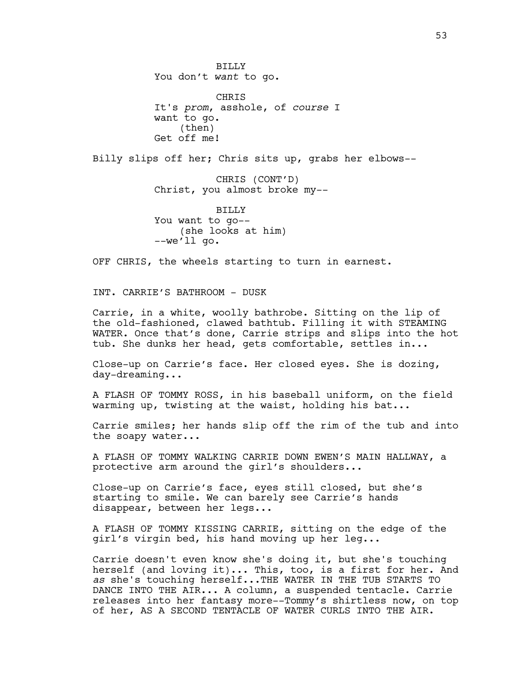BILLY You don't *want* to go.

CHRIS It's *prom*, asshole, of *course* I want to go. (then) Get off me!

Billy slips off her; Chris sits up, grabs her elbows--

CHRIS (CONT'D) Christ, you almost broke my--

BILLY You want to go-- (she looks at him)  $-$ -we'll go.

OFF CHRIS, the wheels starting to turn in earnest.

INT. CARRIE'S BATHROOM - DUSK

Carrie, in a white, woolly bathrobe. Sitting on the lip of the old-fashioned, clawed bathtub. Filling it with STEAMING WATER. Once that's done, Carrie strips and slips into the hot tub. She dunks her head, gets comfortable, settles in...

Close-up on Carrie's face. Her closed eyes. She is dozing, day-dreaming...

A FLASH OF TOMMY ROSS, in his baseball uniform, on the field warming up, twisting at the waist, holding his bat...

Carrie smiles; her hands slip off the rim of the tub and into the soapy water...

A FLASH OF TOMMY WALKING CARRIE DOWN EWEN'S MAIN HALLWAY, a protective arm around the girl's shoulders...

Close-up on Carrie's face, eyes still closed, but she's starting to smile. We can barely see Carrie's hands disappear, between her legs...

A FLASH OF TOMMY KISSING CARRIE, sitting on the edge of the girl's virgin bed, his hand moving up her leg...

Carrie doesn't even know she's doing it, but she's touching herself (and loving it)... This, too, is a first for her. And *as* she's touching herself...THE WATER IN THE TUB STARTS TO DANCE INTO THE AIR... A column, a suspended tentacle. Carrie releases into her fantasy more--Tommy's shirtless now, on top of her, AS A SECOND TENTACLE OF WATER CURLS INTO THE AIR.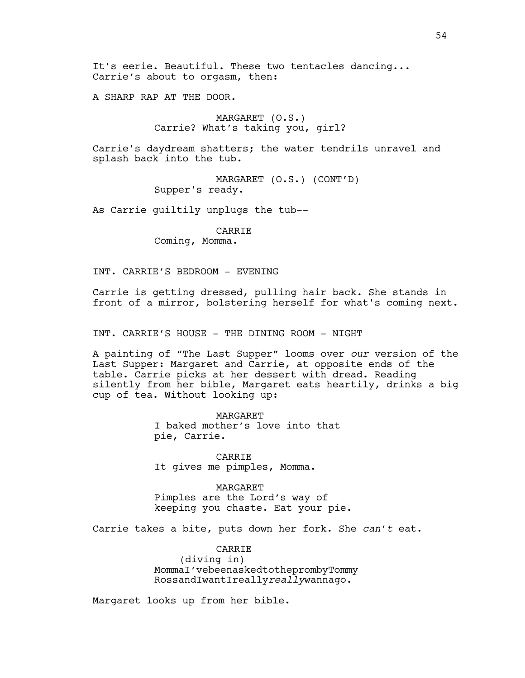It's eerie. Beautiful. These two tentacles dancing... Carrie's about to orgasm, then:

A SHARP RAP AT THE DOOR.

MARGARET (O.S.) Carrie? What's taking you, girl?

Carrie's daydream shatters; the water tendrils unravel and splash back into the tub.

> MARGARET (O.S.) (CONT'D) Supper's ready.

As Carrie guiltily unplugs the tub--

# CARRIE

Coming, Momma.

INT. CARRIE'S BEDROOM - EVENING

Carrie is getting dressed, pulling hair back. She stands in front of a mirror, bolstering herself for what's coming next.

INT. CARRIE'S HOUSE - THE DINING ROOM - NIGHT

A painting of "The Last Supper" looms over *our* version of the Last Supper: Margaret and Carrie, at opposite ends of the table. Carrie picks at her dessert with dread. Reading silently from her bible, Margaret eats heartily, drinks a big cup of tea. Without looking up:

> MARGARET I baked mother's love into that pie, Carrie.

CARRIE It gives me pimples, Momma.

MARGARET Pimples are the Lord's way of keeping you chaste. Eat your pie.

Carrie takes a bite, puts down her fork. She *can't* eat.

CARRIE (diving in) MommaI'vebeenaskedtotheprombyTommy RossandIwantIreally*really*wannago.

Margaret looks up from her bible.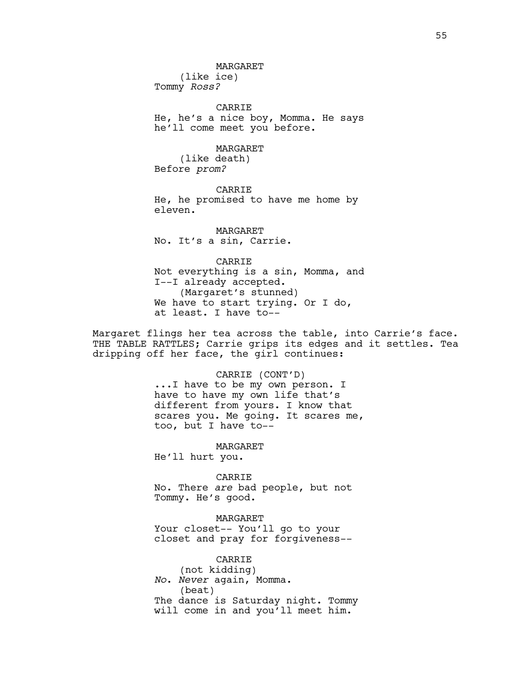MARGARET

(like ice) Tommy *Ross?*

CARRIE He, he's a nice boy, Momma. He says he'll come meet you before.

MARGARET (like death) Before *prom?*

CARRIE He, he promised to have me home by eleven.

MARGARET No. It's a sin, Carrie.

CARRIE Not everything is a sin, Momma, and I--I already accepted. (Margaret's stunned) We have to start trying. Or I do, at least. I have to--

Margaret flings her tea across the table, into Carrie's face. THE TABLE RATTLES; Carrie grips its edges and it settles. Tea dripping off her face, the girl continues:

> CARRIE (CONT'D) ...I have to be my own person. I have to have my own life that's different from yours. I know that scares you. Me going. It scares me, too, but I have to--

MARGARET He'll hurt you.

CARRIE No. There *are* bad people, but not Tommy. He's good.

MARGARET Your closet-- You'll go to your closet and pray for forgiveness--

CARRIE (not kidding) *No*. *Never* again, Momma. (beat) The dance is Saturday night. Tommy will come in and you'll meet him.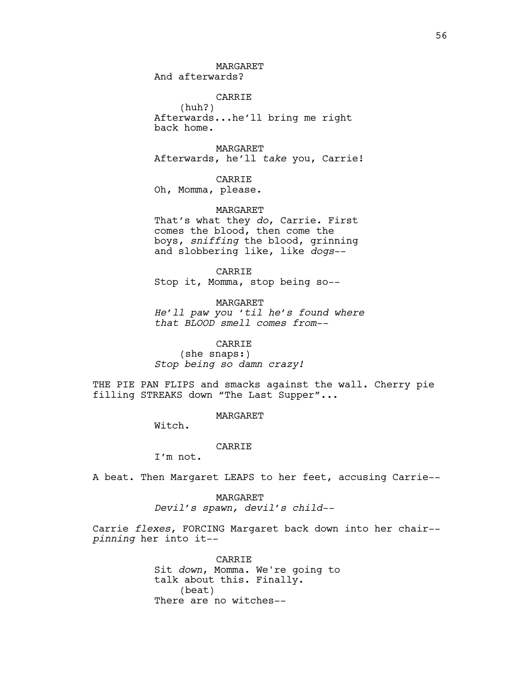MARGARET And afterwards?

CARRIE

(huh?) Afterwards...he'll bring me right back home.

MARGARET Afterwards, he'll *take* you, Carrie!

CARRIE

Oh, Momma, please.

MARGARET That's what they *do*, Carrie. First comes the blood, then come the boys, *sniffing* the blood, grinning and slobbering like, like *dogs*--

CARRIE Stop it, Momma, stop being so--

MARGARET *He'll paw you 'til he's found where that BLOOD smell comes from--*

CARRIE (she snaps:) *Stop being so damn crazy!*

THE PIE PAN FLIPS and smacks against the wall. Cherry pie filling STREAKS down "The Last Supper"...

MARGARET

Witch.

## CARRIE

I'm not.

A beat. Then Margaret LEAPS to her feet, accusing Carrie--

MARGARET *Devil's spawn, devil's child--*

Carrie *flexes*, FORCING Margaret back down into her chair- *pinning* her into it--

> CARRIE Sit *down*, Momma. We're going to talk about this. Finally. (beat) There are no witches--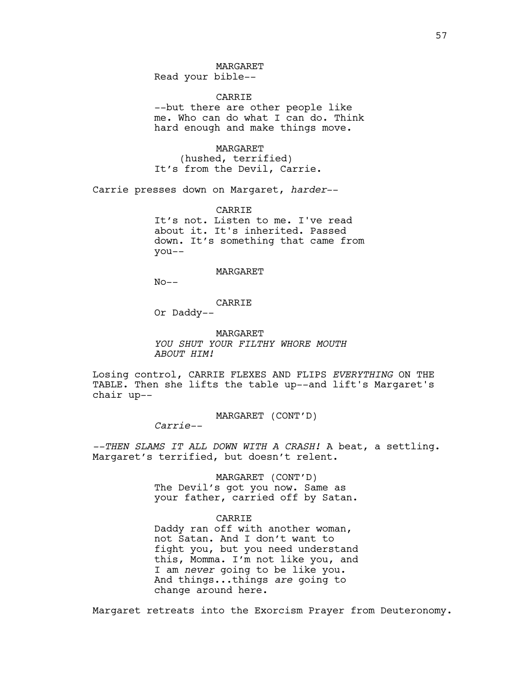### CARRIE

--but there are other people like me. Who can do what I can do. Think hard enough and make things move.

MARGARET (hushed, terrified) It's from the Devil, Carrie.

Carrie presses down on Margaret, *harder*--

CARRIE

It's not. Listen to me. I've read about it. It's inherited. Passed down. It's something that came from you--

### MARGARET

 $No--$ 

## CARRIE

Or Daddy--

MARGARET *YOU SHUT YOUR FILTHY WHORE MOUTH ABOUT HIM!*

Losing control, CARRIE FLEXES AND FLIPS *EVERYTHING* ON THE TABLE. Then she lifts the table up--and lift's Margaret's chair up--

MARGARET (CONT'D)

*Carrie--*

*--THEN SLAMS IT ALL DOWN WITH A CRASH!* A beat, a settling. Margaret's terrified, but doesn't relent.

> MARGARET (CONT'D) The Devil's got you now. Same as your father, carried off by Satan.

# CARRIE

Daddy ran off with another woman, not Satan. And I don't want to fight you, but you need understand this, Momma. I'm not like you, and I am *never* going to be like you. And things...things *are* going to change around here.

Margaret retreats into the Exorcism Prayer from Deuteronomy.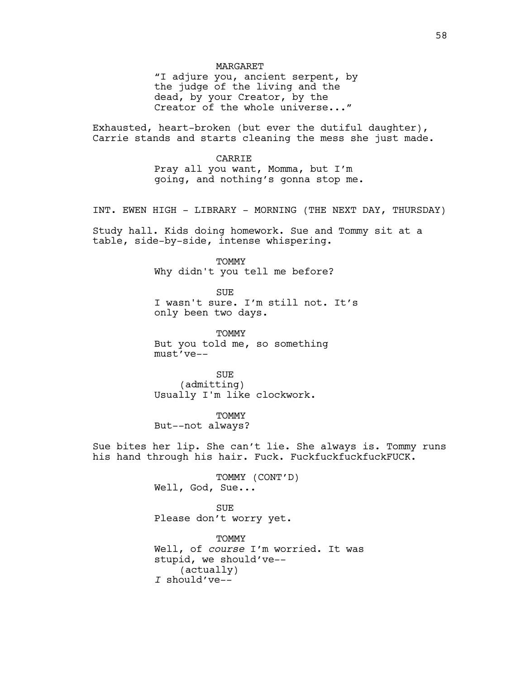MARGARET "I adjure you, ancient serpent, by the judge of the living and the dead, by your Creator, by the Creator of the whole universe..."

Exhausted, heart-broken (but ever the dutiful daughter), Carrie stands and starts cleaning the mess she just made.

> CARRIE Pray all you want, Momma, but I'm going, and nothing's gonna stop me.

INT. EWEN HIGH - LIBRARY - MORNING (THE NEXT DAY, THURSDAY)

Study hall. Kids doing homework. Sue and Tommy sit at a table, side-by-side, intense whispering.

> TOMMY Why didn't you tell me before?

**SUE** I wasn't sure. I'm still not. It's only been two days.

TOMMY But you told me, so something must've--

SUE (admitting) Usually I'm like clockwork.

TOMMY But--not always?

Sue bites her lip. She can't lie. She always is. Tommy runs his hand through his hair. Fuck. FuckfuckfuckfuckFUCK.

> TOMMY (CONT'D) Well, God, Sue...

SUE Please don't worry yet.

**TOMMY** Well, of *course* I'm worried. It was stupid, we should've-- (actually) *I* should've--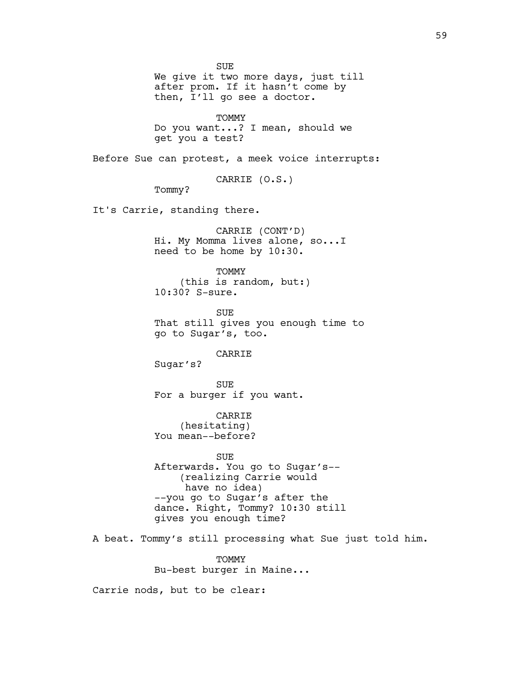SUE We give it two more days, just till after prom. If it hasn't come by then, I'll go see a doctor. TOMMY Do you want...? I mean, should we get you a test? Before Sue can protest, a meek voice interrupts: CARRIE (O.S.) Tommy? It's Carrie, standing there. CARRIE (CONT'D) Hi. My Momma lives alone, so...I need to be home by 10:30. TOMMY (this is random, but:) 10:30? S-sure. SUE That still gives you enough time to go to Sugar's, too. CARRIE Sugar's? SUE For a burger if you want. CARRIE (hesitating) You mean--before? SUE Afterwards. You go to Sugar's-- (realizing Carrie would have no idea) --you go to Sugar's after the dance. Right, Tommy? 10:30 still gives you enough time? A beat. Tommy's still processing what Sue just told him. TOMMY Bu-best burger in Maine... Carrie nods, but to be clear: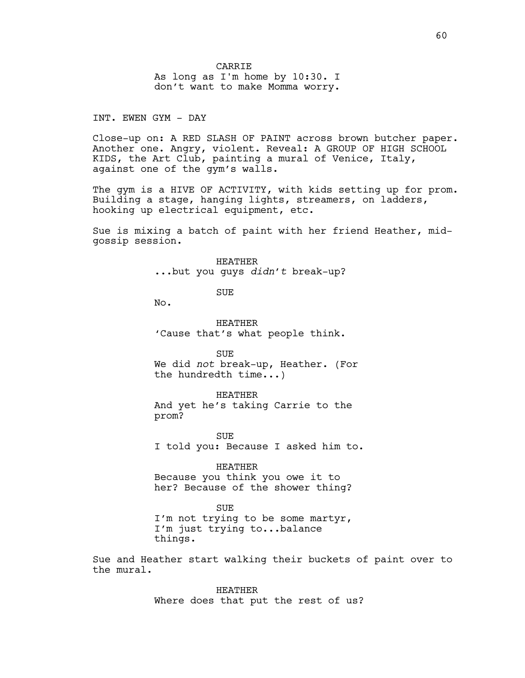As long as I'm home by 10:30. I don't want to make Momma worry.

INT. EWEN GYM - DAY

Close-up on: A RED SLASH OF PAINT across brown butcher paper. Another one. Angry, violent. Reveal: A GROUP OF HIGH SCHOOL KIDS, the Art Club, painting a mural of Venice, Italy, against one of the gym's walls.

The gym is a HIVE OF ACTIVITY, with kids setting up for prom. Building a stage, hanging lights, streamers, on ladders, hooking up electrical equipment, etc.

Sue is mixing a batch of paint with her friend Heather, midgossip session.

> HEATHER ...but you guys *didn't* break-up?

> > **SUE**

No.

HEATHER 'Cause that's what people think.

SUE We did *not* break-up, Heather. (For the hundredth time...)

HEATHER And yet he's taking Carrie to the prom?

**SUE** I told you: Because I asked him to.

HEATHER Because you think you owe it to her? Because of the shower thing?

SUE I'm not trying to be some martyr, I'm just trying to...balance things.

Sue and Heather start walking their buckets of paint over to the mural.

> HEATHER Where does that put the rest of us?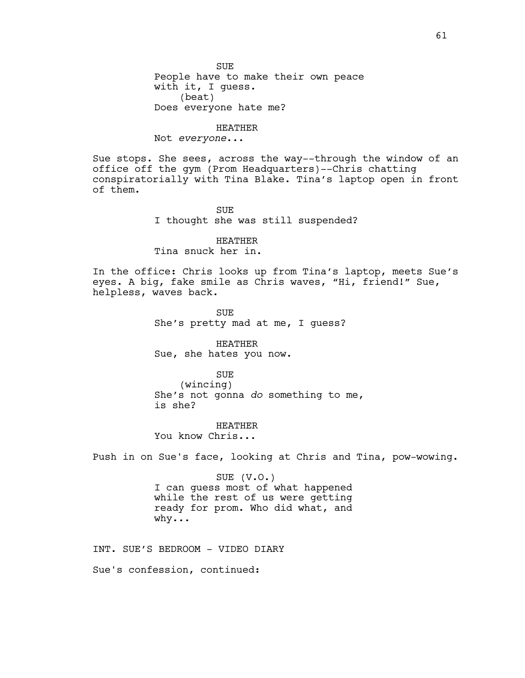### HEATHER

Not *everyone*...

Sue stops. She sees, across the way--through the window of an office off the gym (Prom Headquarters)--Chris chatting conspiratorially with Tina Blake. Tina's laptop open in front of them.

> SUE I thought she was still suspended?

HEATHER Tina snuck her in.

In the office: Chris looks up from Tina's laptop, meets Sue's eyes. A big, fake smile as Chris waves, "Hi, friend!" Sue, helpless, waves back.

> **SUE** She's pretty mad at me, I guess?

HEATHER Sue, she hates you now.

SUE

(wincing) She's not gonna *do* something to me, is she?

HEATHER You know Chris...

Push in on Sue's face, looking at Chris and Tina, pow-wowing.

SUE (V.O.) I can guess most of what happened while the rest of us were getting ready for prom. Who did what, and why...

INT. SUE'S BEDROOM - VIDEO DIARY

Sue's confession, continued: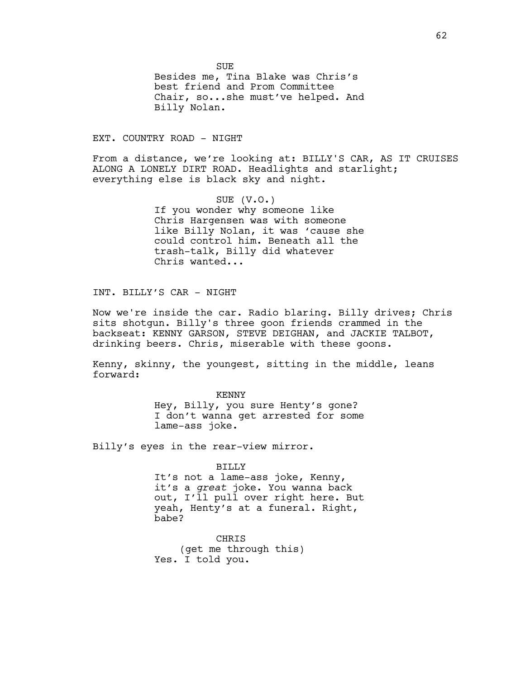**SUE** 

Besides me, Tina Blake was Chris's best friend and Prom Committee Chair, so...she must've helped. And Billy Nolan.

EXT. COUNTRY ROAD - NIGHT

From a distance, we're looking at: BILLY'S CAR, AS IT CRUISES ALONG A LONELY DIRT ROAD. Headlights and starlight; everything else is black sky and night.

> SUE  $(V.O.)$ If you wonder why someone like Chris Hargensen was with someone like Billy Nolan, it was 'cause she could control him. Beneath all the trash-talk, Billy did whatever Chris wanted...

INT. BILLY'S CAR - NIGHT

Now we're inside the car. Radio blaring. Billy drives; Chris sits shotgun. Billy's three goon friends crammed in the backseat: KENNY GARSON, STEVE DEIGHAN, and JACKIE TALBOT, drinking beers. Chris, miserable with these goons.

Kenny, skinny, the youngest, sitting in the middle, leans forward:

> KENNY Hey, Billy, you sure Henty's gone? I don't wanna get arrested for some lame-ass joke.

Billy's eyes in the rear-view mirror.

BILLY It's not a lame-ass joke, Kenny, it's a *great* joke. You wanna back out, I'll pull over right here. But yeah, Henty's at a funeral. Right, babe?

CHRIS (get me through this) Yes. I told you.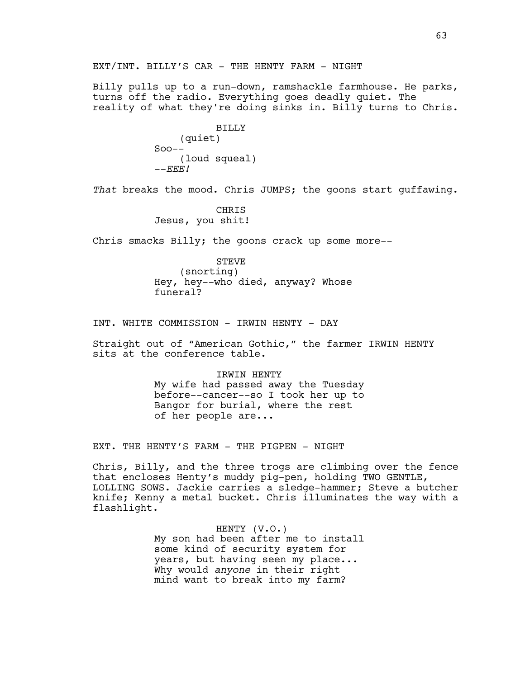EXT/INT. BILLY'S CAR - THE HENTY FARM - NIGHT

Billy pulls up to a run-down, ramshackle farmhouse. He parks, turns off the radio. Everything goes deadly quiet. The reality of what they're doing sinks in. Billy turns to Chris.

> BILLY (quiet) Soo-- (loud squeal) --*EEE!*

*That* breaks the mood. Chris JUMPS; the goons start guffawing.

CHRIS Jesus, you shit!

Chris smacks Billy; the goons crack up some more--

STEVE (snorting) Hey, hey--who died, anyway? Whose funeral?

INT. WHITE COMMISSION - IRWIN HENTY - DAY

Straight out of "American Gothic," the farmer IRWIN HENTY sits at the conference table.

> IRWIN HENTY My wife had passed away the Tuesday before--cancer--so I took her up to Bangor for burial, where the rest of her people are...

EXT. THE HENTY'S FARM - THE PIGPEN - NIGHT

Chris, Billy, and the three trogs are climbing over the fence that encloses Henty's muddy pig-pen, holding TWO GENTLE, LOLLING SOWS. Jackie carries a sledge-hammer; Steve a butcher knife; Kenny a metal bucket. Chris illuminates the way with a flashlight.

> HENTY (V.O.) My son had been after me to install some kind of security system for years, but having seen my place... Why would *anyone* in their right mind want to break into my farm?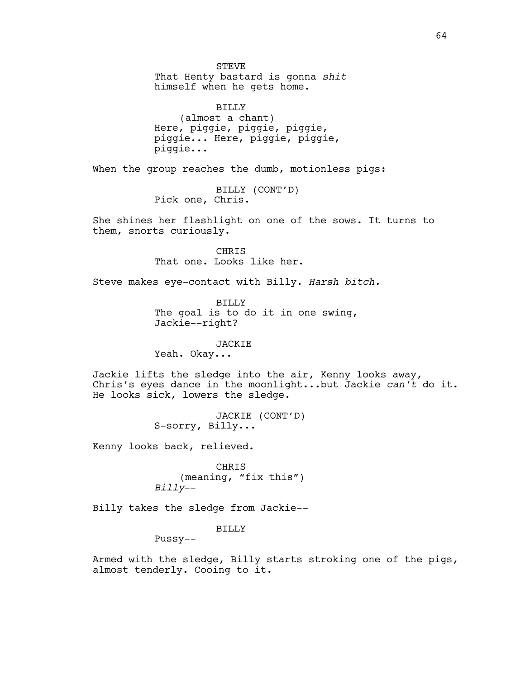STEVE That Henty bastard is gonna *shit* himself when he gets home.

BILLY (almost a chant) Here, piggie, piggie, piggie, piggie... Here, piggie, piggie, piggie...

When the group reaches the dumb, motionless pigs:

BILLY (CONT'D) Pick one, Chris.

She shines her flashlight on one of the sows. It turns to them, snorts curiously.

> CHRIS That one. Looks like her.

Steve makes eye-contact with Billy. *Harsh bitch.*

BILLY The goal is to do it in one swing, Jackie--right?

JACKIE

Yeah. Okay...

Jackie lifts the sledge into the air, Kenny looks away, Chris's eyes dance in the moonlight...but Jackie *can't* do it. He looks sick, lowers the sledge.

> JACKIE (CONT'D) S-sorry, Billy...

Kenny looks back, relieved.

CHRIS (meaning, "fix this") *Billy*--

Billy takes the sledge from Jackie--

BILLY

Pussy--

Armed with the sledge, Billy starts stroking one of the pigs, almost tenderly. Cooing to it.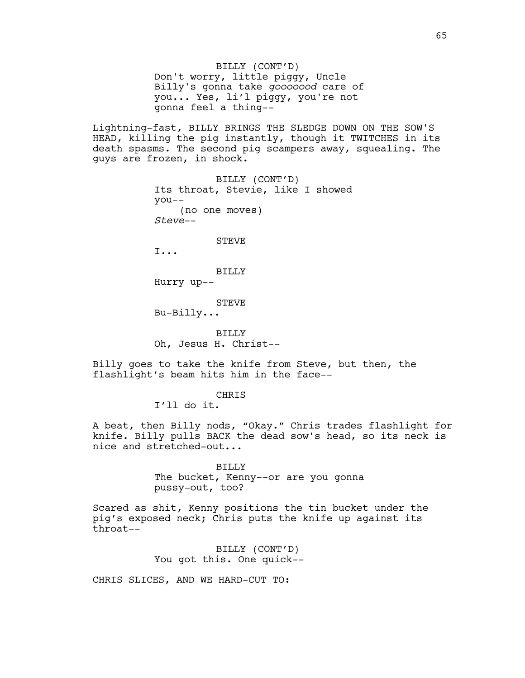BILLY (CONT'D) Don't worry, little piggy, Uncle Billy's gonna take *gooooood* care of you... Yes, li'l piggy, you're not gonna feel a thing--

Lightning-fast, BILLY BRINGS THE SLEDGE DOWN ON THE SOW'S HEAD, killing the pig instantly, though it TWITCHES in its death spasms. The second pig scampers away, squealing. The guys are frozen, in shock.

> BILLY (CONT'D) Its throat, Stevie, like I showed you-- (no one moves) *Steve*-- STEVE I...

BILLY

Hurry up--

STEVE Bu-Billy...

BILLY Oh, Jesus H. Christ--

Billy goes to take the knife from Steve, but then, the flashlight's beam hits him in the face--

CHRIS

I'll do it.

A beat, then Billy nods, "Okay." Chris trades flashlight for knife. Billy pulls BACK the dead sow's head, so its neck is nice and stretched-out...

> BILLY The bucket, Kenny--or are you gonna pussy-out, too?

Scared as shit, Kenny positions the tin bucket under the pig's exposed neck; Chris puts the knife up against its throat--

> BILLY (CONT'D) You got this. One quick--

CHRIS SLICES, AND WE HARD-CUT TO: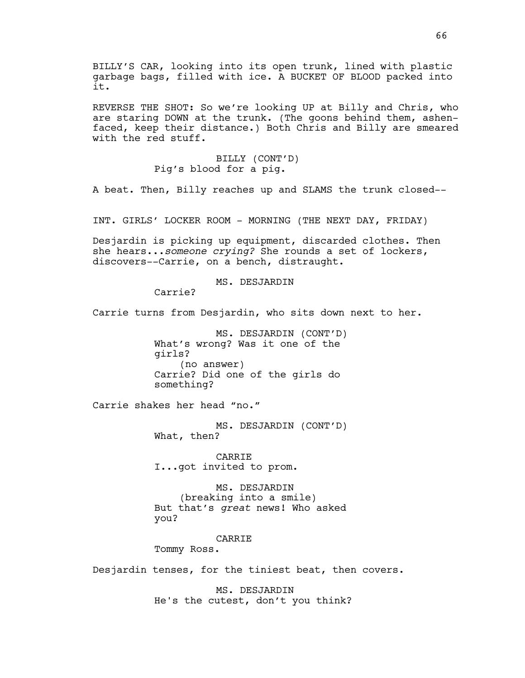BILLY'S CAR, looking into its open trunk, lined with plastic garbage bags, filled with ice. A BUCKET OF BLOOD packed into it.

REVERSE THE SHOT: So we're looking UP at Billy and Chris, who are staring DOWN at the trunk. (The goons behind them, ashenfaced, keep their distance.) Both Chris and Billy are smeared with the red stuff.

> BILLY (CONT'D) Pig's blood for a pig.

A beat. Then, Billy reaches up and SLAMS the trunk closed--

INT. GIRLS' LOCKER ROOM - MORNING (THE NEXT DAY, FRIDAY)

Desjardin is picking up equipment, discarded clothes. Then she hears...*someone crying?* She rounds a set of lockers, discovers--Carrie, on a bench, distraught.

# MS. DESJARDIN

Carrie?

Carrie turns from Desjardin, who sits down next to her.

MS. DESJARDIN (CONT'D) What's wrong? Was it one of the girls? (no answer) Carrie? Did one of the girls do something?

Carrie shakes her head "no."

MS. DESJARDIN (CONT'D) What, then?

CARRIE I...got invited to prom.

MS. DESJARDIN (breaking into a smile) But that's *great* news! Who asked you?

# CARRIE

Tommy Ross.

Desjardin tenses, for the tiniest beat, then covers.

MS. DESJARDIN He's the cutest, don't you think?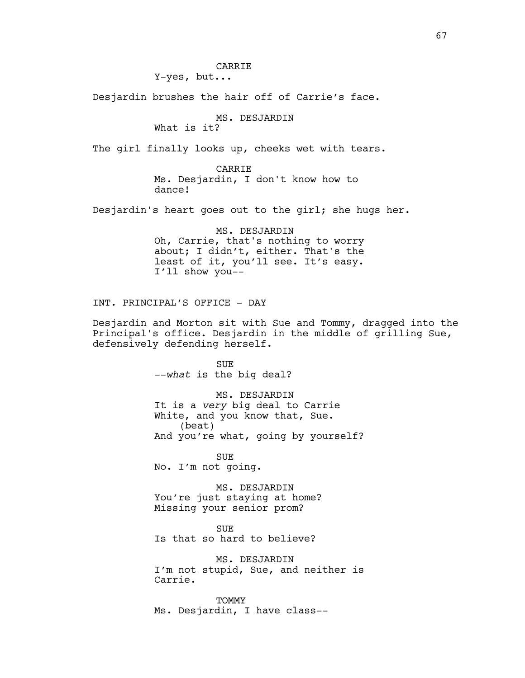Desjardin brushes the hair off of Carrie's face.

# MS. DESJARDIN

What is it?

The girl finally looks up, cheeks wet with tears.

CARRIE Ms. Desjardin, I don't know how to dance!

Desjardin's heart goes out to the girl; she hugs her.

MS. DESJARDIN Oh, Carrie, that's nothing to worry about; I didn't, either. That's the least of it, you'll see. It's easy. I'll show you--

INT. PRINCIPAL'S OFFICE - DAY

Desjardin and Morton sit with Sue and Tommy, dragged into the Principal's office. Desjardin in the middle of grilling Sue, defensively defending herself.

> SUE --*what* is the big deal?

MS. DESJARDIN It is a *very* big deal to Carrie White, and you know that, Sue. (beat) And you're what, going by yourself?

SUE No. I'm not going.

MS. DESJARDIN You're just staying at home? Missing your senior prom?

SUE Is that so hard to believe?

MS. DESJARDIN I'm not stupid, Sue, and neither is Carrie.

TOMMY Ms. Desjardin, I have class--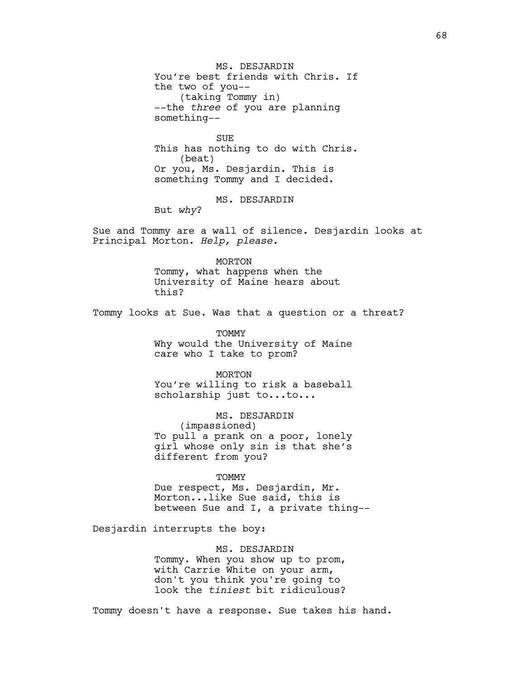MS. DESJARDIN You're best friends with Chris. If the two of you-- (taking Tommy in) --the *three* of you are planning something--

SUE This has nothing to do with Chris. (beat) Or you, Ms. Desjardin. This is something Tommy and I decided.

MS. DESJARDIN

But *why*?

Sue and Tommy are a wall of silence. Desjardin looks at Principal Morton. *Help, please.*

> MORTON Tommy, what happens when the University of Maine hears about this?

Tommy looks at Sue. Was that a question or a threat?

TOMMY Why would the University of Maine care who I take to prom?

MORTON You're willing to risk a baseball scholarship just to...to...

MS. DESJARDIN (impassioned) To pull a prank on a poor, lonely girl whose only sin is that she's different from you?

TOMMY

Due respect, Ms. Desjardin, Mr. Morton...like Sue said, this is between Sue and I, a private thing--

Desjardin interrupts the boy:

MS. DESJARDIN Tommy. When you show up to prom, with Carrie White on your arm, don't you think you're going to look the *tiniest* bit ridiculous?

Tommy doesn't have a response. Sue takes his hand.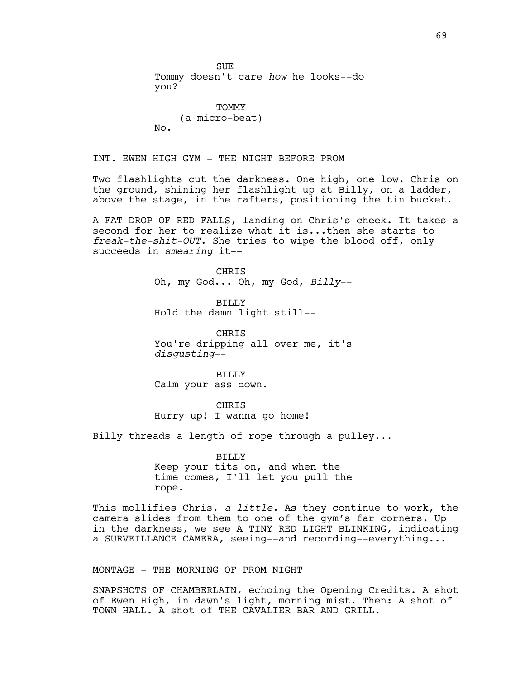**SUE** Tommy doesn't care *how* he looks--do you?

TOMMY (a micro-beat) No.

INT. EWEN HIGH GYM - THE NIGHT BEFORE PROM

Two flashlights cut the darkness. One high, one low. Chris on the ground, shining her flashlight up at Billy, on a ladder, above the stage, in the rafters, positioning the tin bucket.

A FAT DROP OF RED FALLS, landing on Chris's cheek. It takes a second for her to realize what it is...then she starts to *freak-the-shit-OUT*. She tries to wipe the blood off, only succeeds in *smearing* it--

> CHRIS Oh, my God... Oh, my God, *Billy*--

BILLY Hold the damn light still--

CHRIS You're dripping all over me, it's *disgusting*--

BILLY Calm your ass down.

CHRIS Hurry up! I wanna go home!

Billy threads a length of rope through a pulley...

BILLY Keep your tits on, and when the time comes, I'll let you pull the rope.

This mollifies Chris, *a little.* As they continue to work, the camera slides from them to one of the gym's far corners. Up in the darkness, we see A TINY RED LIGHT BLINKING, indicating a SURVEILLANCE CAMERA, seeing--and recording--everything...

MONTAGE - THE MORNING OF PROM NIGHT

SNAPSHOTS OF CHAMBERLAIN, echoing the Opening Credits. A shot of Ewen High, in dawn's light, morning mist. Then: A shot of TOWN HALL. A shot of THE CAVALIER BAR AND GRILL.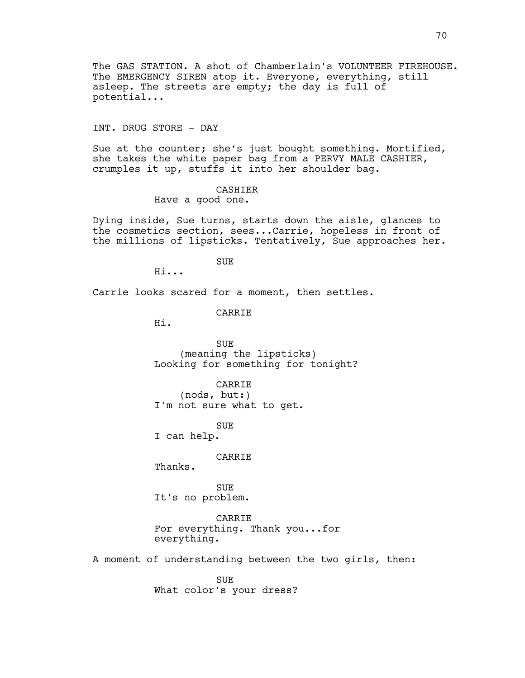The GAS STATION. A shot of Chamberlain's VOLUNTEER FIREHOUSE. The EMERGENCY SIREN atop it. Everyone, everything, still asleep. The streets are empty; the day is full of potential...

INT. DRUG STORE - DAY

Sue at the counter; she's just bought something. Mortified, she takes the white paper bag from a PERVY MALE CASHIER, crumples it up, stuffs it into her shoulder bag.

## CASHIER

Have a good one.

Dying inside, Sue turns, starts down the aisle, glances to the cosmetics section, sees...Carrie, hopeless in front of the millions of lipsticks. Tentatively, Sue approaches her.

SUE

Hi...

Carrie looks scared for a moment, then settles.

CARRIE

Hi.

SUE (meaning the lipsticks) Looking for something for tonight?

CARRIE (nods, but:) I'm not sure what to get.

**SUE** I can help.

CARRIE

Thanks.

SUE It's no problem.

CARRIE For everything. Thank you...for everything.

A moment of understanding between the two girls, then:

SUE What color's your dress?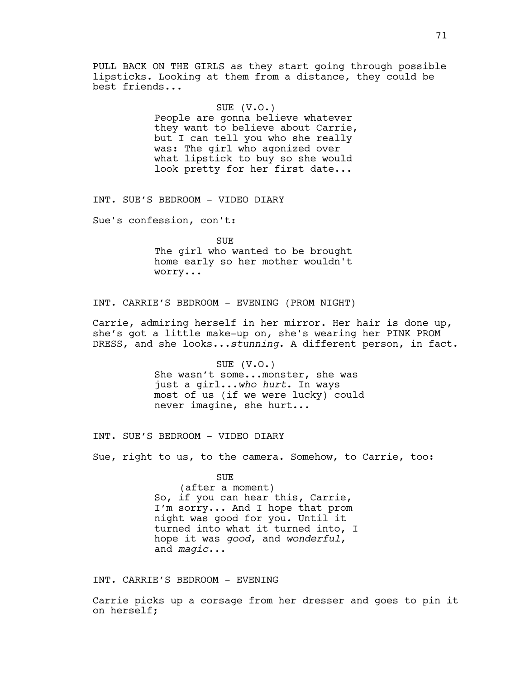PULL BACK ON THE GIRLS as they start going through possible lipsticks. Looking at them from a distance, they could be best friends...

### SUE (V.O.)

People are gonna believe whatever they want to believe about Carrie, but I can tell you who she really was: The girl who agonized over what lipstick to buy so she would look pretty for her first date...

INT. SUE'S BEDROOM - VIDEO DIARY

Sue's confession, con't:

SUE The girl who wanted to be brought home early so her mother wouldn't worry...

INT. CARRIE'S BEDROOM - EVENING (PROM NIGHT)

Carrie, admiring herself in her mirror. Her hair is done up, she's got a little make-up on, she's wearing her PINK PROM DRESS, and she looks...*stunning*. A different person, in fact.

> SUE  $(V.O.)$ She wasn't some...monster, she was just a girl...*who hurt*. In ways most of us (if we were lucky) could never imagine, she hurt...

INT. SUE'S BEDROOM - VIDEO DIARY

Sue, right to us, to the camera. Somehow, to Carrie, too:

SUE (after a moment) So, if you can hear this, Carrie, I'm sorry... And I hope that prom night was good for you. Until it turned into what it turned into, I hope it was *good*, and *wonderful*, and *magic*...

INT. CARRIE'S BEDROOM - EVENING

Carrie picks up a corsage from her dresser and goes to pin it on herself;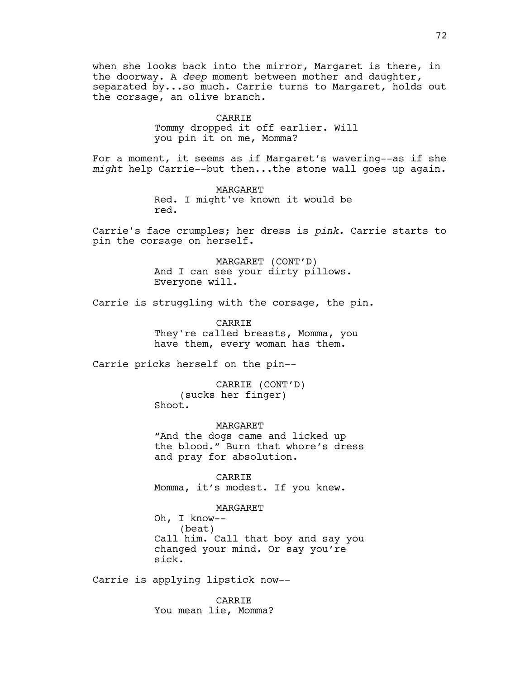when she looks back into the mirror, Margaret is there, in the doorway. A *deep* moment between mother and daughter, separated by...so much. Carrie turns to Margaret, holds out the corsage, an olive branch.

> CARRIE Tommy dropped it off earlier. Will you pin it on me, Momma?

For a moment, it seems as if Margaret's wavering--as if she *might* help Carrie--but then...the stone wall goes up again.

> MARGARET Red. I might've known it would be red.

Carrie's face crumples; her dress is *pink*. Carrie starts to pin the corsage on herself.

> MARGARET (CONT'D) And I can see your dirty pillows. Everyone will.

Carrie is struggling with the corsage, the pin.

CARRIE They're called breasts, Momma, you have them, every woman has them.

Carrie pricks herself on the pin--

CARRIE (CONT'D) (sucks her finger) Shoot.

MARGARET "And the dogs came and licked up the blood." Burn that whore's dress and pray for absolution.

CARRIE Momma, it's modest. If you knew.

MARGARET Oh, I know-- (beat) Call him. Call that boy and say you changed your mind. Or say you're sick.

Carrie is applying lipstick now--

CARRIE You mean lie, Momma?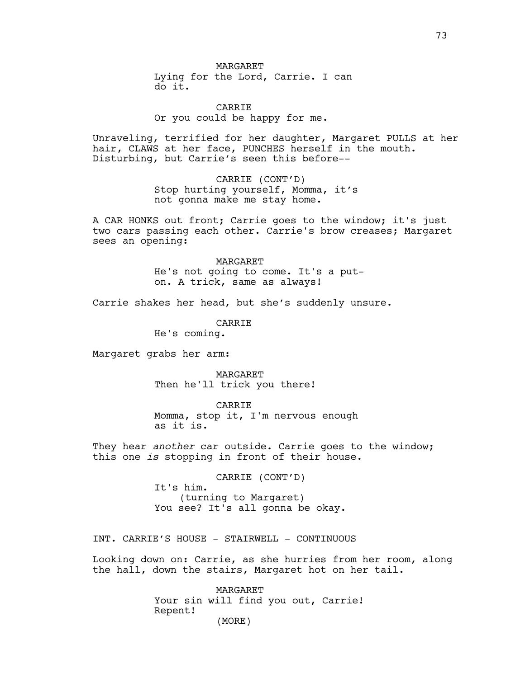**MARGARET** Lying for the Lord, Carrie. I can do it.

CARRIE Or you could be happy for me.

Unraveling, terrified for her daughter, Margaret PULLS at her hair, CLAWS at her face, PUNCHES herself in the mouth. Disturbing, but Carrie's seen this before--

> CARRIE (CONT'D) Stop hurting yourself, Momma, it's not gonna make me stay home.

A CAR HONKS out front; Carrie goes to the window; it's just two cars passing each other. Carrie's brow creases; Margaret sees an opening:

> MARGARET He's not going to come. It's a puton. A trick, same as always!

Carrie shakes her head, but she's suddenly unsure.

CARRIE

He's coming.

Margaret grabs her arm:

MARGARET Then he'll trick you there!

CARRIE Momma, stop it, I'm nervous enough as it is.

They hear *another* car outside. Carrie goes to the window; this one *is* stopping in front of their house.

> CARRIE (CONT'D) It's him. (turning to Margaret) You see? It's all gonna be okay.

INT. CARRIE'S HOUSE - STAIRWELL - CONTINUOUS

Looking down on: Carrie, as she hurries from her room, along the hall, down the stairs, Margaret hot on her tail.

> **MARGARET** Your sin will find you out, Carrie! Repent! (MORE)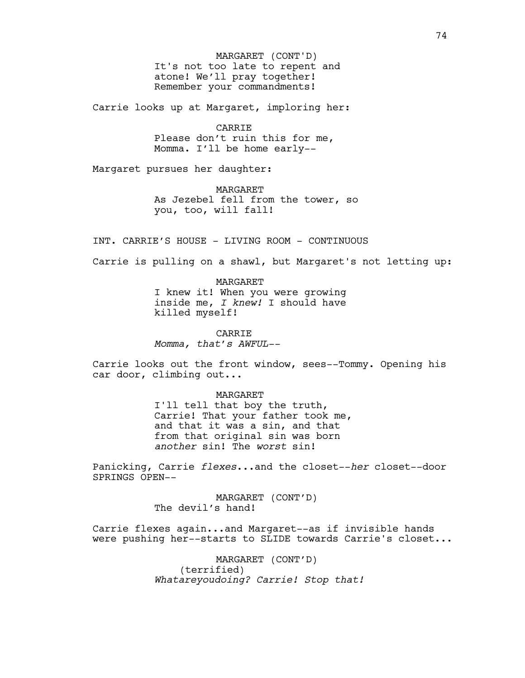It's not too late to repent and atone! We'll pray together! Remember your commandments! MARGARET (CONT'D)

Carrie looks up at Margaret, imploring her:

CARRIE Please don't ruin this for me, Momma. I'll be home early--

Margaret pursues her daughter:

MARGARET As Jezebel fell from the tower, so you, too, will fall!

INT. CARRIE'S HOUSE - LIVING ROOM - CONTINUOUS

Carrie is pulling on a shawl, but Margaret's not letting up:

MARGARET I knew it! When you were growing inside me, *I knew!* I should have killed myself!

CARRIE *Momma, that's AWFUL--* 

Carrie looks out the front window, sees--Tommy. Opening his car door, climbing out...

> MARGARET I'll tell that boy the truth, Carrie! That your father took me, and that it was a sin, and that from that original sin was born *another* sin! The *worst* sin!

Panicking, Carrie *flexes*...and the closet--*her* closet--door SPRINGS OPEN--

> MARGARET (CONT'D) The devil's hand!

Carrie flexes again...and Margaret--as if invisible hands were pushing her--starts to SLIDE towards Carrie's closet...

> MARGARET (CONT'D) (terrified) *Whatareyoudoing? Carrie! Stop that!*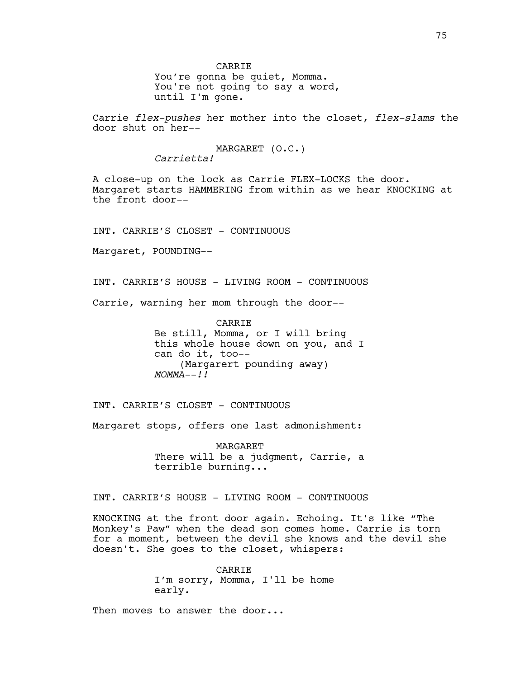CARRIE

You're gonna be quiet, Momma. You're not going to say a word, until I'm gone.

Carrie *flex-pushes* her mother into the closet, *flex-slams* the door shut on her--

# MARGARET (O.C.)

*Carrietta!*

A close-up on the lock as Carrie FLEX-LOCKS the door. Margaret starts HAMMERING from within as we hear KNOCKING at the front door--

INT. CARRIE'S CLOSET - CONTINUOUS

Margaret, POUNDING--

INT. CARRIE'S HOUSE - LIVING ROOM - CONTINUOUS

Carrie, warning her mom through the door--

CARRIE Be still, Momma, or I will bring this whole house down on you, and I can do it, too-- (Margarert pounding away) *MOMMA--!!*

INT. CARRIE'S CLOSET - CONTINUOUS

Margaret stops, offers one last admonishment:

MARGARET There will be a judgment, Carrie, a terrible burning...

INT. CARRIE'S HOUSE - LIVING ROOM - CONTINUOUS

KNOCKING at the front door again. Echoing. It's like "The Monkey's Paw" when the dead son comes home. Carrie is torn for a moment, between the devil she knows and the devil she doesn't. She goes to the closet, whispers:

> CARRIE I'm sorry, Momma, I'll be home early.

Then moves to answer the door...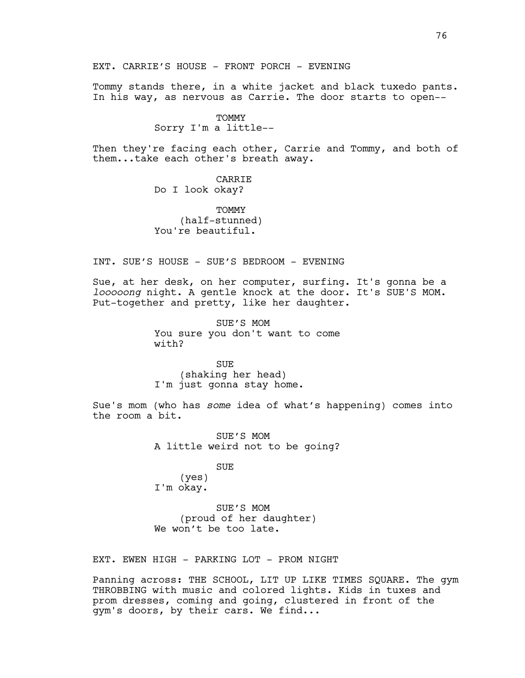Tommy stands there, in a white jacket and black tuxedo pants. In his way, as nervous as Carrie. The door starts to open--

### TOMMY

# Sorry I'm a little--

Then they're facing each other, Carrie and Tommy, and both of them...take each other's breath away.

> CARRIE Do I look okay?

TOMMY (half-stunned) You're beautiful.

INT. SUE'S HOUSE - SUE'S BEDROOM - EVENING

Sue, at her desk, on her computer, surfing. It's gonna be a *looooong* night. A gentle knock at the door. It's SUE'S MOM. Put-together and pretty, like her daughter.

> SUE'S MOM You sure you don't want to come with?

SUE (shaking her head) I'm just gonna stay home.

Sue's mom (who has *some* idea of what's happening) comes into the room a bit.

> SUE'S MOM A little weird not to be going?

> > SUE

(yes) I'm okay.

SUE'S MOM (proud of her daughter) We won't be too late.

EXT. EWEN HIGH - PARKING LOT - PROM NIGHT

Panning across: THE SCHOOL, LIT UP LIKE TIMES SQUARE. The gym THROBBING with music and colored lights. Kids in tuxes and prom dresses, coming and going, clustered in front of the gym's doors, by their cars. We find...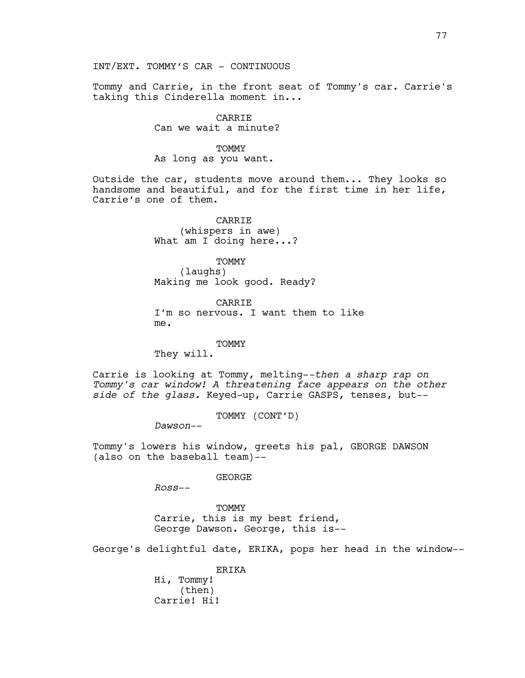Tommy and Carrie, in the front seat of Tommy's car. Carrie's taking this Cinderella moment in...

> CARRIE Can we wait a minute?

#### TOMMY

As long as you want.

Outside the car, students move around them... They looks so handsome and beautiful, and for the first time in her life, Carrie's one of them.

> CARRIE (whispers in awe) What am I doing here...?

TOMMY (laughs) Making me look good. Ready?

CARRIE I'm so nervous. I want them to like me.

TOMMY

They will.

Carrie is looking at Tommy, melting-*-then a sharp rap on Tommy's car window! A threatening face appears on the other side of the glass.* Keyed-up, Carrie GASPS, tenses, but--

TOMMY (CONT'D)

*Dawson*--

Tommy's lowers his window, greets his pal, GEORGE DAWSON (also on the baseball team)--

GEORGE

*Ross*--

TOMMY Carrie, this is my best friend, George Dawson. George, this is--

George's delightful date, ERIKA, pops her head in the window--

ERIKA Hi, Tommy! (then) Carrie! Hi!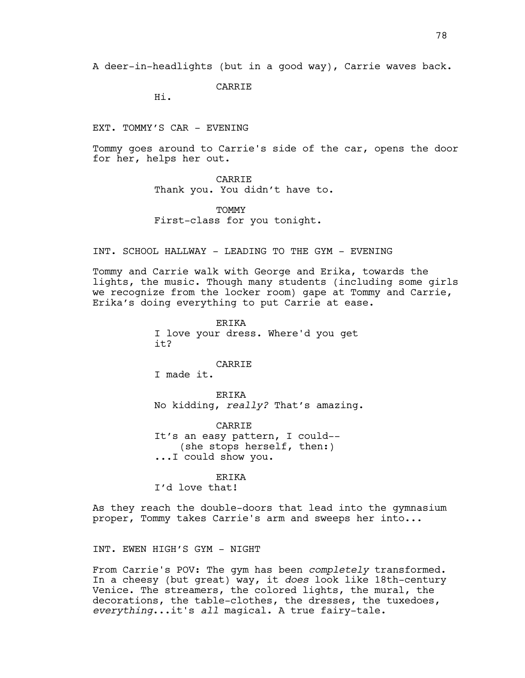A deer-in-headlights (but in a good way), Carrie waves back.

CARRIE

Hi.

EXT. TOMMY'S CAR - EVENING

Tommy goes around to Carrie's side of the car, opens the door for her, helps her out.

### CARRIE

Thank you. You didn't have to.

# TOMMY

First-class for you tonight.

INT. SCHOOL HALLWAY - LEADING TO THE GYM - EVENING

Tommy and Carrie walk with George and Erika, towards the lights, the music. Though many students (including some girls we recognize from the locker room) gape at Tommy and Carrie, Erika's doing everything to put Carrie at ease.

> ERIKA I love your dress. Where'd you get it?

> > CARRIE

I made it.

ERIKA No kidding, *really?* That's amazing.

CARRIE It's an easy pattern, I could-- (she stops herself, then:) ...I could show you.

#### ERIKA

I'd love that!

As they reach the double-doors that lead into the gymnasium proper, Tommy takes Carrie's arm and sweeps her into...

INT. EWEN HIGH'S GYM - NIGHT

From Carrie's POV: The gym has been *completely* transformed. In a cheesy (but great) way, it *does* look like 18th-century Venice. The streamers, the colored lights, the mural, the decorations, the table-clothes, the dresses, the tuxedoes, *everything*...it's *all* magical. A true fairy-tale.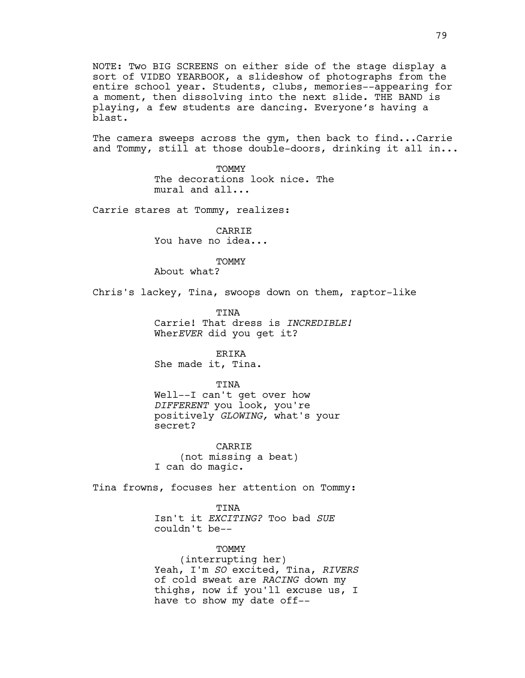NOTE: Two BIG SCREENS on either side of the stage display a sort of VIDEO YEARBOOK, a slideshow of photographs from the entire school year. Students, clubs, memories--appearing for a moment, then dissolving into the next slide. THE BAND is playing, a few students are dancing. Everyone's having a blast.

The camera sweeps across the gym, then back to find...Carrie and Tommy, still at those double-doors, drinking it all in...

> TOMMY The decorations look nice. The mural and all...

Carrie stares at Tommy, realizes:

CARRIE You have no idea...

TOMMY

About what?

Chris's lackey, Tina, swoops down on them, raptor-like

**TINA** Carrie! That dress is *INCREDIBLE!* Wher*EVER* did you get it?

ERIKA She made it, Tina.

**TINA** 

Well--I can't get over how *DIFFERENT* you look, you're positively *GLOWING,* what's your secret?

CARRIE (not missing a beat) I can do magic.

Tina frowns, focuses her attention on Tommy:

TINA Isn't it *EXCITING?* Too bad *SUE* couldn't be--

**TOMMY** (interrupting her) Yeah, I'm *SO* excited, Tina, *RIVERS* of cold sweat are *RACING* down my thighs, now if you'll excuse us, I have to show my date off--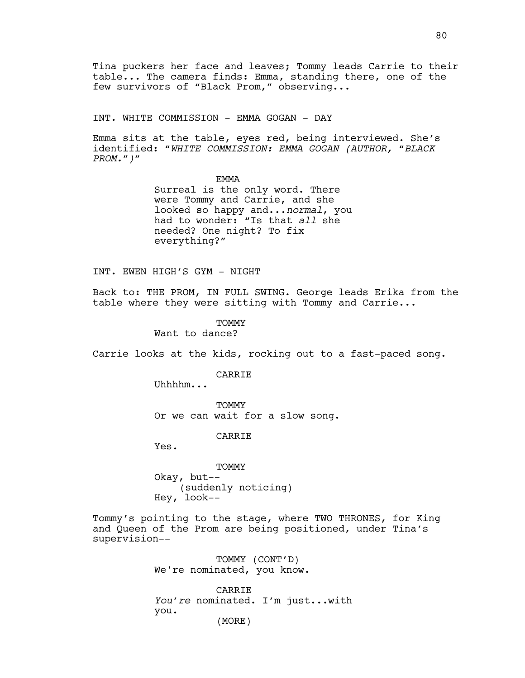INT. WHITE COMMISSION - EMMA GOGAN - DAY

Emma sits at the table, eyes red, being interviewed. She's identified: *"WHITE COMMISSION: EMMA GOGAN (AUTHOR, "BLACK PROM.")"*

EMMA

Surreal is the only word. There were Tommy and Carrie, and she looked so happy and...*normal*, you had to wonder: "Is that *all* she needed? One night? To fix everything?"

INT. EWEN HIGH'S GYM - NIGHT

Back to: THE PROM, IN FULL SWING. George leads Erika from the table where they were sitting with Tommy and Carrie...

> **TOMMY** Want to dance?

Carrie looks at the kids, rocking out to a fast-paced song.

### CARRIE

Uhhhhm...

TOMMY Or we can wait for a slow song.

CARRIE

Yes.

TOMMY Okay, but-- (suddenly noticing) Hey, look--

Tommy's pointing to the stage, where TWO THRONES, for King and Queen of the Prom are being positioned, under Tina's supervision--

> TOMMY (CONT'D) We're nominated, you know.

CARRIE *You're* nominated. I'm just...with you. (MORE)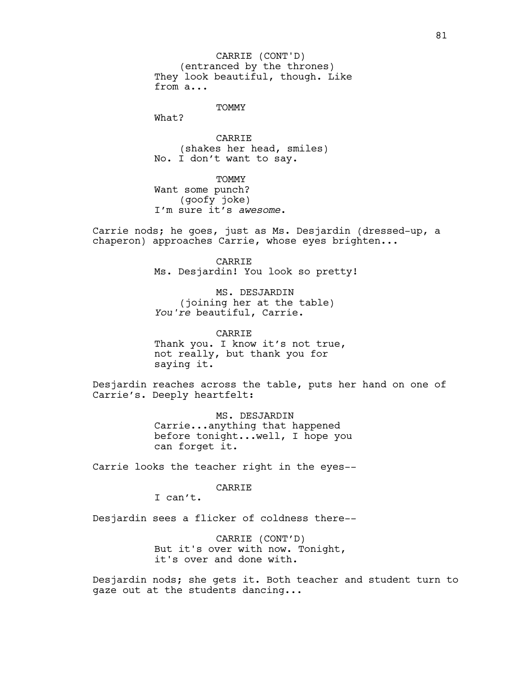(entranced by the thrones) They look beautiful, though. Like from a... CARRIE (CONT'D)

TOMMY

What?

CARRIE (shakes her head, smiles) No. I don't want to say.

TOMMY Want some punch? (goofy joke) I'm sure it's *awesome*.

Carrie nods; he goes, just as Ms. Desjardin (dressed-up, a chaperon) approaches Carrie, whose eyes brighten...

> CARRIE Ms. Desjardin! You look so pretty!

MS. DESJARDIN (joining her at the table) *You're* beautiful, Carrie.

CARRIE Thank you. I know it's not true, not really, but thank you for saying it.

Desjardin reaches across the table, puts her hand on one of Carrie's. Deeply heartfelt:

> MS. DESJARDIN Carrie...anything that happened before tonight...well, I hope you can forget it.

Carrie looks the teacher right in the eyes--

CARRIE

I can't.

Desjardin sees a flicker of coldness there--

CARRIE (CONT'D) But it's over with now. Tonight, it's over and done with.

Desjardin nods; she gets it. Both teacher and student turn to gaze out at the students dancing...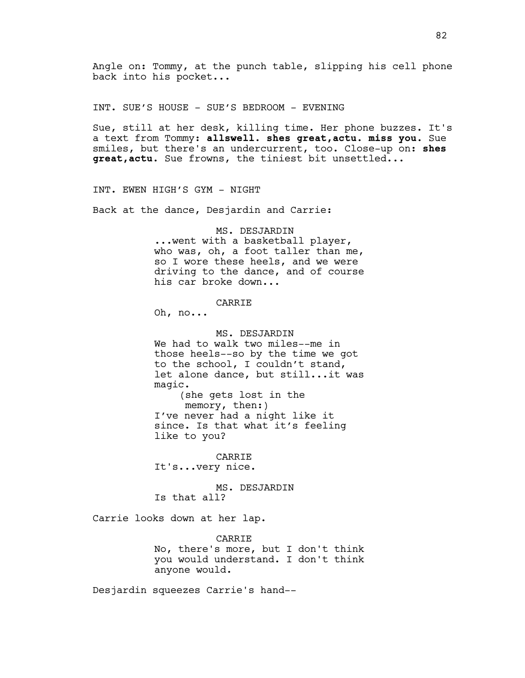Angle on: Tommy, at the punch table, slipping his cell phone back into his pocket...

INT. SUE'S HOUSE - SUE'S BEDROOM - EVENING

Sue, still at her desk, killing time. Her phone buzzes. It's a text from Tommy: **allswell. shes great,actu. miss you.** Sue smiles, but there's an undercurrent, too. Close-up on: **shes great,actu.** Sue frowns, the tiniest bit unsettled...

INT. EWEN HIGH'S GYM - NIGHT

Back at the dance, Desjardin and Carrie:

### MS. DESJARDIN

...went with a basketball player, who was, oh, a foot taller than me, so I wore these heels, and we were driving to the dance, and of course his car broke down...

### CARRIE

Oh, no...

MS. DESJARDIN We had to walk two miles--me in those heels--so by the time we got to the school, I couldn't stand, let alone dance, but still...it was magic. (she gets lost in the memory, then:) I've never had a night like it since. Is that what it's feeling like to you?

CARRIE It's...very nice.

MS. DESJARDIN Is that all?

Carrie looks down at her lap.

CARRIE No, there's more, but I don't think you would understand. I don't think anyone would.

Desjardin squeezes Carrie's hand--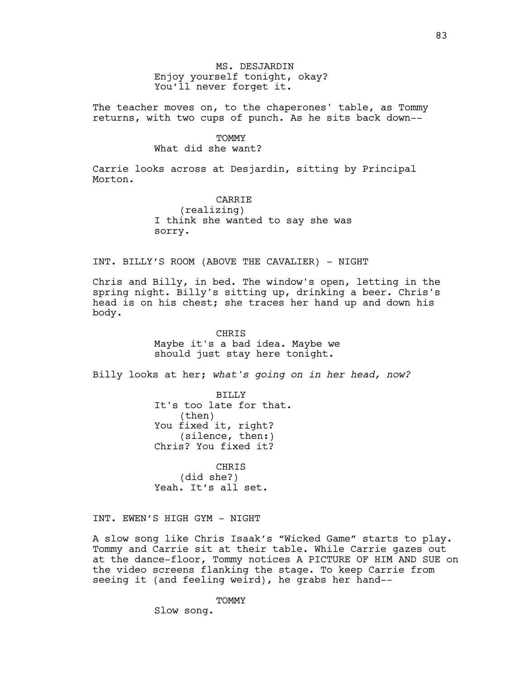MS. DESJARDIN Enjoy yourself tonight, okay? You'll never forget it.

The teacher moves on, to the chaperones' table, as Tommy returns, with two cups of punch. As he sits back down--

#### TOMMY

### What did she want?

Carrie looks across at Desjardin, sitting by Principal Morton.

> CARRIE (realizing) I think she wanted to say she was sorry.

INT. BILLY'S ROOM (ABOVE THE CAVALIER) - NIGHT

Chris and Billy, in bed. The window's open, letting in the spring night. Billy's sitting up, drinking a beer. Chris's head is on his chest; she traces her hand up and down his body.

> CHRIS Maybe it's a bad idea. Maybe we should just stay here tonight.

Billy looks at her; *what's going on in her head, now?*

BILLY It's too late for that. (then) You fixed it, right? (silence, then:) Chris? You fixed it?

CHRIS (did she?) Yeah. It's all set.

INT. EWEN'S HIGH GYM - NIGHT

A slow song like Chris Isaak's "Wicked Game" starts to play. Tommy and Carrie sit at their table. While Carrie gazes out at the dance-floor, Tommy notices A PICTURE OF HIM AND SUE on the video screens flanking the stage. To keep Carrie from seeing it (and feeling weird), he grabs her hand--

TOMMY

Slow song.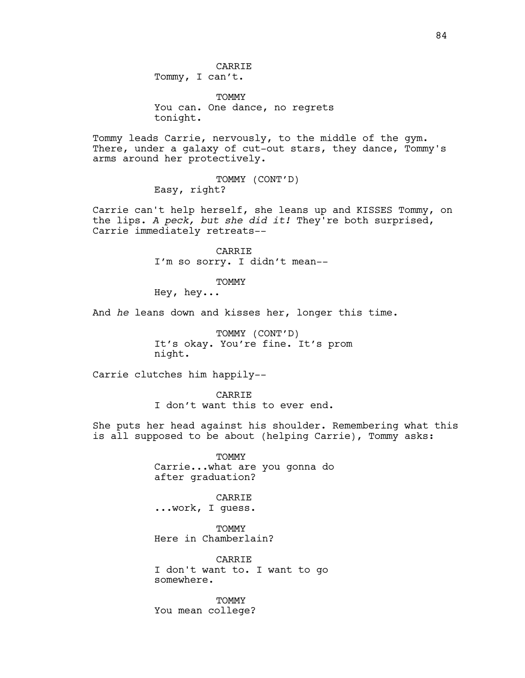TOMMY You can. One dance, no regrets tonight.

Tommy leads Carrie, nervously, to the middle of the gym. There, under a galaxy of cut-out stars, they dance, Tommy's arms around her protectively.

> TOMMY (CONT'D) Easy, right?

Carrie can't help herself, she leans up and KISSES Tommy, on the lips. *A peck, but she did it!* They're both surprised, Carrie immediately retreats--

> CARRIE I'm so sorry. I didn't mean--

> > TOMMY

Hey, hey...

And *he* leans down and kisses her, longer this time.

TOMMY (CONT'D) It's okay. You're fine. It's prom night.

Carrie clutches him happily--

CARRIE I don't want this to ever end.

She puts her head against his shoulder. Remembering what this is all supposed to be about (helping Carrie), Tommy asks:

> TOMMY Carrie...what are you gonna do after graduation?

CARRIE ...work, I guess.

TOMMY Here in Chamberlain?

CARRIE I don't want to. I want to go somewhere.

TOMMY You mean college?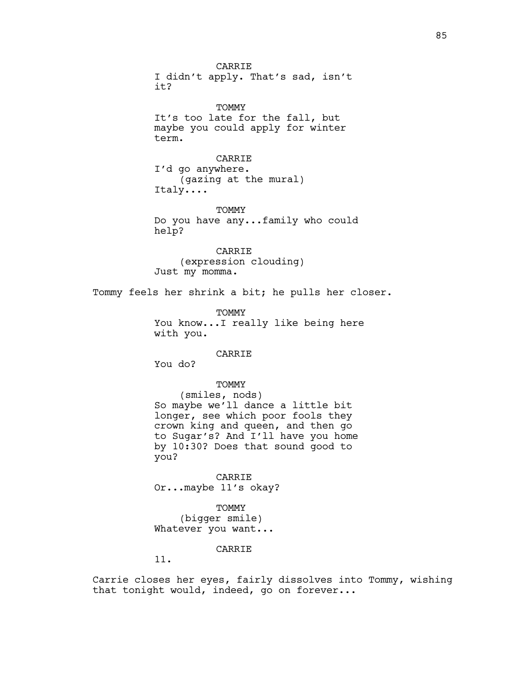I didn't apply. That's sad, isn't it? TOMMY It's too late for the fall, but maybe you could apply for winter term. CARRIE I'd go anywhere. (gazing at the mural) Italy.... TOMMY Do you have any...family who could help? CARRIE (expression clouding) Just my momma. Tommy feels her shrink a bit; he pulls her closer. TOMMY You know...I really like being here with you. CARRIE You do? TOMMY (smiles, nods) So maybe we'll dance a little bit longer, see which poor fools they crown king and queen, and then go to Sugar's? And I'll have you home by 10:30? Does that sound good to you? CARRIE Or...maybe 11's okay? TOMMY (bigger smile) Whatever you want... CARRIE 11. Carrie closes her eyes, fairly dissolves into Tommy, wishing

that tonight would, indeed, go on forever...

**CARRTE**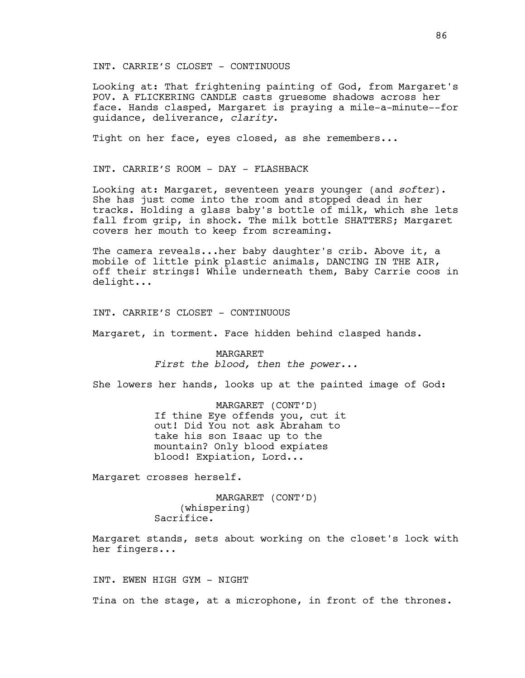INT. CARRIE'S CLOSET - CONTINUOUS

Looking at: That frightening painting of God, from Margaret's POV. A FLICKERING CANDLE casts gruesome shadows across her face. Hands clasped, Margaret is praying a mile-a-minute--for guidance, deliverance, *clarity*.

Tight on her face, eyes closed, as she remembers...

INT. CARRIE'S ROOM - DAY - FLASHBACK

Looking at: Margaret, seventeen years younger (and *softer*). She has just come into the room and stopped dead in her tracks. Holding a glass baby's bottle of milk, which she lets fall from grip, in shock. The milk bottle SHATTERS; Margaret covers her mouth to keep from screaming.

The camera reveals...her baby daughter's crib. Above it, a mobile of little pink plastic animals, DANCING IN THE AIR, off their strings! While underneath them, Baby Carrie coos in delight...

INT. CARRIE'S CLOSET - CONTINUOUS

Margaret, in torment. Face hidden behind clasped hands.

MARGARET *First the blood, then the power...* 

She lowers her hands, looks up at the painted image of God:

MARGARET (CONT'D) If thine Eye offends you, cut it out! Did You not ask Abraham to take his son Isaac up to the mountain? Only blood expiates blood! Expiation, Lord...

Margaret crosses herself.

MARGARET (CONT'D) (whispering) Sacrifice.

Margaret stands, sets about working on the closet's lock with her fingers...

INT. EWEN HIGH GYM - NIGHT

Tina on the stage, at a microphone, in front of the thrones.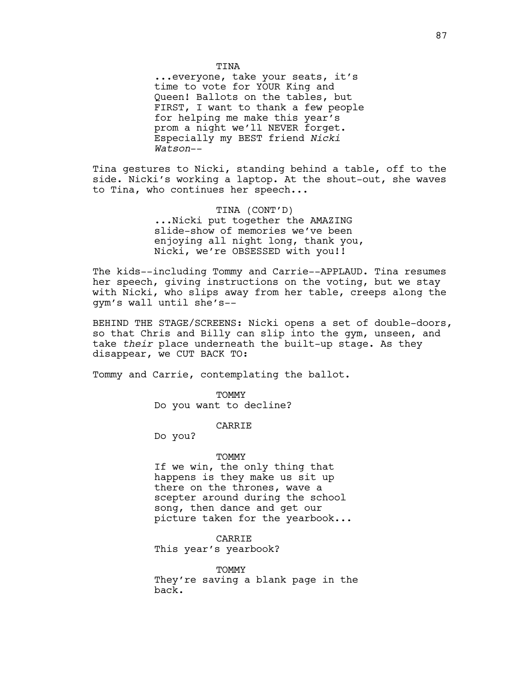TINA

...everyone, take your seats, it's time to vote for YOUR King and Queen! Ballots on the tables, but FIRST, I want to thank a few people for helping me make this year's prom a night we'll NEVER forget. Especially my BEST friend *Nicki Watson*--

Tina gestures to Nicki, standing behind a table, off to the side. Nicki's working a laptop. At the shout-out, she waves to Tina, who continues her speech...

> TINA (CONT'D) ...Nicki put together the AMAZING slide-show of memories we've been enjoying all night long, thank you, Nicki, we're OBSESSED with you!!

The kids--including Tommy and Carrie--APPLAUD. Tina resumes her speech, giving instructions on the voting, but we stay with Nicki, who slips away from her table, creeps along the gym's wall until she's--

BEHIND THE STAGE/SCREENS: Nicki opens a set of double-doors, so that Chris and Billy can slip into the gym, unseen, and take *their* place underneath the built-up stage. As they disappear, we CUT BACK TO:

Tommy and Carrie, contemplating the ballot.

TOMMY Do you want to decline?

CARRIE

Do you?

#### TOMMY

If we win, the only thing that happens is they make us sit up there on the thrones, wave a scepter around during the school song, then dance and get our picture taken for the yearbook...

CARRIE

This year's yearbook?

TOMMY

They're saving a blank page in the back.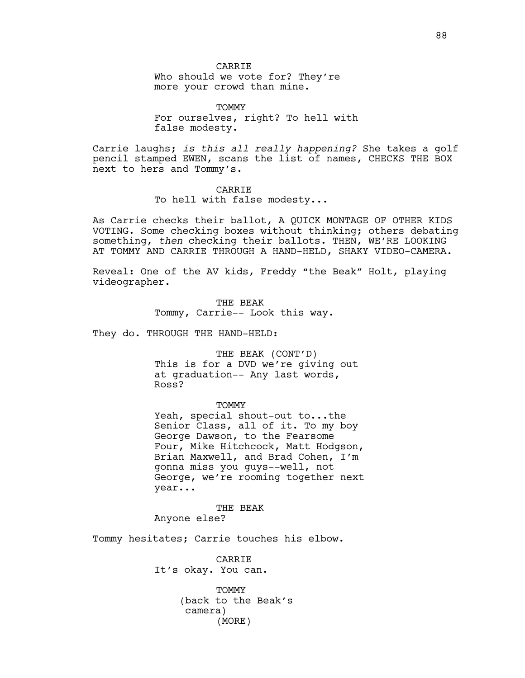CARRIE

Who should we vote for? They're more your crowd than mine.

TOMMY For ourselves, right? To hell with false modesty.

Carrie laughs; *is this all really happening?* She takes a golf pencil stamped EWEN, scans the list of names, CHECKS THE BOX next to hers and Tommy's.

CARRIE

To hell with false modesty...

As Carrie checks their ballot, A QUICK MONTAGE OF OTHER KIDS VOTING. Some checking boxes without thinking; others debating something, *then* checking their ballots. THEN, WE'RE LOOKING AT TOMMY AND CARRIE THROUGH A HAND-HELD, SHAKY VIDEO-CAMERA.

Reveal: One of the AV kids, Freddy "the Beak" Holt, playing videographer.

> THE BEAK Tommy, Carrie-- Look this way.

They do. THROUGH THE HAND-HELD:

THE BEAK (CONT'D) This is for a DVD we're giving out at graduation-- Any last words, Ross?

#### TOMMY

Yeah, special shout-out to...the Senior Class, all of it. To my boy George Dawson, to the Fearsome Four, Mike Hitchcock, Matt Hodgson, Brian Maxwell, and Brad Cohen, I'm gonna miss you guys--well, not George, we're rooming together next year...

THE BEAK Anyone else?

Tommy hesitates; Carrie touches his elbow.

CARRIE It's okay. You can.

> TOMMY (back to the Beak's camera) (MORE)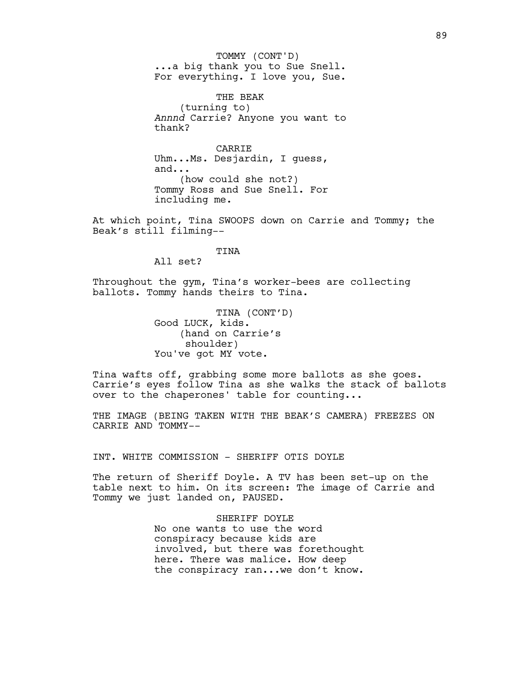...a big thank you to Sue Snell. For everything. I love you, Sue. TOMMY (CONT'D)

THE BEAK (turning to) *Annnd* Carrie? Anyone you want to thank?

CARRIE Uhm...Ms. Desjardin, I guess, and... (how could she not?) Tommy Ross and Sue Snell. For including me.

At which point, Tina SWOOPS down on Carrie and Tommy; the Beak's still filming--

TINA

All set?

Throughout the gym, Tina's worker-bees are collecting ballots. Tommy hands theirs to Tina.

> TINA (CONT'D) Good LUCK, kids. (hand on Carrie's shoulder) You've got MY vote.

Tina wafts off, grabbing some more ballots as she goes. Carrie's eyes follow Tina as she walks the stack of ballots over to the chaperones' table for counting...

THE IMAGE (BEING TAKEN WITH THE BEAK'S CAMERA) FREEZES ON CARRIE AND TOMMY--

INT. WHITE COMMISSION - SHERIFF OTIS DOYLE

The return of Sheriff Doyle. A TV has been set-up on the table next to him. On its screen: The image of Carrie and Tommy we just landed on, PAUSED.

> SHERIFF DOYLE No one wants to use the word conspiracy because kids are involved, but there was forethought here. There was malice. How deep the conspiracy ran...we don't know.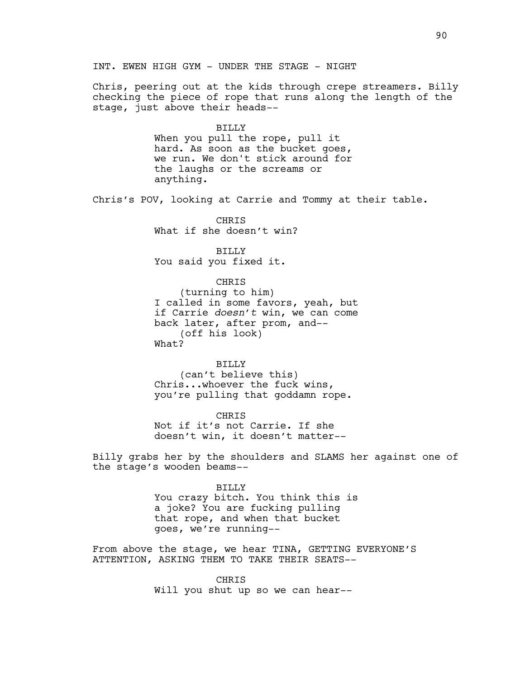INT. EWEN HIGH GYM - UNDER THE STAGE - NIGHT

Chris, peering out at the kids through crepe streamers. Billy checking the piece of rope that runs along the length of the stage, just above their heads--

> BILLY When you pull the rope, pull it hard. As soon as the bucket goes, we run. We don't stick around for the laughs or the screams or anything.

Chris's POV, looking at Carrie and Tommy at their table.

**CHRTS** What if she doesn't win?

BILLY You said you fixed it.

CHRIS

(turning to him) I called in some favors, yeah, but if Carrie *doesn't* win, we can come back later, after prom, and-- (off his look) What?

BILLY (can't believe this) Chris...whoever the fuck wins, you're pulling that goddamn rope.

CHRIS Not if it's not Carrie. If she doesn't win, it doesn't matter--

Billy grabs her by the shoulders and SLAMS her against one of the stage's wooden beams--

> BILLY You crazy bitch. You think this is a joke? You are fucking pulling that rope, and when that bucket goes, we're running--

From above the stage, we hear TINA, GETTING EVERYONE'S ATTENTION, ASKING THEM TO TAKE THEIR SEATS--

> CHRIS Will you shut up so we can hear--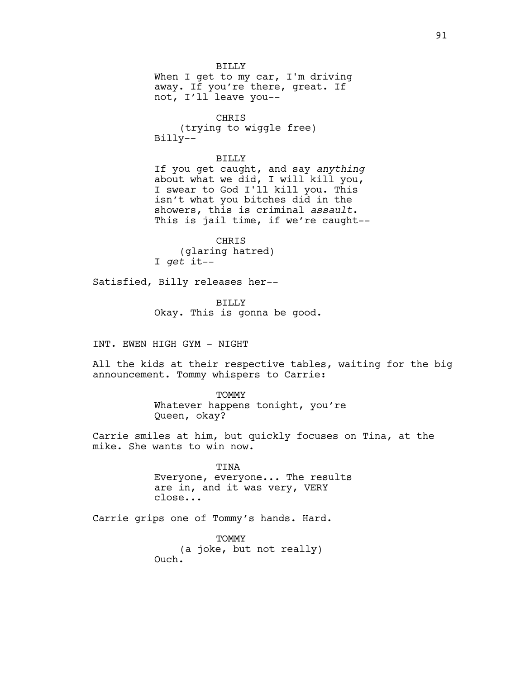BILLY When I get to my car, I'm driving away. If you're there, great. If not, I'll leave you--

CHRIS (trying to wiggle free) Billy--

BILLY If you get caught, and say *anything* about what we did, I will kill you, I swear to God I'll kill you. This isn't what you bitches did in the showers, this is criminal *assault*. This is jail time, if we're caught--

CHRIS (glaring hatred) I *get* it--

Satisfied, Billy releases her--

BILLY Okay. This is gonna be good.

INT. EWEN HIGH GYM - NIGHT

All the kids at their respective tables, waiting for the big announcement. Tommy whispers to Carrie:

> TOMMY Whatever happens tonight, you're Queen, okay?

Carrie smiles at him, but quickly focuses on Tina, at the mike. She wants to win now.

> TINA Everyone, everyone... The results are in, and it was very, VERY close...

Carrie grips one of Tommy's hands. Hard.

TOMMY (a joke, but not really) Ouch.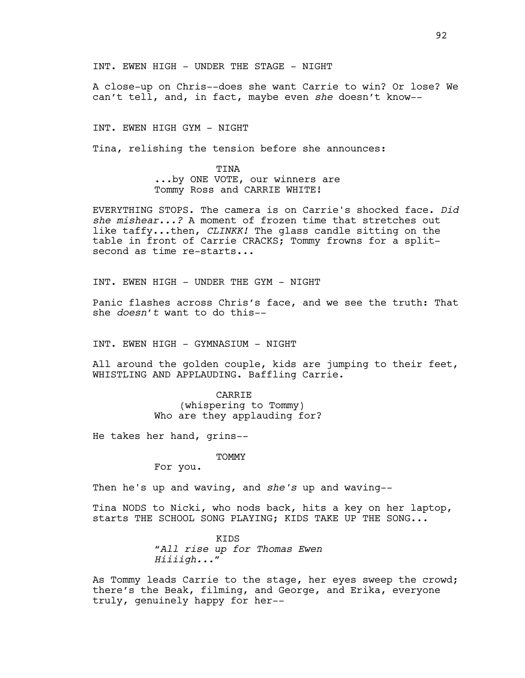INT. EWEN HIGH - UNDER THE STAGE - NIGHT

A close-up on Chris--does she want Carrie to win? Or lose? We can't tell, and, in fact, maybe even *she* doesn't know--

INT. EWEN HIGH GYM - NIGHT

Tina, relishing the tension before she announces:

TINA ...by ONE VOTE, our winners are Tommy Ross and CARRIE WHITE!

EVERYTHING STOPS. The camera is on Carrie's shocked face. *Did she mishear...?* A moment of frozen time that stretches out like taffy...then, *CLINKK!* The glass candle sitting on the table in front of Carrie CRACKS; Tommy frowns for a splitsecond as time re-starts...

INT. EWEN HIGH - UNDER THE GYM - NIGHT

Panic flashes across Chris's face, and we see the truth: That she *doesn't* want to do this--

INT. EWEN HIGH - GYMNASIUM - NIGHT

All around the golden couple, kids are jumping to their feet, WHISTLING AND APPLAUDING. Baffling Carrie.

### CARRIE

(whispering to Tommy) Who are they applauding for?

He takes her hand, grins--

### TOMMY

For you.

Then he's up and waving, and *she's* up and waving--

Tina NODS to Nicki, who nods back, hits a key on her laptop, starts THE SCHOOL SONG PLAYING; KIDS TAKE UP THE SONG...

> **KTDS** *"All rise up for Thomas Ewen Hiiiigh..."*

As Tommy leads Carrie to the stage, her eyes sweep the crowd; there's the Beak, filming, and George, and Erika, everyone truly, genuinely happy for her--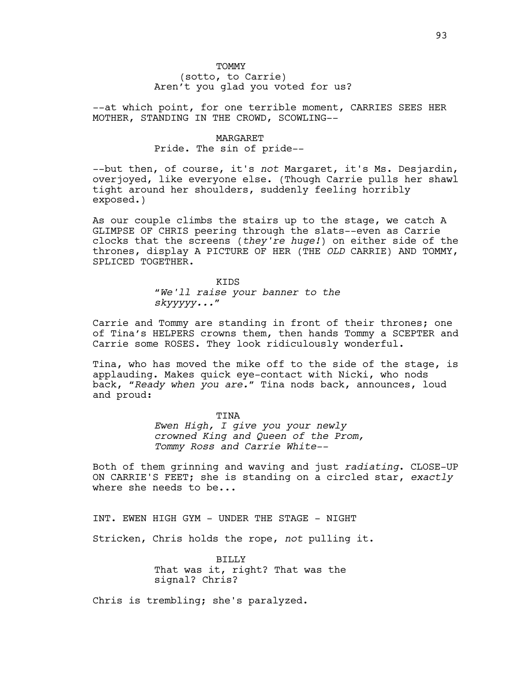# **TOMMY** (sotto, to Carrie) Aren't you glad you voted for us?

--at which point, for one terrible moment, CARRIES SEES HER MOTHER, STANDING IN THE CROWD, SCOWLING--

#### MARGARET

Pride. The sin of pride--

--but then, of course, it's *not* Margaret, it's Ms. Desjardin, overjoyed, like everyone else. (Though Carrie pulls her shawl tight around her shoulders, suddenly feeling horribly exposed.)

As our couple climbs the stairs up to the stage, we catch A GLIMPSE OF CHRIS peering through the slats--even as Carrie clocks that the screens (*they're huge!*) on either side of the thrones, display A PICTURE OF HER (THE *OLD* CARRIE) AND TOMMY, SPLICED TOGETHER.

> KIDS *"We'll raise your banner to the skyyyyy..."*

Carrie and Tommy are standing in front of their thrones; one of Tina's HELPERS crowns them, then hands Tommy a SCEPTER and Carrie some ROSES. They look ridiculously wonderful.

Tina, who has moved the mike off to the side of the stage, is applauding. Makes quick eye-contact with Nicki, who nods back, *"Ready when you are."* Tina nods back, announces, loud and proud:

> TINA *Ewen High, I give you your newly crowned King and Queen of the Prom, Tommy Ross and Carrie White--*

Both of them grinning and waving and just *radiating*. CLOSE-UP ON CARRIE'S FEET; she is standing on a circled star, *exactly* where she needs to be...

INT. EWEN HIGH GYM - UNDER THE STAGE - NIGHT

Stricken, Chris holds the rope, *not* pulling it.

BILLY That was it, right? That was the signal? Chris?

Chris is trembling; she's paralyzed.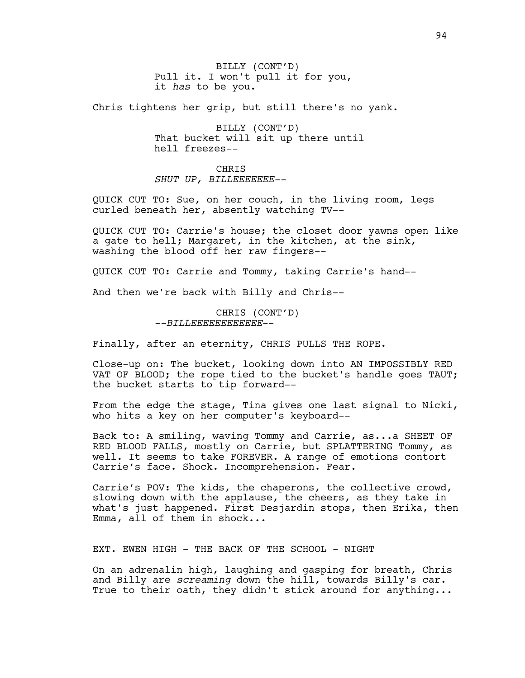BILLY (CONT'D) Pull it. I won't pull it for you, it *has* to be you.

Chris tightens her grip, but still there's no yank.

BILLY (CONT'D) That bucket will sit up there until hell freezes--

CHRIS *SHUT UP, BILLEEEEEEE--*

QUICK CUT TO: Sue, on her couch, in the living room, legs curled beneath her, absently watching TV--

QUICK CUT TO: Carrie's house; the closet door yawns open like a gate to hell; Margaret, in the kitchen, at the sink, washing the blood off her raw fingers--

QUICK CUT TO: Carrie and Tommy, taking Carrie's hand--

And then we're back with Billy and Chris--

CHRIS (CONT'D) *--BILLEEEEEEEEEEEE*--

Finally, after an eternity, CHRIS PULLS THE ROPE.

Close-up on: The bucket, looking down into AN IMPOSSIBLY RED VAT OF BLOOD; the rope tied to the bucket's handle goes TAUT; the bucket starts to tip forward--

From the edge the stage, Tina gives one last signal to Nicki, who hits a key on her computer's keyboard--

Back to: A smiling, waving Tommy and Carrie, as...a SHEET OF RED BLOOD FALLS, mostly on Carrie, but SPLATTERING Tommy, as well. It seems to take FOREVER. A range of emotions contort Carrie's face. Shock. Incomprehension. Fear.

Carrie's POV: The kids, the chaperons, the collective crowd, slowing down with the applause, the cheers, as they take in what's just happened. First Desjardin stops, then Erika, then Emma, all of them in shock...

EXT. EWEN HIGH - THE BACK OF THE SCHOOL - NIGHT

On an adrenalin high, laughing and gasping for breath, Chris and Billy are *screaming* down the hill, towards Billy's car. True to their oath, they didn't stick around for anything...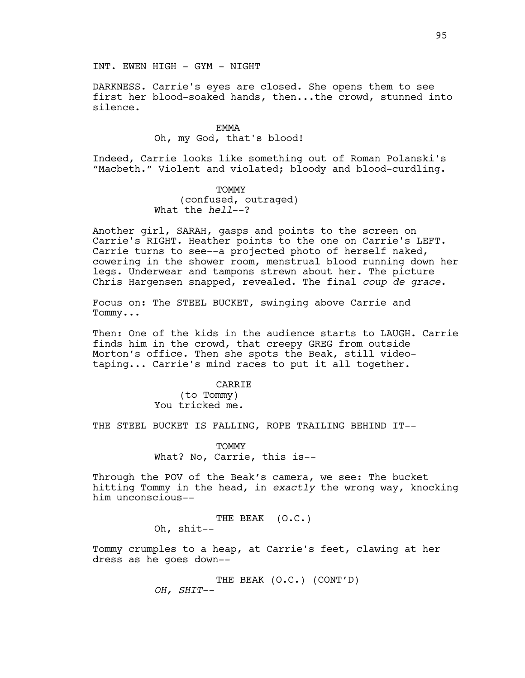INT. EWEN HIGH - GYM - NIGHT

DARKNESS. Carrie's eyes are closed. She opens them to see first her blood-soaked hands, then...the crowd, stunned into silence.

> EMMA Oh, my God, that's blood!

Indeed, Carrie looks like something out of Roman Polanski's "Macbeth." Violent and violated; bloody and blood-curdling.

> TOMMY (confused, outraged) What the *hell*--?

Another girl, SARAH, gasps and points to the screen on Carrie's RIGHT. Heather points to the one on Carrie's LEFT. Carrie turns to see--a projected photo of herself naked, cowering in the shower room, menstrual blood running down her legs. Underwear and tampons strewn about her. The picture Chris Hargensen snapped, revealed. The final *coup de grace*.

Focus on: The STEEL BUCKET, swinging above Carrie and Tommy...

Then: One of the kids in the audience starts to LAUGH. Carrie finds him in the crowd, that creepy GREG from outside Morton's office. Then she spots the Beak, still videotaping... Carrie's mind races to put it all together.

#### **CARRIE**

(to Tommy) You tricked me.

THE STEEL BUCKET IS FALLING, ROPE TRAILING BEHIND IT--

TOMMY What? No, Carrie, this is--

Through the POV of the Beak's camera, we see: The bucket hitting Tommy in the head, in *exactly* the wrong way, knocking him unconscious--

> THE BEAK (O.C.) Oh, shit--

Tommy crumples to a heap, at Carrie's feet, clawing at her dress as he goes down--

> THE BEAK (O.C.) (CONT'D) *OH, SHIT--*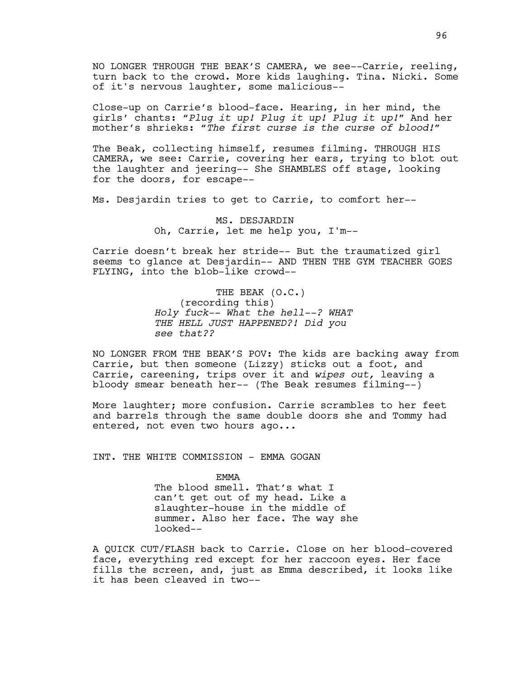NO LONGER THROUGH THE BEAK'S CAMERA, we see--Carrie, reeling, turn back to the crowd. More kids laughing. Tina. Nicki. Some of it's nervous laughter, some malicious--

Close-up on Carrie's blood-face. Hearing, in her mind, the girls' chants: *"Plug it up! Plug it up! Plug it up!"* And her mother's shrieks: *"The first curse is the curse of blood!"* 

The Beak, collecting himself, resumes filming. THROUGH HIS CAMERA, we see: Carrie, covering her ears, trying to blot out the laughter and jeering-- She SHAMBLES off stage, looking for the doors, for escape--

Ms. Desjardin tries to get to Carrie, to comfort her--

MS. DESJARDIN Oh, Carrie, let me help you, I'm--

Carrie doesn't break her stride-- But the traumatized girl seems to glance at Desjardin-- AND THEN THE GYM TEACHER GOES FLYING, into the blob-like crowd--

> THE BEAK (O.C.) (recording this) *Holy fuck-- What the hell--? WHAT THE HELL JUST HAPPENED?! Did you see that??*

NO LONGER FROM THE BEAK'S POV: The kids are backing away from Carrie, but then someone (Lizzy) sticks out a foot, and Carrie, careening, trips over it and *wipes out,* leaving a bloody smear beneath her-- (The Beak resumes filming--)

More laughter; more confusion. Carrie scrambles to her feet and barrels through the same double doors she and Tommy had entered, not even two hours ago...

INT. THE WHITE COMMISSION - EMMA GOGAN

EMMA

The blood smell. That's what I can't get out of my head. Like a slaughter-house in the middle of summer. Also her face. The way she looked--

A QUICK CUT/FLASH back to Carrie. Close on her blood-covered face, everything red except for her raccoon eyes. Her face fills the screen, and, just as Emma described, it looks like it has been cleaved in two--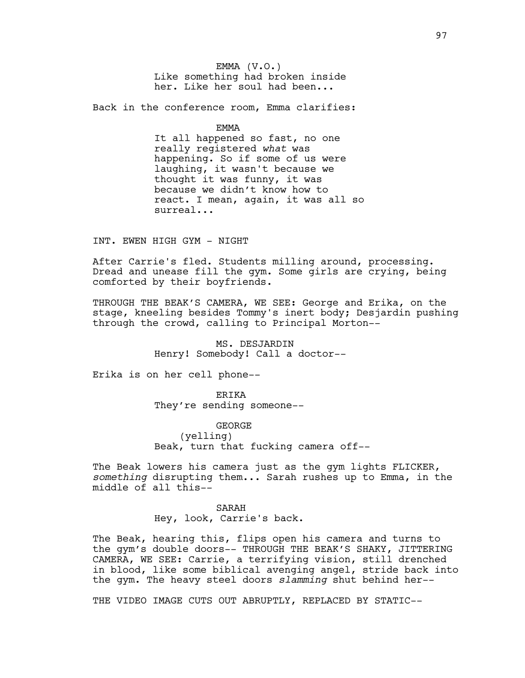EMMA (V.O.) Like something had broken inside her. Like her soul had been...

Back in the conference room, Emma clarifies:

EMMA

It all happened so fast, no one really registered *what* was happening. So if some of us were laughing, it wasn't because we thought it was funny, it was because we didn't know how to react. I mean, again, it was all so surreal...

INT. EWEN HIGH GYM - NIGHT

After Carrie's fled. Students milling around, processing. Dread and unease fill the gym. Some girls are crying, being comforted by their boyfriends.

THROUGH THE BEAK'S CAMERA, WE SEE: George and Erika, on the stage, kneeling besides Tommy's inert body; Desjardin pushing through the crowd, calling to Principal Morton--

> MS. DESJARDIN Henry! Somebody! Call a doctor--

Erika is on her cell phone--

ERIKA They're sending someone--

GEORGE (yelling) Beak, turn that fucking camera off--

The Beak lowers his camera just as the gym lights FLICKER, *something* disrupting them... Sarah rushes up to Emma, in the middle of all this--

> SARAH Hey, look, Carrie's back.

The Beak, hearing this, flips open his camera and turns to the gym's double doors-- THROUGH THE BEAK'S SHAKY, JITTERING CAMERA, WE SEE: Carrie, a terrifying vision, still drenched in blood, like some biblical avenging angel, stride back into the gym. The heavy steel doors *slamming* shut behind her--

THE VIDEO IMAGE CUTS OUT ABRUPTLY, REPLACED BY STATIC--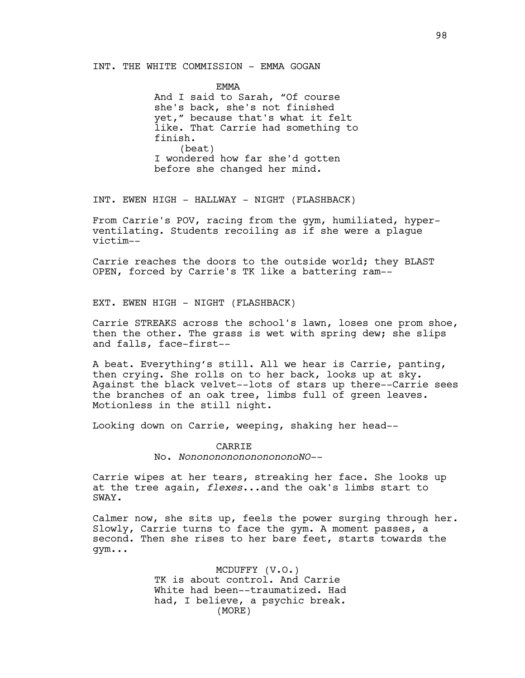INT. THE WHITE COMMISSION - EMMA GOGAN

EMMA And I said to Sarah, "Of course she's back, she's not finished yet," because that's what it felt like. That Carrie had something to finish. (beat) I wondered how far she'd gotten before she changed her mind.

INT. EWEN HIGH - HALLWAY - NIGHT (FLASHBACK)

From Carrie's POV, racing from the gym, humiliated, hyperventilating. Students recoiling as if she were a plague victim--

Carrie reaches the doors to the outside world; they BLAST OPEN, forced by Carrie's TK like a battering ram--

EXT. EWEN HIGH - NIGHT (FLASHBACK)

Carrie STREAKS across the school's lawn, loses one prom shoe, then the other. The grass is wet with spring dew; she slips and falls, face-first--

A beat. Everything's still. All we hear is Carrie, panting, then crying. She rolls on to her back, looks up at sky. Against the black velvet--lots of stars up there--Carrie sees the branches of an oak tree, limbs full of green leaves. Motionless in the still night.

Looking down on Carrie, weeping, shaking her head--

CARRIE No. *NonononononononononoNO--* 

Carrie wipes at her tears, streaking her face. She looks up at the tree again, *flexes*...and the oak's limbs start to SWAY.

Calmer now, she sits up, feels the power surging through her. Slowly, Carrie turns to face the gym. A moment passes, a second. Then she rises to her bare feet, starts towards the gym...

> MCDUFFY (V.O.) TK is about control. And Carrie White had been--traumatized. Had had, I believe, a psychic break. (MORE)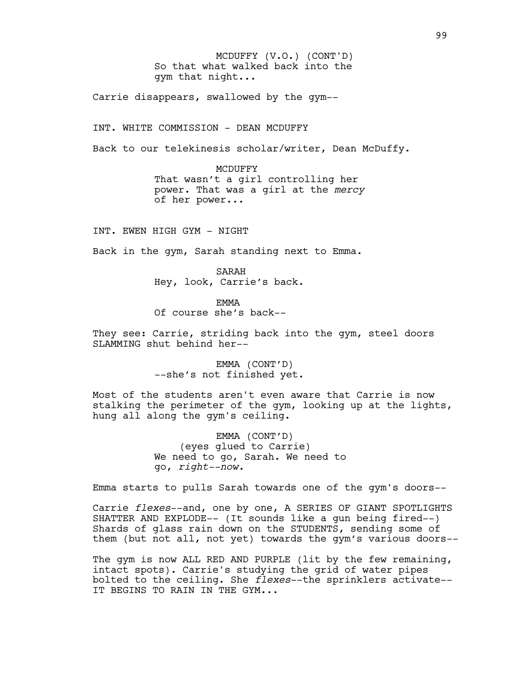So that what walked back into the gym that night... MCDUFFY (V.O.) (CONT'D)

Carrie disappears, swallowed by the gym--

INT. WHITE COMMISSION - DEAN MCDUFFY

Back to our telekinesis scholar/writer, Dean McDuffy.

MCDUFFY That wasn't a girl controlling her power. That was a girl at the *mercy* of her power...

INT. EWEN HIGH GYM - NIGHT

Back in the gym, Sarah standing next to Emma.

SARAH Hey, look, Carrie's back.

EMMA Of course she's back--

They see: Carrie, striding back into the gym, steel doors SLAMMING shut behind her--

> EMMA (CONT'D) --she's not finished yet.

Most of the students aren't even aware that Carrie is now stalking the perimeter of the gym, looking up at the lights, hung all along the gym's ceiling.

> EMMA (CONT'D) (eyes glued to Carrie) We need to go, Sarah. We need to go, *right--now.*

Emma starts to pulls Sarah towards one of the gym's doors--

Carrie *flexes*--and, one by one, A SERIES OF GIANT SPOTLIGHTS SHATTER AND EXPLODE-- (It sounds like a gun being fired--) Shards of glass rain down on the STUDENTS, sending some of them (but not all, not yet) towards the gym's various doors--

The gym is now ALL RED AND PURPLE (lit by the few remaining, intact spots). Carrie's studying the grid of water pipes bolted to the ceiling. She *flexes*--the sprinklers activate-- IT BEGINS TO RAIN IN THE GYM...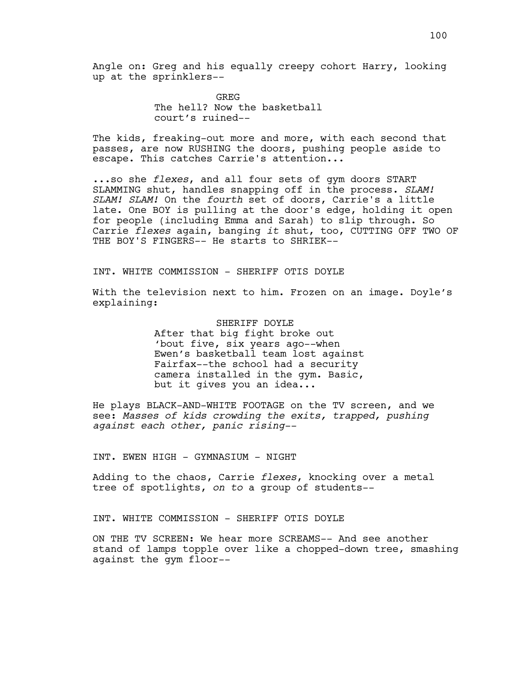Angle on: Greg and his equally creepy cohort Harry, looking up at the sprinklers--

> GREG The hell? Now the basketball court's ruined--

The kids, freaking-out more and more, with each second that passes, are now RUSHING the doors, pushing people aside to escape. This catches Carrie's attention...

...so she *flexes*, and all four sets of gym doors START SLAMMING shut, handles snapping off in the process. *SLAM! SLAM! SLAM!* On the *fourth* set of doors, Carrie's a little late. One BOY is pulling at the door's edge, holding it open for people (including Emma and Sarah) to slip through. So Carrie *flexes* again, banging *it* shut, too, CUTTING OFF TWO OF THE BOY'S FINGERS-- He starts to SHRIEK--

INT. WHITE COMMISSION - SHERIFF OTIS DOYLE

With the television next to him. Frozen on an image. Doyle's explaining:

> SHERIFF DOYLE After that big fight broke out 'bout five, six years ago--when Ewen's basketball team lost against Fairfax--the school had a security camera installed in the gym. Basic, but it gives you an idea...

He plays BLACK-AND-WHITE FOOTAGE on the TV screen, and we see: *Masses of kids crowding the exits, trapped, pushing against each other, panic rising--*

INT. EWEN HIGH - GYMNASIUM - NIGHT

Adding to the chaos, Carrie *flexes*, knocking over a metal tree of spotlights, *on to* a group of students--

INT. WHITE COMMISSION - SHERIFF OTIS DOYLE

ON THE TV SCREEN: We hear more SCREAMS-- And see another stand of lamps topple over like a chopped-down tree, smashing against the gym floor--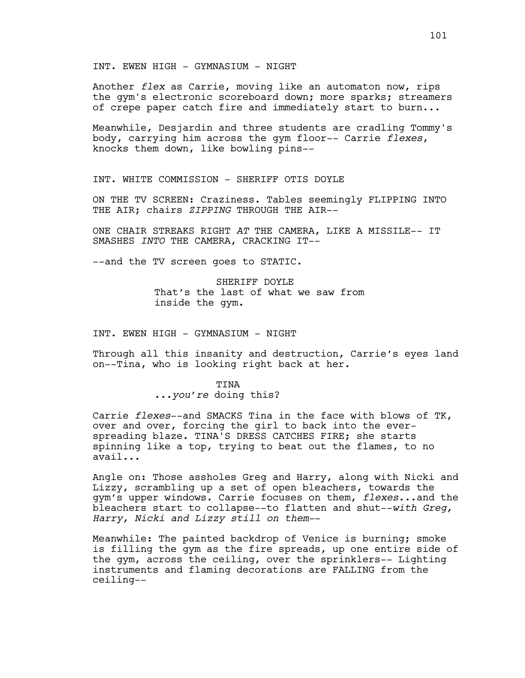INT. EWEN HIGH - GYMNASIUM - NIGHT

Another *flex* as Carrie, moving like an automaton now, rips the gym's electronic scoreboard down; more sparks; streamers of crepe paper catch fire and immediately start to burn...

Meanwhile, Desjardin and three students are cradling Tommy's body, carrying him across the gym floor-- Carrie *flexes*, knocks them down, like bowling pins--

INT. WHITE COMMISSION - SHERIFF OTIS DOYLE

ON THE TV SCREEN: Craziness. Tables seemingly FLIPPING INTO THE AIR; chairs *ZIPPING* THROUGH THE AIR--

ONE CHAIR STREAKS RIGHT *AT* THE CAMERA, LIKE A MISSILE-- IT SMASHES *INTO* THE CAMERA, CRACKING IT--

--and the TV screen goes to STATIC.

SHERIFF DOYLE That's the last of what we saw from inside the gym.

INT. EWEN HIGH - GYMNASIUM - NIGHT

Through all this insanity and destruction, Carrie's eyes land on--Tina, who is looking right back at her.

> TINA ...*you're* doing this?

Carrie *flexes*--and SMACKS Tina in the face with blows of TK, over and over, forcing the girl to back into the everspreading blaze. TINA'S DRESS CATCHES FIRE; she starts spinning like a top, trying to beat out the flames, to no avail...

Angle on: Those assholes Greg and Harry, along with Nicki and Lizzy, scrambling up a set of open bleachers, towards the gym's upper windows. Carrie focuses on them, *flexes*...and the bleachers start to collapse--to flatten and shut--*with Greg, Harry, Nicki and Lizzy still on them-*-

Meanwhile: The painted backdrop of Venice is burning; smoke is filling the gym as the fire spreads, up one entire side of the gym, across the ceiling, over the sprinklers-- Lighting instruments and flaming decorations are FALLING from the ceiling--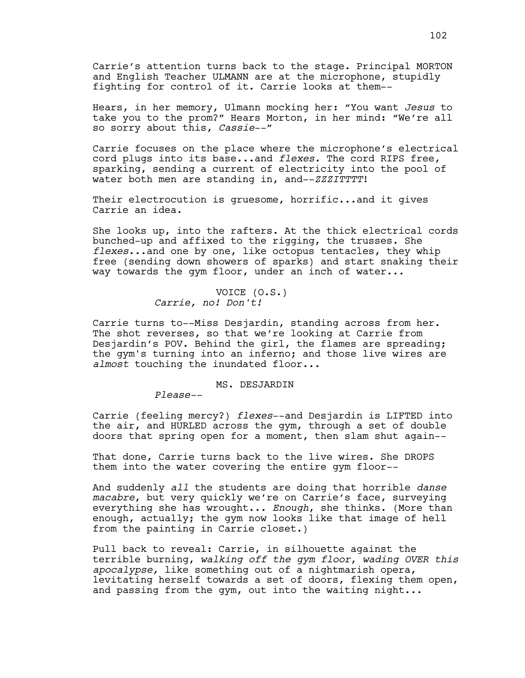Carrie's attention turns back to the stage. Principal MORTON and English Teacher ULMANN are at the microphone, stupidly fighting for control of it. Carrie looks at them--

Hears, in her memory, Ulmann mocking her: "You want *Jesus* to take you to the prom?" Hears Morton, in her mind: "We're all so sorry about this, *Cassie*--"

Carrie focuses on the place where the microphone's electrical cord plugs into its base...and *flexes*. The cord RIPS free, sparking, sending a current of electricity into the pool of water both men are standing in, and--*ZZZITTTT*!

Their electrocution is gruesome, horrific...and it gives Carrie an idea.

She looks up, into the rafters. At the thick electrical cords bunched-up and affixed to the rigging, the trusses. She *flexes*...and one by one, like octopus tentacles, they whip free (sending down showers of sparks) and start snaking their way towards the gym floor, under an inch of water...

# VOICE (O.S.) *Carrie, no! Don't!*

Carrie turns to--Miss Desjardin, standing across from her. The shot reverses, so that we're looking at Carrie from Desjardin's POV. Behind the girl, the flames are spreading; the gym's turning into an inferno; and those live wires are *almost* touching the inundated floor...

# MS. DESJARDIN

*Please--*

Carrie (feeling mercy?) *flexes*--and Desjardin is LIFTED into the air, and HURLED across the gym, through a set of double doors that spring open for a moment, then slam shut again--

That done, Carrie turns back to the live wires. She DROPS them into the water covering the entire gym floor--

And suddenly *all* the students are doing that horrible *danse macabre*, but very quickly we're on Carrie's face, surveying everything she has wrought... *Enough*, she thinks. (More than enough, actually; the gym now looks like that image of hell from the painting in Carrie closet.)

Pull back to reveal: Carrie, in silhouette against the terrible burning, *walking off the gym floor*, *wading OVER this apocalypse,* like something out of a nightmarish opera, levitating herself towards a set of doors, flexing them open, and passing from the gym, out into the waiting night...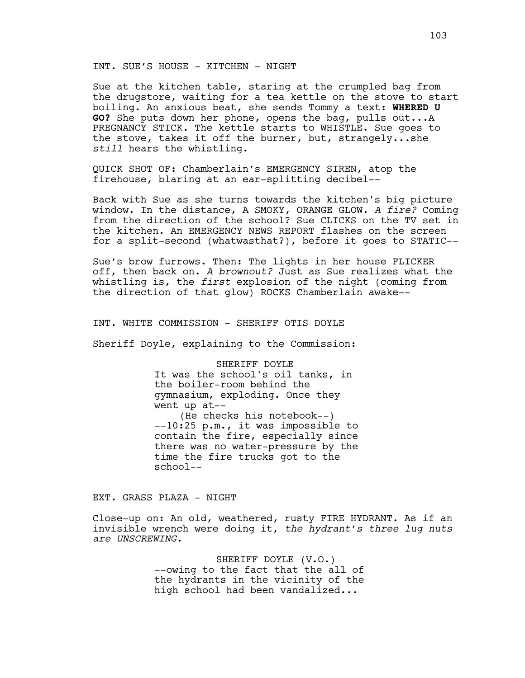INT. SUE'S HOUSE - KITCHEN - NIGHT

Sue at the kitchen table, staring at the crumpled bag from the drugstore, waiting for a tea kettle on the stove to start boiling. An anxious beat, she sends Tommy a text: **WHERED U GO?** She puts down her phone, opens the bag, pulls out...A PREGNANCY STICK. The kettle starts to WHISTLE. Sue goes to the stove, takes it off the burner, but, strangely...she *still* hears the whistling.

QUICK SHOT OF: Chamberlain's EMERGENCY SIREN, atop the firehouse, blaring at an ear-splitting decibel--

Back with Sue as she turns towards the kitchen's big picture window. In the distance, A SMOKY, ORANGE GLOW. *A fire?* Coming from the direction of the school? Sue CLICKS on the TV set in the kitchen. An EMERGENCY NEWS REPORT flashes on the screen for a split-second (whatwasthat?), before it goes to STATIC--

Sue's brow furrows. Then: The lights in her house FLICKER off, then back on. *A brownout?* Just as Sue realizes what the whistling is, the *first* explosion of the night (coming from the direction of that glow) ROCKS Chamberlain awake--

INT. WHITE COMMISSION - SHERIFF OTIS DOYLE

Sheriff Doyle, explaining to the Commission:

SHERIFF DOYLE It was the school's oil tanks, in the boiler-room behind the gymnasium, exploding. Once they went up at-- (He checks his notebook--) --10:25 p.m., it was impossible to contain the fire, especially since there was no water-pressure by the time the fire trucks got to the school--

EXT. GRASS PLAZA - NIGHT

Close-up on: An old, weathered, rusty FIRE HYDRANT. As if an invisible wrench were doing it, *the hydrant's three lug nuts are UNSCREWING.*

> SHERIFF DOYLE (V.O.) --owing to the fact that the all of the hydrants in the vicinity of the high school had been vandalized...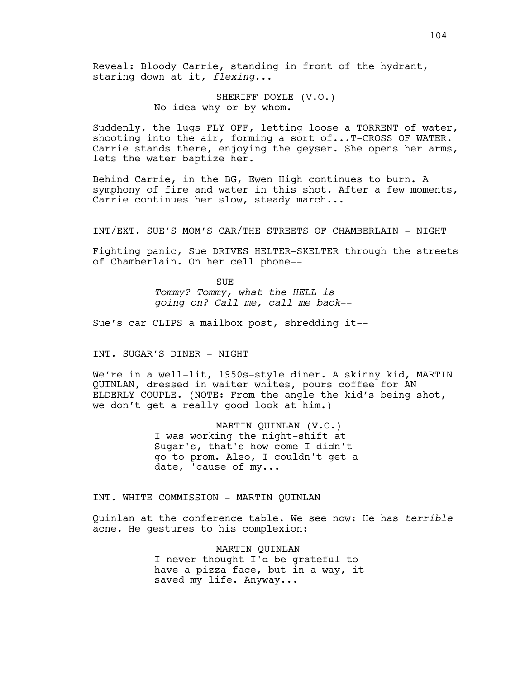Reveal: Bloody Carrie, standing in front of the hydrant, staring down at it, *flexing*...

> SHERIFF DOYLE (V.O.) No idea why or by whom.

Suddenly, the lugs FLY OFF, letting loose a TORRENT of water, shooting into the air, forming a sort of...T-CROSS OF WATER. Carrie stands there, enjoying the geyser. She opens her arms, lets the water baptize her.

Behind Carrie, in the BG, Ewen High continues to burn. A symphony of fire and water in this shot. After a few moments, Carrie continues her slow, steady march...

INT/EXT. SUE'S MOM'S CAR/THE STREETS OF CHAMBERLAIN - NIGHT

Fighting panic, Sue DRIVES HELTER-SKELTER through the streets of Chamberlain. On her cell phone--

> SUE *Tommy? Tommy, what the HELL is going on? Call me, call me back*--

Sue's car CLIPS a mailbox post, shredding it--

INT. SUGAR'S DINER - NIGHT

We're in a well-lit, 1950s-style diner. A skinny kid, MARTIN QUINLAN, dressed in waiter whites, pours coffee for AN ELDERLY COUPLE. (NOTE: From the angle the kid's being shot, we don't get a really good look at him.)

> MARTIN QUINLAN (V.O.) I was working the night-shift at Sugar's, that's how come I didn't go to prom. Also, I couldn't get a date, 'cause of my...

INT. WHITE COMMISSION - MARTIN QUINLAN

Quinlan at the conference table. We see now: He has *terrible* acne. He gestures to his complexion:

> MARTIN QUINLAN I never thought I'd be grateful to have a pizza face, but in a way, it saved my life. Anyway...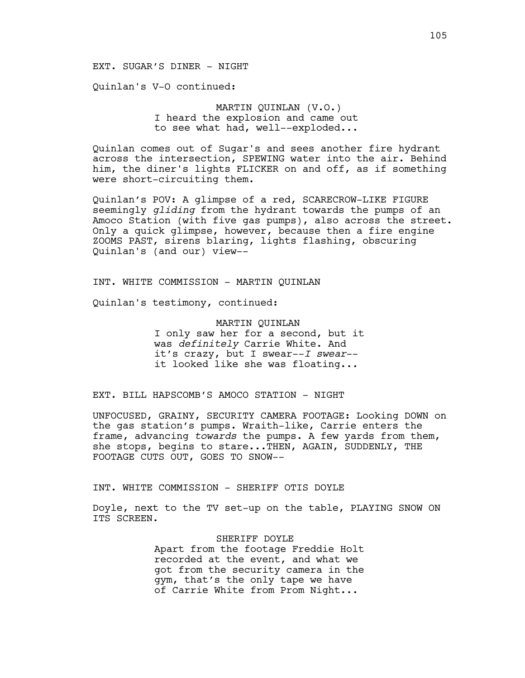### EXT. SUGAR'S DINER - NIGHT

Quinlan's V-O continued:

MARTIN QUINLAN (V.O.) I heard the explosion and came out to see what had, well--exploded...

Quinlan comes out of Sugar's and sees another fire hydrant across the intersection, SPEWING water into the air. Behind him, the diner's lights FLICKER on and off, as if something were short-circuiting them.

Quinlan's POV: A glimpse of a red, SCARECROW-LIKE FIGURE seemingly *gliding* from the hydrant towards the pumps of an Amoco Station (with five gas pumps), also across the street. Only a quick glimpse, however, because then a fire engine ZOOMS PAST, sirens blaring, lights flashing, obscuring Quinlan's (and our) view--

INT. WHITE COMMISSION - MARTIN QUINLAN

Quinlan's testimony, continued:

MARTIN QUINLAN I only saw her for a second, but it was *definitely* Carrie White. And it's crazy, but I swear--*I swear*- it looked like she was floating...

EXT. BILL HAPSCOMB'S AMOCO STATION - NIGHT

UNFOCUSED, GRAINY, SECURITY CAMERA FOOTAGE: Looking DOWN on the gas station's pumps. Wraith-like, Carrie enters the frame, advancing *towards* the pumps. A few yards from them, she stops, begins to stare...THEN, AGAIN, SUDDENLY, THE FOOTAGE CUTS OUT, GOES TO SNOW--

INT. WHITE COMMISSION - SHERIFF OTIS DOYLE

Doyle, next to the TV set-up on the table, PLAYING SNOW ON ITS SCREEN.

> SHERIFF DOYLE Apart from the footage Freddie Holt recorded at the event, and what we got from the security camera in the gym, that's the only tape we have of Carrie White from Prom Night...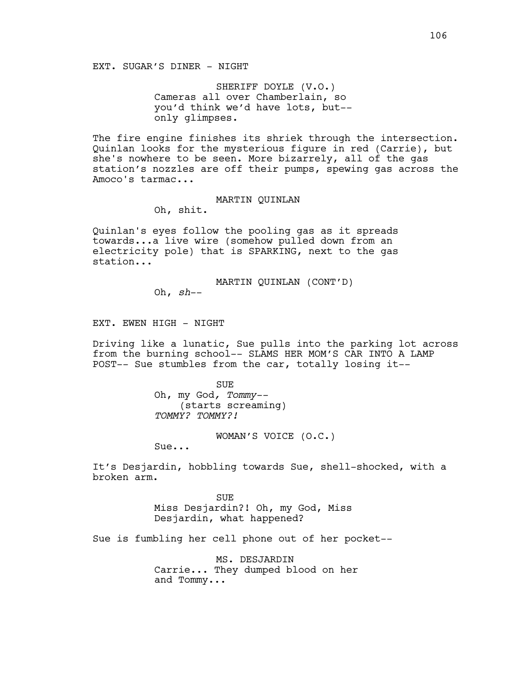SHERIFF DOYLE (V.O.) Cameras all over Chamberlain, so you'd think we'd have lots, but- only glimpses.

The fire engine finishes its shriek through the intersection. Quinlan looks for the mysterious figure in red (Carrie), but she's nowhere to be seen. More bizarrely, all of the gas station's nozzles are off their pumps, spewing gas across the Amoco's tarmac...

## MARTIN QUINLAN

Oh, shit.

Quinlan's eyes follow the pooling gas as it spreads towards...a live wire (somehow pulled down from an electricity pole) that is SPARKING, next to the gas station...

> MARTIN QUINLAN (CONT'D) Oh, *sh*--

EXT. EWEN HIGH - NIGHT

Driving like a lunatic, Sue pulls into the parking lot across from the burning school-- SLAMS HER MOM'S CAR INTO A LAMP POST-- Sue stumbles from the car, totally losing it--

> **SUE** Oh, my God*, Tommy--* (starts screaming) *TOMMY? TOMMY?!*

> > WOMAN'S VOICE (O.C.)

Sue...

It's Desjardin, hobbling towards Sue, shell-shocked, with a broken arm.

> **SUE** Miss Desjardin?! Oh, my God, Miss Desjardin, what happened?

Sue is fumbling her cell phone out of her pocket--

MS. DESJARDIN Carrie... They dumped blood on her and Tommy...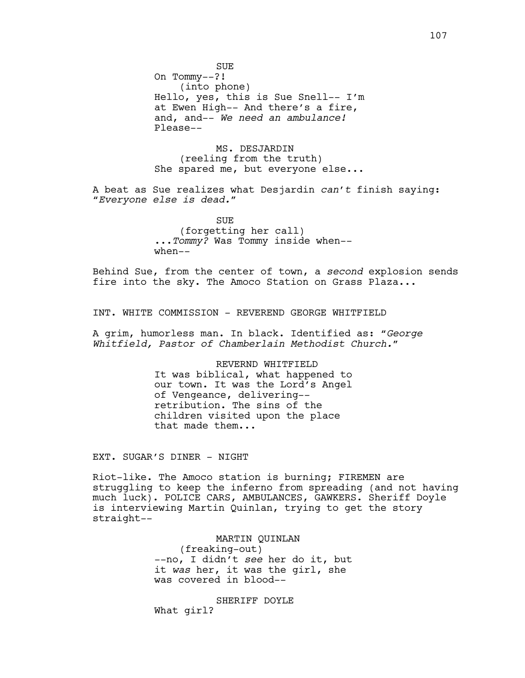**SUE** On Tommy--?! (into phone) Hello, yes, this is Sue Snell-- I'm at Ewen High-- And there's a fire, and, and-- *We need an ambulance!* Please--

MS. DESJARDIN (reeling from the truth) She spared me, but everyone else...

A beat as Sue realizes what Desjardin *can't* finish saying: *"Everyone else is dead."*

> SUE (forgetting her call) ...*Tommy?* Was Tommy inside when- when--

Behind Sue, from the center of town, a *second* explosion sends fire into the sky. The Amoco Station on Grass Plaza...

INT. WHITE COMMISSION - REVEREND GEORGE WHITFIELD

A grim, humorless man. In black. Identified as: *"George Whitfield, Pastor of Chamberlain Methodist Church."*

> REVERND WHITFIELD It was biblical, what happened to our town. It was the Lord's Angel of Vengeance, delivering- retribution. The sins of the children visited upon the place that made them...

EXT. SUGAR'S DINER - NIGHT

Riot-like. The Amoco station is burning; FIREMEN are struggling to keep the inferno from spreading (and not having much luck). POLICE CARS, AMBULANCES, GAWKERS. Sheriff Doyle is interviewing Martin Quinlan, trying to get the story straight--

> MARTIN QUINLAN (freaking-out) --no, I didn't *see* her do it, but it *was* her, it was the girl, she was covered in blood--

SHERIFF DOYLE What girl?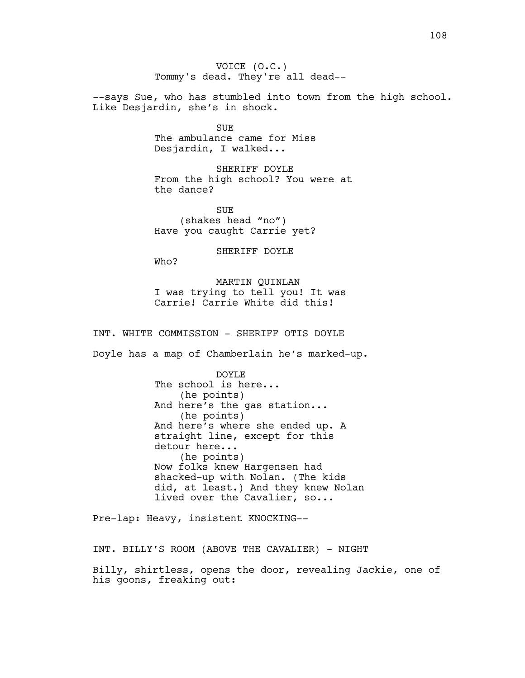VOICE (O.C.) Tommy's dead. They're all dead--

--says Sue, who has stumbled into town from the high school. Like Desjardin, she's in shock.

> SUE The ambulance came for Miss Desjardin, I walked...

SHERIFF DOYLE From the high school? You were at the dance?

SUE (shakes head "no") Have you caught Carrie yet?

SHERIFF DOYLE

Who?

MARTIN QUINLAN I was trying to tell you! It was Carrie! Carrie White did this!

INT. WHITE COMMISSION - SHERIFF OTIS DOYLE

Doyle has a map of Chamberlain he's marked-up.

DOYLE The school is here... (he points) And here's the gas station... (he points) And here's where she ended up. A straight line, except for this detour here... (he points) Now folks knew Hargensen had shacked-up with Nolan. (The kids did, at least.) And they knew Nolan lived over the Cavalier, so...

Pre-lap: Heavy, insistent KNOCKING--

INT. BILLY'S ROOM (ABOVE THE CAVALIER) - NIGHT Billy, shirtless, opens the door, revealing Jackie, one of his goons, freaking out: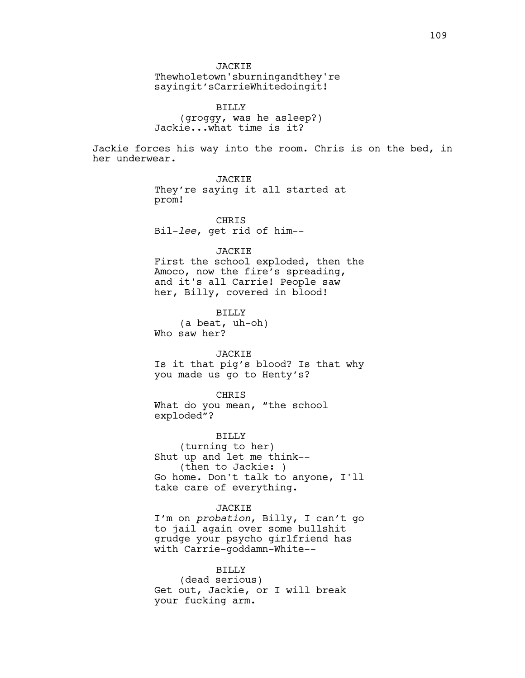Thewholetown'sburningandthey're sayingit'sCarrieWhitedoingit!

BILLY (groggy, was he asleep?) Jackie...what time is it?

Jackie forces his way into the room. Chris is on the bed, in her underwear.

> JACKIE They're saying it all started at prom!

CHRIS Bil-*lee*, get rid of him--

### JACKIE

First the school exploded, then the Amoco, now the fire's spreading, and it's all Carrie! People saw her, Billy, covered in blood!

BILLY (a beat, uh-oh) Who saw her?

# JACKIE

Is it that pig's blood? Is that why you made us go to Henty's?

#### CHRIS

What do you mean, "the school exploded"?

BILLY

(turning to her) Shut up and let me think-- (then to Jackie: ) Go home. Don't talk to anyone, I'll take care of everything.

### JACKIE

I'm on *probation*, Billy, I can't go to jail again over some bullshit grudge your psycho girlfriend has with Carrie-goddamn-White--

### BILLY

(dead serious) Get out, Jackie, or I will break your fucking arm.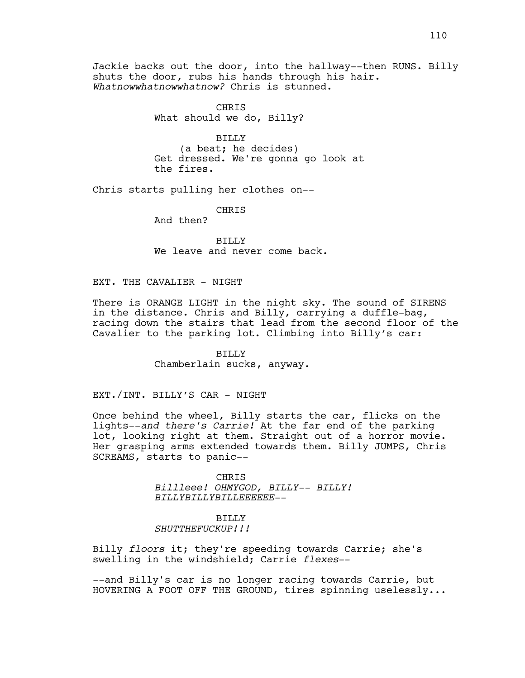Jackie backs out the door, into the hallway--then RUNS. Billy shuts the door, rubs his hands through his hair. *Whatnowwhatnowwhatnow?* Chris is stunned.

> CHRIS What should we do, Billy?

BILLY (a beat; he decides) Get dressed. We're gonna go look at the fires.

Chris starts pulling her clothes on--

CHRIS

And then?

BILLY We leave and never come back.

# EXT. THE CAVALIER - NIGHT

There is ORANGE LIGHT in the night sky. The sound of SIRENS in the distance. Chris and Billy, carrying a duffle-bag, racing down the stairs that lead from the second floor of the Cavalier to the parking lot. Climbing into Billy's car:

> BILLY Chamberlain sucks, anyway.

EXT./INT. BILLY'S CAR - NIGHT

Once behind the wheel, Billy starts the car, flicks on the lights--*and there's Carrie!* At the far end of the parking lot, looking right at them. Straight out of a horror movie. Her grasping arms extended towards them. Billy JUMPS, Chris SCREAMS, starts to panic--

> CHRIS *Billleee! OHMYGOD, BILLY-- BILLY! BILLYBILLYBILLEEEEEE--*

# **BILLY**

*SHUTTHEFUCKUP!!!*

Billy *floors* it; they're speeding towards Carrie; she's swelling in the windshield; Carrie *flexes*--

--and Billy's car is no longer racing towards Carrie, but HOVERING A FOOT OFF THE GROUND, tires spinning uselessly...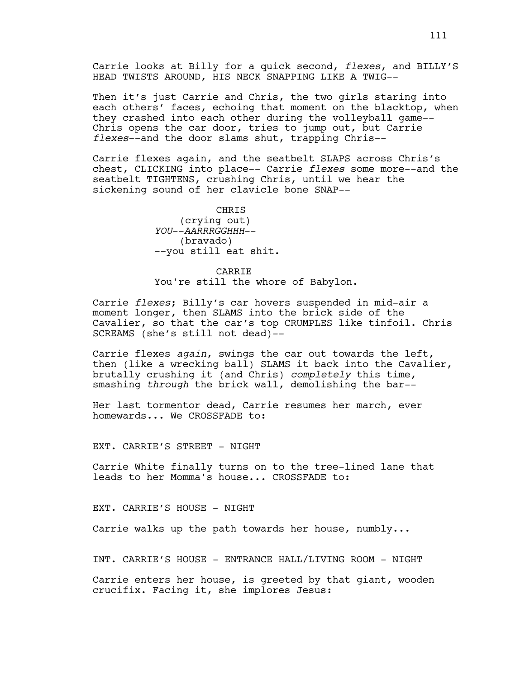Carrie looks at Billy for a quick second, *flexes*, and BILLY'S HEAD TWISTS AROUND, HIS NECK SNAPPING LIKE A TWIG--

Then it's just Carrie and Chris, the two girls staring into each others' faces, echoing that moment on the blacktop, when they crashed into each other during the volleyball game-- Chris opens the car door, tries to jump out, but Carrie *flexes*--and the door slams shut, trapping Chris--

Carrie flexes again, and the seatbelt SLAPS across Chris's chest, CLICKING into place-- Carrie *flexes* some more--and the seatbelt TIGHTENS, crushing Chris, until we hear the sickening sound of her clavicle bone SNAP--

> CHRIS (crying out) *YOU*--*AARRRGGHHH*-- (bravado) --you still eat shit.

CARRIE You're still the whore of Babylon.

Carrie *flexes*; Billy's car hovers suspended in mid-air a moment longer, then SLAMS into the brick side of the Cavalier, so that the car's top CRUMPLES like tinfoil. Chris SCREAMS (she's still not dead)--

Carrie flexes *again*, swings the car out towards the left, then (like a wrecking ball) SLAMS it back into the Cavalier, brutally crushing it (and Chris) *completely* this time, smashing *through* the brick wall, demolishing the bar--

Her last tormentor dead, Carrie resumes her march, ever homewards... We CROSSFADE to:

EXT. CARRIE'S STREET - NIGHT

Carrie White finally turns on to the tree-lined lane that leads to her Momma's house... CROSSFADE to:

EXT. CARRIE'S HOUSE - NIGHT

Carrie walks up the path towards her house, numbly...

INT. CARRIE'S HOUSE - ENTRANCE HALL/LIVING ROOM - NIGHT

Carrie enters her house, is greeted by that giant, wooden crucifix. Facing it, she implores Jesus: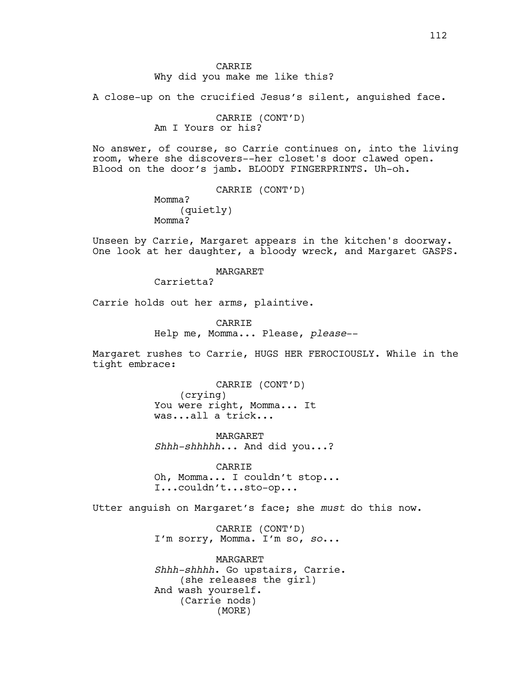A close-up on the crucified Jesus's silent, anguished face.

CARRIE (CONT'D) Am I Yours or his?

No answer, of course, so Carrie continues on, into the living room, where she discovers--her closet's door clawed open. Blood on the door's jamb. BLOODY FINGERPRINTS. Uh-oh.

```
CARRIE (CONT'D)
Momma?
    (quietly)
Momma?
```
Unseen by Carrie, Margaret appears in the kitchen's doorway. One look at her daughter, a bloody wreck, and Margaret GASPS.

## MARGARET

Carrietta?

Carrie holds out her arms, plaintive.

CARRIE Help me, Momma... Please, *please*--

Margaret rushes to Carrie, HUGS HER FEROCIOUSLY. While in the tight embrace:

> CARRIE (CONT'D) (crying) You were right, Momma... It was...all a trick...

MARGARET *Shhh-shhhhh*... And did you...?

CARRIE Oh, Momma... I couldn't stop... I...couldn't...sto-op...

Utter anguish on Margaret's face; she *must* do this now.

CARRIE (CONT'D) I'm sorry, Momma. I'm so, *so*...

MARGARET *Shhh-shhhh*. Go upstairs, Carrie. (she releases the girl) And wash yourself. (Carrie nods) (MORE)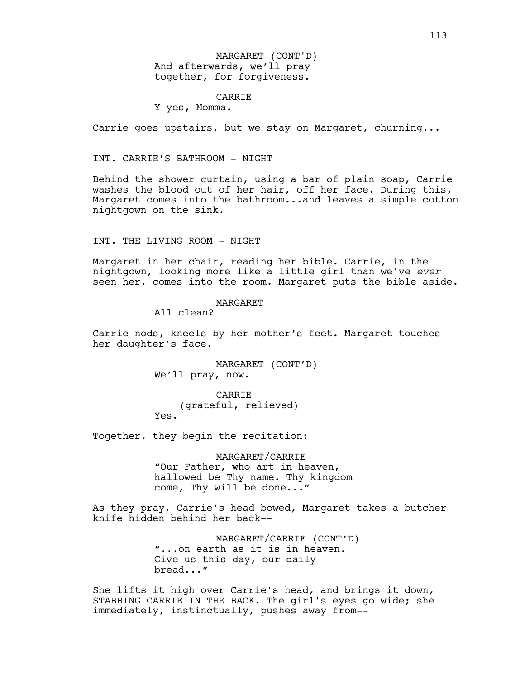And afterwards, we'll pray together, for forgiveness. MARGARET (CONT'D)

## CARRIE

Y-yes, Momma.

Carrie goes upstairs, but we stay on Margaret, churning...

INT. CARRIE'S BATHROOM - NIGHT

Behind the shower curtain, using a bar of plain soap, Carrie washes the blood out of her hair, off her face. During this, Margaret comes into the bathroom...and leaves a simple cotton nightgown on the sink.

INT. THE LIVING ROOM - NIGHT

Margaret in her chair, reading her bible. Carrie, in the nightgown, looking more like a little girl than we've *ever* seen her, comes into the room. Margaret puts the bible aside.

# MARGARET

All clean?

Carrie nods, kneels by her mother's feet. Margaret touches her daughter's face.

> MARGARET (CONT'D) We'll pray, now.

CARRIE (grateful, relieved) Yes.

Together, they begin the recitation:

MARGARET/CARRIE "Our Father, who art in heaven, hallowed be Thy name. Thy kingdom come, Thy will be done..."

As they pray, Carrie's head bowed, Margaret takes a butcher knife hidden behind her back--

> MARGARET/CARRIE (CONT'D) "...on earth as it is in heaven. Give us this day, our daily bread..."

She lifts it high over Carrie's head, and brings it down, STABBING CARRIE IN THE BACK. The girl's eyes go wide; she immediately, instinctually, pushes away from--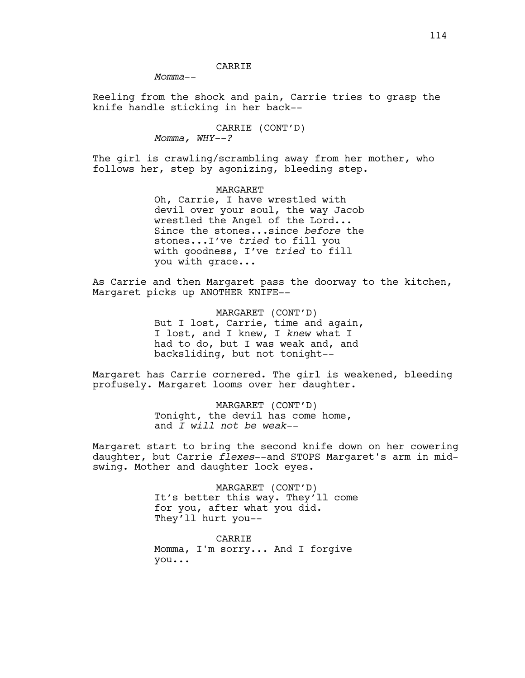# CARRIE

*Momma*--

Reeling from the shock and pain, Carrie tries to grasp the knife handle sticking in her back--

# CARRIE (CONT'D) *Momma, WHY--?*

The girl is crawling/scrambling away from her mother, who follows her, step by agonizing, bleeding step.

> MARGARET Oh, Carrie, I have wrestled with devil over your soul, the way Jacob wrestled the Angel of the Lord... Since the stones...since *before* the stones...I've *tried* to fill you with goodness, I've *tried* to fill you with grace...

As Carrie and then Margaret pass the doorway to the kitchen, Margaret picks up ANOTHER KNIFE--

> MARGARET (CONT'D) But I lost, Carrie, time and again, I lost, and I knew, I *knew* what I had to do, but I was weak and, and backsliding, but not tonight--

Margaret has Carrie cornered. The girl is weakened, bleeding profusely. Margaret looms over her daughter.

> MARGARET (CONT'D) Tonight, the devil has come home, and *I will not be weak--*

Margaret start to bring the second knife down on her cowering daughter, but Carrie *flexes*--and STOPS Margaret's arm in midswing. Mother and daughter lock eyes.

> MARGARET (CONT'D) It's better this way. They'll come for you, after what you did. They'll hurt you--

CARRIE Momma, I'm sorry... And I forgive you...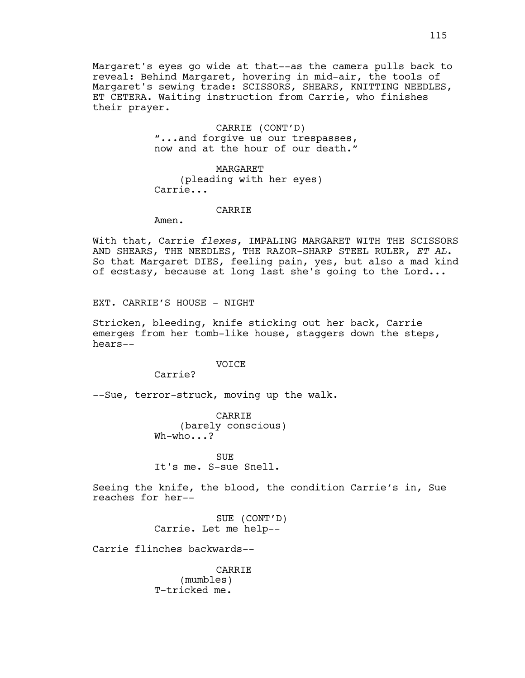Margaret's eyes go wide at that--as the camera pulls back to reveal: Behind Margaret, hovering in mid-air, the tools of Margaret's sewing trade: SCISSORS, SHEARS, KNITTING NEEDLES, ET CETERA. Waiting instruction from Carrie, who finishes their prayer.

# CARRIE (CONT'D) "...and forgive us our trespasses, now and at the hour of our death."

MARGARET (pleading with her eyes) Carrie...

### **CARRIE**

Amen.

With that, Carrie *flexes*, IMPALING MARGARET WITH THE SCISSORS AND SHEARS, THE NEEDLES, THE RAZOR-SHARP STEEL RULER, *ET AL*. So that Margaret DIES, feeling pain, yes, but also a mad kind of ecstasy, because at long last she's going to the Lord...

EXT. CARRIE'S HOUSE - NIGHT

Stricken, bleeding, knife sticking out her back, Carrie emerges from her tomb-like house, staggers down the steps, hears--

### VOICE

Carrie?

--Sue, terror-struck, moving up the walk.

CARRIE (barely conscious) Wh-who...?

SUE It's me. S-sue Snell.

Seeing the knife, the blood, the condition Carrie's in, Sue reaches for her--

> SUE (CONT'D) Carrie. Let me help--

Carrie flinches backwards--

CARRIE (mumbles) T-tricked me.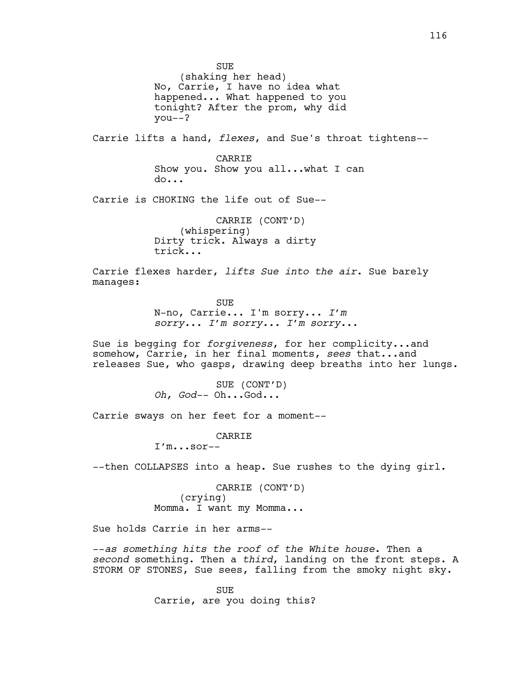SUE (shaking her head) No, Carrie, I have no idea what happened... What happened to you tonight? After the prom, why did  $you--?$ Carrie lifts a hand, *flexes*, and Sue's throat tightens-- CARRIE Show you. Show you all...what I can do... Carrie is CHOKING the life out of Sue-- CARRIE (CONT'D) (whispering) Dirty trick. Always a dirty trick... Carrie flexes harder, *lifts Sue into the air*. Sue barely manages: SUE N-no, Carrie... I'm sorry... *I'm sorry.*.. *I'm sorry... I'm sorry.*.. Sue is begging for *forgiveness*, for her complicity...and somehow, Carrie, in her final moments, *sees* that...and releases Sue, who gasps, drawing deep breaths into her lungs. SUE (CONT'D) *Oh, God--* Oh...God... Carrie sways on her feet for a moment-- CARRIE I'm...sor-- --then COLLAPSES into a heap. Sue rushes to the dying girl.

CARRIE (CONT'D) (crying) Momma. I want my Momma...

Sue holds Carrie in her arms--

--*as something hits the roof of the White house*. Then a *second* something. Then a *third*, landing on the front steps. A STORM OF STONES, Sue sees, falling from the smoky night sky.

> SUE Carrie, are you doing this?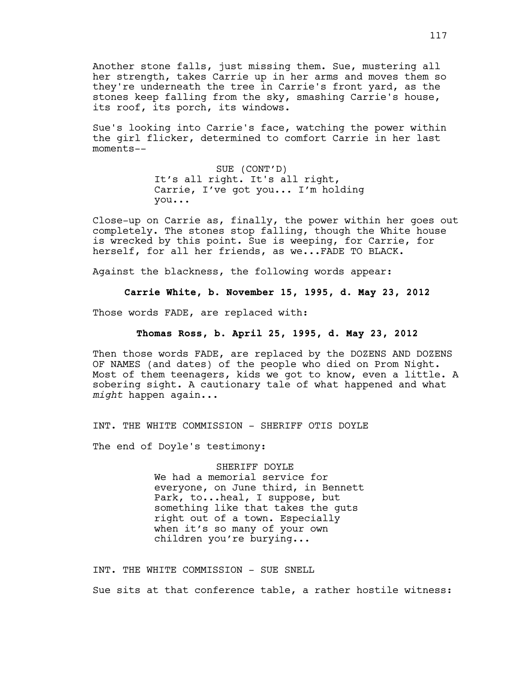Another stone falls, just missing them. Sue, mustering all her strength, takes Carrie up in her arms and moves them so they're underneath the tree in Carrie's front yard, as the stones keep falling from the sky, smashing Carrie's house, its roof, its porch, its windows.

Sue's looking into Carrie's face, watching the power within the girl flicker, determined to comfort Carrie in her last moments--

> SUE (CONT'D) It's all right. It's all right, Carrie, I've got you... I'm holding you...

Close-up on Carrie as, finally, the power within her goes out completely. The stones stop falling, though the White house is wrecked by this point. Sue is weeping, for Carrie, for herself, for all her friends, as we...FADE TO BLACK.

Against the blackness, the following words appear:

# **Carrie White, b. November 15, 1995, d. May 23, 2012**

Those words FADE, are replaced with:

### **Thomas Ross, b. April 25, 1995, d. May 23, 2012**

Then those words FADE, are replaced by the DOZENS AND DOZENS OF NAMES (and dates) of the people who died on Prom Night. Most of them teenagers, kids we got to know, even a little. A sobering sight. A cautionary tale of what happened and what *might* happen again...

INT. THE WHITE COMMISSION - SHERIFF OTIS DOYLE

The end of Doyle's testimony:

SHERIFF DOYLE We had a memorial service for everyone, on June third, in Bennett Park, to...heal, I suppose, but something like that takes the guts right out of a town. Especially when it's so many of your own children you're burying...

INT. THE WHITE COMMISSION - SUE SNELL Sue sits at that conference table, a rather hostile witness: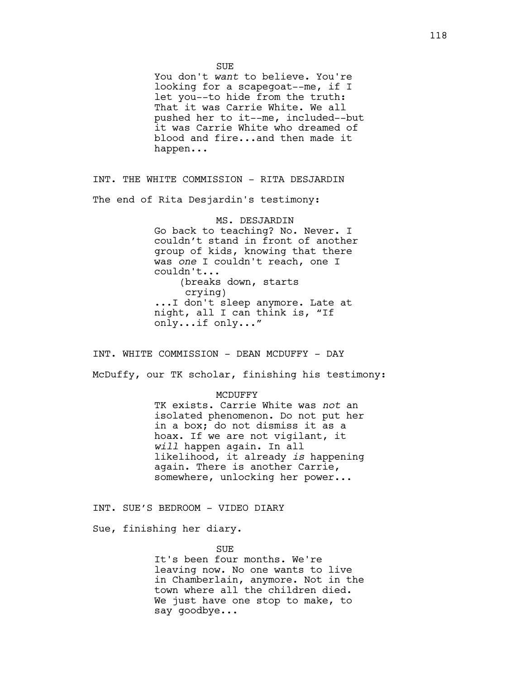**SUE** You don't *want* to believe. You're looking for a scapegoat--me, if I let you--to hide from the truth: That it was Carrie White. We all pushed her to it--me, included--but it was Carrie White who dreamed of blood and fire...and then made it happen...

INT. THE WHITE COMMISSION - RITA DESJARDIN

The end of Rita Desjardin's testimony:

MS. DESJARDIN Go back to teaching? No. Never. I couldn't stand in front of another group of kids, knowing that there was *one* I couldn't reach, one I couldn't... (breaks down, starts crying) ...I don't sleep anymore. Late at night, all I can think is, "If only...if only..."

INT. WHITE COMMISSION - DEAN MCDUFFY - DAY McDuffy, our TK scholar, finishing his testimony:

MCDUFFY

TK exists. Carrie White was *not* an isolated phenomenon. Do not put her in a box; do not dismiss it as a hoax. If we are not vigilant, it *will* happen again. In all likelihood, it already *is* happening again. There is another Carrie, somewhere, unlocking her power...

INT. SUE'S BEDROOM - VIDEO DIARY

Sue, finishing her diary.

SUE

It's been four months. We're leaving now. No one wants to live in Chamberlain, anymore. Not in the town where all the children died. We just have one stop to make, to say goodbye...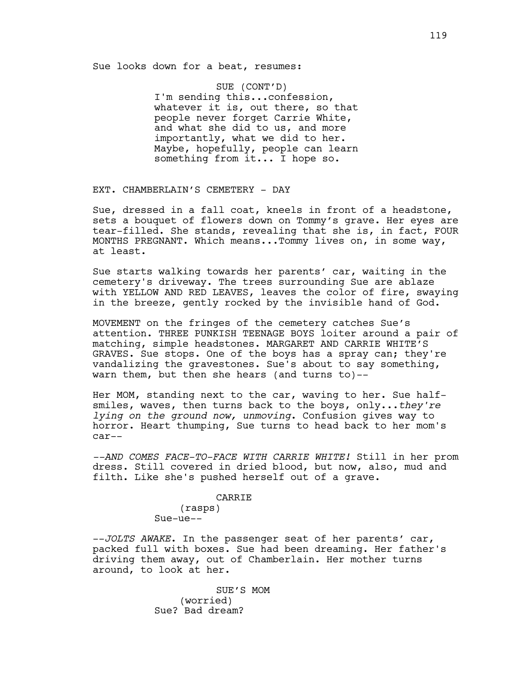Sue looks down for a beat, resumes:

SUE (CONT'D) I'm sending this...confession, whatever it is, out there, so that people never forget Carrie White, and what she did to us, and more importantly, what we did to her. Maybe, hopefully, people can learn something from it... I hope so.

EXT. CHAMBERLAIN'S CEMETERY - DAY

Sue, dressed in a fall coat, kneels in front of a headstone, sets a bouquet of flowers down on Tommy's grave. Her eyes are tear-filled. She stands, revealing that she is, in fact, FOUR MONTHS PREGNANT. Which means...Tommy lives on, in some way, at least.

Sue starts walking towards her parents' car, waiting in the cemetery's driveway. The trees surrounding Sue are ablaze with YELLOW AND RED LEAVES, leaves the color of fire, swaying in the breeze, gently rocked by the invisible hand of God.

MOVEMENT on the fringes of the cemetery catches Sue's attention. THREE PUNKISH TEENAGE BOYS loiter around a pair of matching, simple headstones. MARGARET AND CARRIE WHITE'S GRAVES. Sue stops. One of the boys has a spray can; they're vandalizing the gravestones. Sue's about to say something, warn them, but then she hears (and turns to)--

Her MOM, standing next to the car, waving to her. Sue halfsmiles, waves, then turns back to the boys, only...*they're lying on the ground now, unmoving*. Confusion gives way to horror. Heart thumping, Sue turns to head back to her mom's car--

*--AND COMES FACE-TO-FACE WITH CARRIE WHITE!* Still in her prom dress. Still covered in dried blood, but now, also, mud and filth. Like she's pushed herself out of a grave.

#### CARRIE

(rasps) Sue-ue--

--*JOLTS AWAKE*. In the passenger seat of her parents' car, packed full with boxes. Sue had been dreaming. Her father's driving them away, out of Chamberlain. Her mother turns around, to look at her.

> SUE'S MOM (worried) Sue? Bad dream?